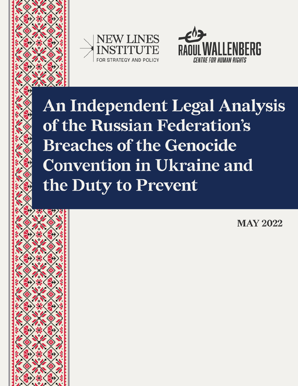





An Independent Legal Analysis of the Russian Federation's **Breaches of the Genocide Convention in Ukraine and** the Duty to Prevent

**MAY 2022** 

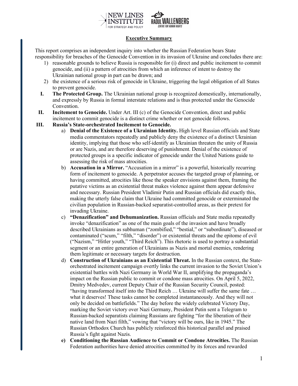

# **Executive Summary**

This report comprises an independent inquiry into whether the Russian Federation bears State responsibility for breaches of the Genocide Convention in its invasion of Ukraine and concludes there are:

- 1) reasonable grounds to believe Russia is responsible for (i) direct and public incitement to commit genocide, and (ii) a pattern of atrocities from which an inference of intent to destroy the Ukrainian national group in part can be drawn; and
- 2) the existence of a serious risk of genocide in Ukraine, triggering the legal obligation of all States to prevent genocide.
- **I. The Protected Group.** The Ukrainian national group is recognized domestically, internationally, and expressly by Russia in formal interstate relations and is thus protected under the Genocide Convention.
- **II. Incitement to Genocide.** Under Art. III (c) of the Genocide Convention, direct and public incitement to commit genocide is a distinct crime whether or not genocide follows.
- **III. Russia's State-orchestrated Incitement to Genocide.**
	- a) **Denial of the Existence of a Ukrainian Identity.** High level Russian officials and State media commentators repeatedly and publicly deny the existence of a distinct Ukrainian identity, implying that those who self-identify as Ukrainian threaten the unity of Russia or are Nazis, and are therefore deserving of punishment. Denial of the existence of protected groups is a specific indicator of genocide under the United Nations guide to assessing the risk of mass atrocities.
	- b) **Accusation in a Mirror.** "Accusation in a mirror" is a powerful, historically recurring form of incitement to genocide. A perpetrator accuses the targeted group of planning, or having committed, atrocities like those the speaker envisions against them, framing the putative victims as an existential threat makes violence against them appear defensive and necessary. Russian President Vladimir Putin and Russian officials did exactly this, making the utterly false claim that Ukraine had committed genocide or exterminated the civilian population in Russian-backed separatist-controlled areas, as their pretext for invading Ukraine.
	- c) **"Denazification" and Dehumanization.** Russian officials and State media repeatedly invoke "denazification" as one of the main goals of the invasion and have broadly described Ukrainians as subhuman ("zombified," "bestial," or "subordinate"), diseased or contaminated ("scum," "filth," "disorder") or existential threats and the epitome of evil ("Nazism," "Hitler youth," "Third Reich"). This rhetoric is used to portray a substantial segment or an entire generation of Ukrainians as Nazis and mortal enemies, rendering them legitimate or necessary targets for destruction.
	- d) **Construction of Ukrainians as an Existential Threat.** In the Russian context, the Stateorchestrated incitement campaign overtly links the current invasion to the Soviet Union's existential battles with Nazi Germany in World War II, amplifying the propaganda's impact on the Russian public to commit or condone mass atrocities. On April 5, 2022, Dmitry Medvedev, current Deputy Chair of the Russian Security Council, posted: "having transformed itself into the Third Reich … Ukraine will suffer the same fate … what it deserves! These tasks cannot be completed instantaneously. And they will not only be decided on battlefields." The day before the widely celebrated Victory Day, marking the Soviet victory over Nazi Germany, President Putin sent a Telegram to Russian-backed separatists claiming Russians are fighting "for the liberation of their native land from Nazi filth," vowing that "victory will be ours, like in 1945." The Russian Orthodox Church has publicly reinforced this historical parallel and praised Russia's fight against Nazis.
	- **e) Conditioning the Russian Audience to Commit or Condone Atrocities.** The Russian Federation authorities have denied atrocities committed by its forces and rewarded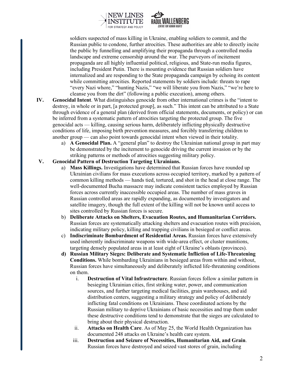

soldiers suspected of mass killing in Ukraine, enabling soldiers to commit, and the Russian public to condone, further atrocities. These authorities are able to directly incite the public by funnelling and amplifying their propaganda through a controlled media landscape and extreme censorship around the war. The purveyors of incitement propaganda are all highly influential political, religious, and State-run media figures, including President Putin. There is mounting evidence that Russian soldiers have internalized and are responding to the State propaganda campaign by echoing its content while committing atrocities. Reported statements by soldiers include: threats to rape "every Nazi whore," "hunting Nazis," "we will liberate you from Nazis," "we're here to cleanse you from the dirt" (following a public execution), among others.

- **IV. Genocidal Intent**. What distinguishes genocide from other international crimes is the "intent to destroy, in whole or in part, [a protected group], as such." This intent can be attributed to a State through evidence of a general plan (derived from official statements, documents, or policy) or can be inferred from a systematic pattern of atrocities targeting the protected group. The five genocidal acts — killing, causing serious harm, deliberately inflicting physically destructive conditions of life, imposing birth prevention measures, and forcibly transferring children to another group — can also point towards genocidal intent when viewed in their totality.
	- a) **A Genocidal Plan.** A "general plan" to destroy the Ukrainian national group in part may be demonstrated by the incitement to genocide driving the current invasion or by the striking patterns or methods of atrocities suggesting military policy.

# **V. Genocidal Pattern of Destruction Targeting Ukrainians.**

- a) **Mass Killings.** Investigations have determined that Russian forces have rounded up Ukrainian civilians for mass executions across occupied territory, marked by a pattern of common killing methods — hands tied, tortured, and shot in the head at close range. The well-documented Bucha massacre may indicate consistent tactics employed by Russian forces across currently inaccessible occupied areas. The number of mass graves in Russian controlled areas are rapidly expanding, as documented by investigators and satellite imagery, though the full extent of the killing will not be known until access to sites controlled by Russian forces is secure.
- b) **Deliberate Attacks on Shelters, Evacuation Routes, and Humanitarian Corridors.**  Russian forces are systematically attacking shelters and evacuation routes with precision, indicating military policy, killing and trapping civilians in besieged or conflict areas.
- c) **Indiscriminate Bombardment of Residential Areas.** Russian forces have extensively used inherently indiscriminate weapons with wide-area effect, or cluster munitions, targeting densely populated areas in at least eight of Ukraine's oblasts (provinces).
- **d) Russian Military Sieges: Deliberate and Systematic Infliction of Life-Threatening Conditions.** While bombarding Ukrainians in besieged areas from within and without, Russian forces have simultaneously and deliberately inflicted life-threatening conditions on them.
	- i. **Destruction of Vital Infrastructure**. Russian forces follow a similar pattern in besieging Ukrainian cities, first striking water, power, and communication sources, and further targeting medical facilities, grain warehouses, and aid distribution centers, suggesting a military strategy and policy of deliberately inflicting fatal conditions on Ukrainians. These coordinated actions by the Russian military to deprive Ukrainians of basic necessities and trap them under these destructive conditions tend to demonstrate that the sieges are calculated to bring about their physical destruction.
	- ii. **Attacks on Health Care**. As of May 25, the World Health Organization has documented 248 attacks on Ukraine's health care system.
	- iii. **Destruction and Seizure of Necessities, Humanitarian Aid, and Grain**. Russian forces have destroyed and seized vast stores of grain, including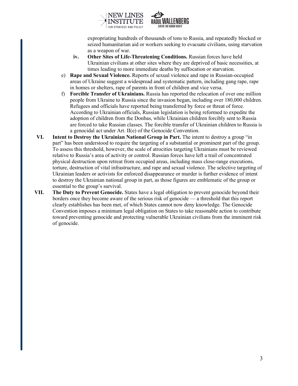

expropriating hundreds of thousands of tons to Russia, and repeatedly blocked or seized humanitarian aid or workers seeking to evacuate civilians, using starvation as a weapon of war.

- **iv. Other Sites of Life-Threatening Conditions.** Russian forces have held Ukrainian civilians at other sites where they are deprived of basic necessities, at times leading to more immediate deaths by suffocation or starvation.
- e) **Rape and Sexual Violence.** Reports of sexual violence and rape in Russian-occupied areas of Ukraine suggest a widespread and systematic pattern, including gang rape, rape in homes or shelters, rape of parents in front of children and vice versa.
- f) **Forcible Transfer of Ukrainians.** Russia has reported the relocation of over one million people from Ukraine to Russia since the invasion began, including over 180,000 children. Refugees and officials have reported being transferred by force or threat of force. According to Ukrainian officials, Russian legislation is being reformed to expedite the adoption of children from the Donbas, while Ukrainian children forcibly sent to Russia are forced to take Russian classes. The forcible transfer of Ukrainian children to Russia is a genocidal act under Art. II(e) of the Genocide Convention.
- **VI. Intent to Destroy the Ukrainian National Group in Part.** The intent to destroy a group "in part" has been understood to require the targeting of a substantial or prominent part of the group. To assess this threshold, however, the scale of atrocities targeting Ukrainians must be reviewed relative to Russia's area of activity or control. Russian forces have left a trail of concentrated physical destruction upon retreat from occupied areas, including mass close-range executions, torture, destruction of vital infrastructure, and rape and sexual violence. The selective targeting of Ukrainian leaders or activists for enforced disappearance or murder is further evidence of intent to destroy the Ukrainian national group in part, as those figures are emblematic of the group or essential to the group's survival.
- **VII. The Duty to Prevent Genocide.** States have a legal obligation to prevent genocide beyond their borders once they become aware of the serious risk of genocide — a threshold that this report clearly establishes has been met, of which States cannot now deny knowledge. The Genocide Convention imposes a minimum legal obligation on States to take reasonable action to contribute toward preventing genocide and protecting vulnerable Ukrainian civilians from the imminent risk of genocide.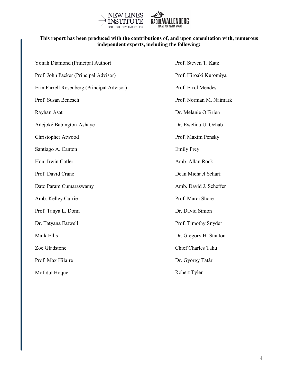

# **This report has been produced with the contributions of, and upon consultation with, numerous independent experts, including the following:**

| Yonah Diamond (Principal Author)           | Prof. Steven T. Katz    |
|--------------------------------------------|-------------------------|
| Prof. John Packer (Principal Advisor)      | Prof. Hiroaki Kuromiya  |
| Erin Farrell Rosenberg (Principal Advisor) | Prof. Errol Mendes      |
| Prof. Susan Benesch                        | Prof. Norman M. Naimark |
| Rayhan Asat                                | Dr. Melanie O'Brien     |
| Adejoké Babington-Ashaye                   | Dr. Ewelina U. Ochab    |
| Christopher Atwood                         | Prof. Maxim Pensky      |
| Santiago A. Canton                         | <b>Emily Prey</b>       |
| Hon. Irwin Cotler                          | Amb. Allan Rock         |
| Prof. David Crane                          | Dean Michael Scharf     |
| Dato Param Cumaraswamy                     | Amb. David J. Scheffer  |
| Amb. Kelley Currie                         | Prof. Marci Shore       |
| Prof. Tanya L. Domi                        | Dr. David Simon         |
| Dr. Tatyana Eatwell                        | Prof. Timothy Snyder    |
| Mark Ellis                                 | Dr. Gregory H. Stanton  |
| Zoe Gladstone                              | Chief Charles Taku      |
| Prof. Max Hilaire                          | Dr. György Tatár        |
| Mofidul Hoque                              | Robert Tyler            |
|                                            |                         |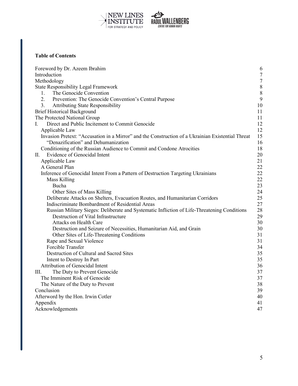



# **Table of Contents**

<span id="page-5-0"></span>

| Foreword by Dr. Azeem Ibrahim                                                                     | 6              |
|---------------------------------------------------------------------------------------------------|----------------|
| Introduction                                                                                      | $\overline{7}$ |
| Methodology                                                                                       | $\overline{7}$ |
| <b>State Responsibility Legal Framework</b>                                                       | 8              |
| The Genocide Convention<br>1.                                                                     | 8              |
| 2.<br>Prevention: The Genocide Convention's Central Purpose                                       | 9              |
| 3.<br><b>Attributing State Responsibility</b>                                                     | 10             |
| <b>Brief Historical Background</b>                                                                | 11             |
| The Protected National Group                                                                      | 11             |
| Direct and Public Incitement to Commit Genocide<br>L.                                             | 12             |
| Applicable Law                                                                                    | 12             |
| Invasion Pretext: "Accusation in a Mirror" and the Construction of a Ukrainian Existential Threat | 15             |
| "Denazification" and Dehumanization                                                               | 16             |
| Conditioning of the Russian Audience to Commit and Condone Atrocities                             | 18             |
| Evidence of Genocidal Intent<br>II.                                                               | 20             |
| Applicable Law                                                                                    | 21             |
| A General Plan                                                                                    | 22             |
| Inference of Genocidal Intent From a Pattern of Destruction Targeting Ukrainians                  | 22             |
| Mass Killing                                                                                      | 22             |
| Bucha                                                                                             | 23             |
| Other Sites of Mass Killing                                                                       | 24             |
| Deliberate Attacks on Shelters, Evacuation Routes, and Humanitarian Corridors                     | 25             |
| Indiscriminate Bombardment of Residential Areas                                                   | 27             |
| Russian Military Sieges: Deliberate and Systematic Infliction of Life-Threatening Conditions      | 28             |
| Destruction of Vital Infrastructure                                                               | 29             |
| Attacks on Health Care                                                                            | 30             |
| Destruction and Seizure of Necessities, Humanitarian Aid, and Grain                               | 30             |
| Other Sites of Life-Threatening Conditions                                                        | 31             |
| Rape and Sexual Violence                                                                          | 31             |
| Forcible Transfer                                                                                 | 34             |
| Destruction of Cultural and Sacred Sites                                                          | 35             |
| Intent to Destroy In Part                                                                         | 35             |
| Attribution of Genocidal Intent                                                                   | 36             |
| The Duty to Prevent Genocide<br>Ш.                                                                | 37             |
| The Imminent Risk of Genocide                                                                     | 37             |
| The Nature of the Duty to Prevent                                                                 | 38             |
| Conclusion                                                                                        | 39             |
| Afterword by the Hon. Irwin Cotler                                                                | 40             |
| Appendix                                                                                          | 41             |
| Acknowledgements                                                                                  | 47             |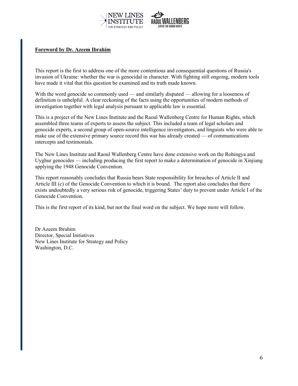



# **Foreword by Dr. Azeem Ibrahim**

This report is the first to address one of the more contentious and consequential questions of Russia's invasion of Ukraine: whether the war is genocidal in character. With fighting still ongoing, modern tools have made it vital that this question be examined and its truth made known.

With the word genocide so commonly used — and similarly disputed — allowing for a looseness of definition is unhelpful. A clear reckoning of the facts using the opportunities of modern methods of investigation together with legal analysis pursuant to applicable law is essential.

This is a project of the New Lines Institute and the Raoul Wallenberg Centre for Human Rights, which assembled three teams of experts to assess the subject. This included a team of legal scholars and genocide experts, a second group of open-source intelligence investigators, and linguists who were able to make use of the extensive primary source record this war has already created — of communications intercepts and testimonials.

The New Lines Institute and Raoul Wallenberg Centre have done extensive work on the Rohingya and Uyghur genocides — including producing the first report to make a determination of genocide in Xinjiang applying the 1948 Genocide Convention.

This report reasonably concludes that Russia bears State responsibility for breaches of Article II and Article III (c) of the Genocide Convention to which it is bound. The report also concludes that there exists undoubtedly a very serious risk of genocide, triggering States' duty to prevent under Article I of the Genocide Convention.

This is the first report of its kind, but not the final word on the subject. We hope more will follow.

Dr Azeem Ibrahim Director, Special Initiatives New Lines Institute for Strategy and Policy Washington, D.C.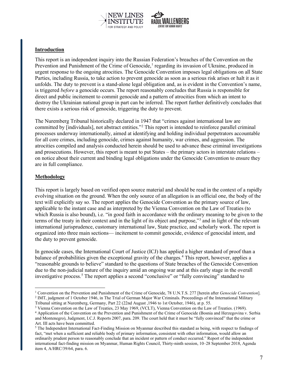

# 'NTRF FNR HIIMAN RIGHTS

# <span id="page-7-0"></span>**Introduction**

This report is an independent inquiry into the Russian Federation's breaches of the Convention on the Prevention and Punishment of the Crime of Genocide,<sup>1</sup> regarding its invasion of Ukraine, produced in urgent response to the ongoing atrocities. The Genocide Convention imposes legal obligations on all State Parties, including Russia, to take action to prevent genocide as soon as a serious risk arises or halt it as it unfolds. The duty to prevent is a stand-alone legal obligation and, as is evident in the Convention's name, is triggered *before* a genocide occurs. The report reasonably concludes that Russia is responsible for direct and public incitement to commit genocide and a pattern of atrocities from which an intent to destroy the Ukrainian national group in part can be inferred. The report further definitively concludes that there exists a serious risk of genocide, triggering the duty to prevent.

The Nuremberg Tribunal historically declared in 1947 that "crimes against international law are committed by [individuals], not abstract entities."[2](#page-7-3) This report is intended to reinforce parallel criminal processes underway internationally, aimed at identifying and holding individual perpetrators accountable for all core crimes, including genocide, crimes against humanity, war crimes, and aggression. The atrocities compiled and analysis conducted herein should be used to advance these criminal investigations and prosecutions. However, this report is meant to put States – the primary actors in interstate relations – on notice about their current and binding legal obligations under the Genocide Convention to ensure they are in full compliance.

# <span id="page-7-1"></span>**Methodology**

This report is largely based on verified open source material and should be read in the context of a rapidly evolving situation on the ground. When the only source of an allegation is an official one, the body of the text will explicitly say so. The report applies the Genocide Convention as the primary source of law, applicable to the instant case and as interpreted by the Vienna Convention on the Law of Treaties (to which Russia is also bound), i.e. "in good faith in accordance with the ordinary meaning to be given to the terms of the treaty in their context and in the light of its object and purpose,"[3](#page-7-4) and in light of the relevant international jurisprudence, customary international law, State practice, and scholarly work. The report is organized into three main sections— incitement to commit genocide, evidence of genocidal intent, and the duty to prevent genocide.

In genocide cases, the International Court of Justice (ICJ) has applied a higher standard of proof than a balance of probabilities given the exceptional gravity of the charges.<sup>[4](#page-7-5)</sup> This report, however, applies a "reasonable grounds to believe" standard to the questions of State breaches of the Genocide Convention due to the non-judicial nature of the inquiry amid an ongoing war and at this early stage in the overall investigative process.<sup>[5](#page-7-6)</sup> The report applies a second "conclusive" or "fully convincing" standard to

Tribunal sitting at Nuremberg, Germany, Part 22 (22nd August ,1946 to 1st October, 1946), at p. 55.

<span id="page-7-3"></span><span id="page-7-2"></span><sup>&</sup>lt;sup>1</sup> Convention on the Prevention and Punishment of the Crime of Genocide, 78 U.N.T.S. 277 [herein after *Genocide Convention*].  $^{2}$  IMT, judgment of 1 October 1946, in The Trial of German Major War Criminals. Proceeding

<span id="page-7-5"></span><span id="page-7-4"></span><sup>&</sup>lt;sup>3</sup> Vienna Convention on the Law of Treaties, 23 May 1969, (VCLT), Vienna Convention on the Law of Treaties. (1969). <sup>4</sup> Application of the Convention on the Prevention and Punishment of the Crime of Genocide (Bosnia and Herzegovina v. Serbia and Montenegro), Judgment, I.C.J. Reports 2007, para. 209. The court held that it must be "fully convinced" that the crime or Art. III acts have been committed.

<span id="page-7-6"></span><sup>&</sup>lt;sup>5</sup> The Independent International Fact-Finding Mission on Myanmar described this standard as being, with respect to findings of fact, "met when a sufficient and reliable body of primary information, consistent with other information, would allow an ordinarily prudent person to reasonably conclude that an incident or pattern of conduct occurred." Report of the independent international fact-finding mission on Myanmar, Human Rights Council, Thirty-ninth session, 10–28 September 2018, Agenda item 4, A/HRC/39/64, para. 6.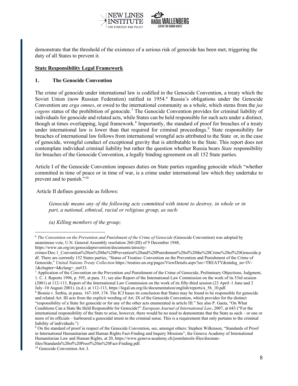

demonstrate that the threshold of the existence of a serious risk of genocide has been met, triggering the duty of all States to prevent it.

# <span id="page-8-0"></span>**State Responsibility Legal Framework**

# <span id="page-8-1"></span>**1. The Genocide Convention**

The crime of genocide under international law is codified in the Genocide Convention, a treaty which the Soviet Union (now Russian Federation) ratified in 1954.<sup>[6](#page-8-2)</sup> Russia's obligations under the Genocide Convention are *erga omnes*, or owed to the international community as a whole, which stems from the *jus cogens* status of the prohibition of genocide.[7](#page-8-3) The Genocide Convention provides for criminal liability of individuals for genocide and related acts, while States can be held responsible for such acts under a distinct, though at times overlapping, legal framework.<sup>[8](#page-8-4)</sup> Importantly, the standard of proof for breaches of a treaty under international law is lower than that required for criminal proceedings.<sup>[9](#page-8-5)</sup> State responsibility for breaches of international law follows from international wrongful acts attributed to the State or, in the case of genocide, wrongful conduct of exceptional gravity that is attributable to the State. This report does not contemplate individual criminal liability but rather the question whether Russia bears *State* responsibility for breaches of the Genocide Convention, a legally binding agreement on all 152 State parties.

Article I of the Genocide Convention imposes duties on State parties regarding genocide which "whether committed in time of peace or in time of war, is a crime under international law which they undertake to prevent and to punish."[10](#page-8-6)

Article II defines genocide as follows:

*Genocide means any of the following acts committed with intent to destroy, in whole or in part, a national, ethnical, racial or religious group, as such:* 

*(a) Killing members of the group;* 

<span id="page-8-6"></span>

<span id="page-8-2"></span><sup>6</sup> *The Convention on the Prevention and Punishment of the Crime of Genocide* (Genocide Convention) was adopted by unanimous vote, U.N. General Assembly resolution 260 (III) of 9 December 1948, https://www.un.org/en/genocideprevention/documents/atrocity-

crimes/Doc.1\_Convention%20on%20the%20Prevention%20and%20Punishment%20of%20the%20Crime%20of%20Genocide.p df. There are currently 152 States parties, "Status of Treaties: Convention on the Prevention and Punishment of the Crime of Genocide," *United Nations Treaty Collection* https://treaties.un.org/pages/ViewDetails.aspx?src=TREATY&mtdsg\_no=IV-1&chapter=4&clang=\_en#33.

<span id="page-8-3"></span><sup>7</sup> Application of the Convention on the Prevention *and* Punishment of the Crime of Genocide, Preliminary Objections, Judgment, 1. C. J. Reports 1996, p. 595, at para. 31; see also Report of the International Law Commission on the work of its 53rd session (2001) at 112-113, Report of the International Law Commission on the work of its fifty-third session (23 April–1 June and 2 July–10 August 2001). (n.d.). at 112-113, https://legal.un.org/ilc/documentation/english/reports/a\_56\_10.pdf.

<span id="page-8-4"></span><sup>8</sup> Bosnia v*.* Serbia, at paras. 167-169, 174. The ICJ bases its conclusion that States may be found to be responsible for genocide and related Art. III acts from the explicit wording of Art. IX of the Genocide Convention, which provides for the distinct "responsibility of a State for genocide or for any of the other acts enumerated in article III." See also P. Gaeta, "On What Conditions Can a State Be Held Responsible for Genocide?" *European Journal of International Law*, 2007, at 643 ("For the international responsibility of the State to arise, however, there would be no need to demonstrate that the State as such – or one or more of its officials – harboured a genocidal intent in the criminal sense. This is a requirement that only pertains to the criminal liability of individuals.")

<span id="page-8-5"></span><sup>9</sup> On the standard of proof in respect of the Genocide Convention, see, amongst others: Stephen Wilkinson, "Standards of Proof in International Humanitarian and Human Rights Fact-Finding and Inquiry Missions", the Geneva Academy of International Humanitarian Law and Human Rights, at 20, https://www.geneva-academy.ch/joomlatools-files/docmanfiles/Standards%20of%20Proof%20in%20Fact-Finding.pdf.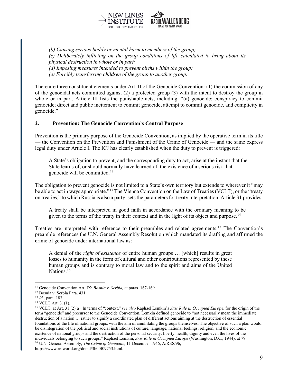

*(b) Causing serious bodily or mental harm to members of the group; (c) Deliberately inflicting on the group conditions of life calculated to bring about its physical destruction in whole or in part; (d) Imposing measures intended to prevent births within the group;* 

*(e) Forcibly transferring children of the group to another group.* 

There are three constituent elements under Art. II of the Genocide Convention: (1) the commission of any of the genocidal acts committed against (2) a protected group (3) with the intent to destroy the group in whole or in part. Article III lists the punishable acts, including: "(a) genocide; conspiracy to commit genocide; direct and public incitement to commit genocide, attempt to commit genocide, and complicity in genocide."<sup>11</sup>

# <span id="page-9-0"></span>**2. Prevention: The Genocide Convention's Central Purpose**

Prevention is the primary purpose of the Genocide Convention, as implied by the operative term in its title — the Convention on the Prevention and Punishment of the Crime of Genocide — and the same express legal duty under Article I. The ICJ has clearly established when the duty to prevent is triggered:

A State's obligation to prevent, and the corresponding duty to act, arise at the instant that the State learns of, or should normally have learned of, the existence of a serious risk that genocide will be committed.[12](#page-9-2)

The obligation to prevent genocide is not limited to a State's own territory but extends to wherever it "may be able to act in ways appropriate."[13](#page-9-3) The Vienna Convention on the Law of Treaties (VCLT), or the "treaty on treaties," to which Russia is also a party, sets the parameters for treaty interpretation. Article 31 provides:

A treaty shall be interpreted in good faith in accordance with the ordinary meaning to be given to the terms of the treaty in their context and in the light of its object and purpose.<sup>[14](#page-9-4)</sup>

Treaties are interpreted with reference to their preambles and related agreements.[15](#page-9-5) The Convention's preamble references the U.N. General Assembly Resolution which mandated its drafting and affirmed the crime of genocide under international law as:

A denial of the *right of existence* of entire human groups … [which] results in great losses to humanity in the form of cultural and other contributions represented by these human groups and is contrary to moral law and to the spirit and aims of the United Nations.<sup>[16](#page-9-6)</sup>

<span id="page-9-1"></span><sup>11</sup> Genocide Convention Art. IX; *Bosnia v. Serbia,* at paras. 167-169.

<span id="page-9-2"></span><sup>&</sup>lt;sup>12</sup> Bosnia v. Serbia Para. 431.<br><sup>13</sup> Id., para. 183.

<span id="page-9-3"></span><sup>&</sup>lt;sup>14</sup> *VCLT* Art. 31(1).

<span id="page-9-6"></span><span id="page-9-5"></span><span id="page-9-4"></span><sup>15</sup> VCLT, at Art. 31 (2)(a). In terms of "context," *see also* Raphael Lemkin's *Axis Rule in Occupied Europe*, for the origin of the term "genocide" and precursor to the Genocide Convention. Lemkin defined genocide to "not necessarily mean the immediate destruction of a nation … rather to signify a coordinated plan of different actions aiming at the destruction of essential foundations of the life of national groups, with the aim of annihilating the groups themselves. The objective of such a plan would be disintegration of the political and social institutions of culture, language, national feelings, religion, and the economic existence of national groups and the destruction of the personal security, liberty, health, dignity and even the lives of the individuals belonging to such groups." Raphael Lemkin, *Axis Rule in Occupied Europe* (Washington, D.C., 1944), at 79. <sup>16</sup> U.N. General Assembly, *The Crime of Genocide*, 11 December 1946, A/RES/96,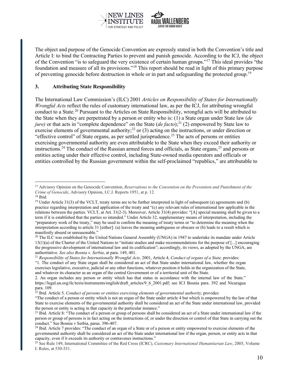

The object and purpose of the Genocide Convention are expressly stated in both the Convention's title and Article I: to bind the Contracting Parties to prevent and punish genocide. According to the ICJ, the object of the Convention "is to safeguard the very existence of certain human groups."[17](#page-10-1) This ideal provides "the foundation and measure of all its provisions."[18](#page-10-2) This report should be read in light of this primary purpose of preventing genocide before destruction in whole or in part and safeguarding the protected group.[19](#page-10-3)

### <span id="page-10-0"></span>**3. Attributing State Responsibility**

The International Law Commission's (ILC) 2001 *Articles on Responsibility of States for Internationally Wrongful Acts* reflect the rules of customary international law, as per the ICJ, for attributing wrongful conduct to a State.[20](#page-10-4) Pursuant to the Articles on State Responsibility, wrongful acts will be attributed to the State when they are perpetrated by a person or entity who is: (1) a State organ under State law (*de jure*) or that acts in "complete dependence" on the State (*de facto*);<sup>21</sup> (2) empowered by State law to exercise elements of governmental authority;<sup>[22](#page-10-6)</sup> or (3) acting on the instructions, or under direction or "effective control" of State organs, as per settled jurisprudence.<sup>[23](#page-10-7)</sup> The acts of persons or entities exercising governmental authority are even attributable to the State when they exceed their authority or instructions.<sup>[24](#page-10-8)</sup> The conduct of the Russian armed forces and officials, as State organs,<sup>25</sup> and persons or entities acting under their effective control, including State-owned media operators and officials or entities controlled by the Russian government within the self-proclaimed "republics," are attributable to

<span id="page-10-1"></span><sup>17</sup> Advisory Opinion on the Genocide Convention, *Reservations to the Convention on the Prevention and Punishment of the Crime of Genocide*, Advisory Opinion, I.C.J. Reports 1951, at p. 12.

<sup>18</sup> Ibid.

<span id="page-10-3"></span><span id="page-10-2"></span><sup>&</sup>lt;sup>19</sup> Under Article 31(3) of the VCLT, treaty terms are to be further interpreted in light of subsequent (a) agreements and (b) practice regarding interpretation and application of the treaty and "(c) any relevant rules of international law applicable in the relations between the parties. VCLT, at Art. 31(2-3). Moreover, Article 31(4) provides: "[A] special meaning shall be given to a term if it is established that the parties so intended." Under Article 32, supplementary means of interpretation, including the "preparatory work of the treaty," may be used to confirm the meaning of treaty terms or "to determine the meaning when the interpretation according to article 31 [either]: (a) leaves the meaning ambiguous or obscure or (b) leads to a result which is manifestly absurd or unreasonable."

<span id="page-10-4"></span> $20$  The ILC was established by the United Nations General Assembly (UNGA) in 1947 to undertake its mandate under Article 13(1)(a) of the Charter of the United Nations to "initiate studies and make recommendations for the purpose of [...] encouraging the progressive development of international law and its codification"; accordingly, its views, as adopted by the UNGA, are authoritative. See also Bosnia v. Serbia, at para. 149, 401.

<span id="page-10-5"></span><sup>&</sup>lt;sup>21</sup> Responsibility of States for Internationally Wrongful Acts, 2001, Article 4, *Conduct of organs of a State,* provides: "1. The conduct of any State organ shall be considered an act of that State under international law, whether the organ exercises legislative, executive, judicial or any other functions, whatever position it holds in the organization of the State, and whatever its character as an organ of the central Government or of a territorial unit of the State.

<sup>2.</sup> An organ includes any person or entity which has that status in accordance with the internal law of the State." https://legal.un.org/ilc/texts/instruments/english/draft articles/9 6 2001.pdf; see ICJ Bosnia para. 392 and Nicaragua para. 109.

<span id="page-10-6"></span><sup>&</sup>lt;sup>22</sup> Ibid. Article 5, Conduct of persons or entities exercising elements of governmental authority, provides:

<sup>&</sup>quot;The conduct of a person or entity which is not an organ of the State under article 4 but which is empowered by the law of that State to exercise elements of the governmental authority shall be considered an act of the State under international law, provided the person or entity is acting in that capacity in the particular instance."

<span id="page-10-7"></span><sup>&</sup>lt;sup>23</sup> Ibid. Article 8: "The conduct of a person or group of persons shall be considered an act of a State under international law if the person or group of persons is in fact acting on the instructions of, or under the direction or control of that State in carrying out the conduct." See Bosnia v Serbia, paras. 396-407.

<span id="page-10-8"></span><sup>&</sup>lt;sup>24</sup> Ibid. Article 7 provides: "The conduct of an organ of a State or of a person or entity empowered to exercise elements of the governmental authority shall be considered an act of the State under international law if the organ, person, or entity acts in that capacity, even if it exceeds its authority or contravenes instructions."

<span id="page-10-9"></span><sup>25</sup> See Rule 149, International Committee of the Red Cross (ICRC), *Customary International Humanitarian Law*, 2005, Volume I: Rules, at 530-531.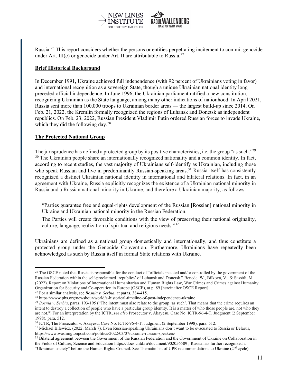

Russia.[26](#page-11-2) This report considers whether the persons or entities perpetrating incitement to commit genocide under Art. III(c) or genocide under Art. II are attributable to Russia.<sup>[27](#page-11-3)</sup>

# <span id="page-11-0"></span>**Brief Historical Background**

In December 1991, Ukraine achieved full independence (with 92 percent of Ukrainians voting in favor) and international recognition as a sovereign State, though a unique Ukrainian national identity long preceded official independence. In June 1996, the Ukrainian parliament ratified a new constitution, recognizing Ukrainian as the State language, among many other indications of nationhood. In April 2021, Russia sent more than 100,000 troops to Ukrainian border areas — the largest build-up since 2014. On Feb. 21, 2022, the Kremlin formally recognized the regions of Luhansk and Donetsk as independent republics. On Feb. 23, 2022, Russian President Vladimir Putin ordered Russian forces to invade Ukraine, which they did the following day.<sup>[28](#page-11-4)</sup>

# <span id="page-11-1"></span>**The Protected National Group**

The jurisprudence has defined a protected group by its positive characteristics, i.e. the group "as such."<sup>[29](#page-11-5)</sup> [30](#page-11-6) The Ukrainian people share an internationally recognized nationality and a common identity. In fact, according to recent studies, the vast majority of Ukrainians self-identify as Ukrainian, including those who speak Russian and live in predominantly Russian-speaking areas.<sup>[31](#page-11-7)</sup> Russia itself has consistently recognized a distinct Ukrainian national identity in international and bilateral relations. In fact, in an agreement with Ukraine, Russia explicitly recognizes the existence of a Ukrainian national minority in Russia and a Russian national minority in Ukraine, and therefore a Ukrainian majority, as follows:

"Parties guarantee free and equal-rights development of the Russian [Rossian] national minority in Ukraine and Ukrainian national minority in the Russian Federation.

The Parties will create favorable conditions with the view of preserving their national originality, culture, language, realization of spiritual and religious needs."[32](#page-11-8)

Ukrainians are defined as a national group domestically and internationally, and thus constitute a protected group under the Genocide Convention. Furthermore, Ukrainians have repeatedly been acknowledged as such by Russia itself in formal State relations with Ukraine.

<span id="page-11-3"></span><sup>27</sup> For a similar analysis, see *Bosnia v. Serbia*, at paras. 384-415.

<span id="page-11-2"></span><sup>&</sup>lt;sup>26</sup> The OSCE noted that Russia is responsible for the conduct of "officials instated and/or controlled by the government of the Russian Federation within the self-proclaimed 'republics' of Luhansk and Donetsk." Benede, W., Bílková, V., & Sassòli, M. (2022). Report on Violations of International Humanitarian and Human Rights Law, War Crimes and Crimes against Humanity. Organization for Security and Co-operation in Europe (OSCE), at p. 89 [hereinafter OSCE Report].

<span id="page-11-4"></span><sup>28</sup> https://www.pbs.org/newshour/world/a-historical-timeline-of-post-independence-ukraine

<span id="page-11-5"></span><sup>29</sup> *Bosnia v. Serbia*, paras. 193-195 ("The intent must also relate to the group 'as such'. That means that the crime requires an intent to destroy a collection of people who have a particular group identity. It is a matter of who those people are, not who they are not.") For an interpretation by the ICTR, *see also* Prosecutor v. Akayesu, Case No. ICTR-96-4-T. Judgment (2 September 1998), para. 512.

<span id="page-11-6"></span><sup>30</sup> ICTR, The Prosecutor v. Akayesu, Case No. ICTR-96-4-T. Judgment (2 September 1998), para. 512.

<span id="page-11-7"></span><sup>&</sup>lt;sup>31</sup> Michael Bilewicz. (2022, March 7). Even Russian-speaking Ukrainians don't want to be evacuated to Russia or Belarus, https://www.washingtonpost.com/politics/2022/03/07/ukraine-russian-speakers/

<span id="page-11-8"></span><sup>&</sup>lt;sup>32</sup> Bilateral agreement between the Government of the Russian Federation and the Government of Ukraine on Collaboration in the Fields of Culture, Science and Education<https://docs.cntd.ru/document/902056509> ; Russia has further recognized a "Ukrainian society" before the Human Rights Council. See Thematic list of UPR recommendations to Ukraine (2<sup>nd</sup> cycle)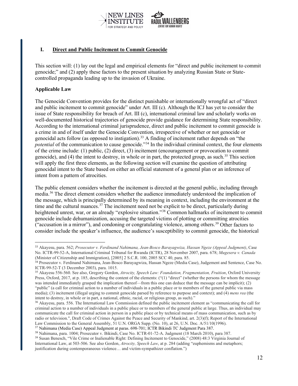

# <span id="page-12-0"></span>**I. Direct and Public Incitement to Commit Genocide**

This section will: (1) lay out the legal and empirical elements for "direct and public incitement to commit genocide;" and (2) apply these factors to the present situation by analyzing Russian State or Statecontrolled propaganda leading up to the invasion of Ukraine.

# <span id="page-12-1"></span>**Applicable Law**

The Genocide Convention provides for the distinct punishable or internationally wrongful act of "direct and public incitement to commit genocide" under Art. III (c). Although the ICJ has yet to consider the issue of State responsibility for breach of Art. III (c), international criminal law and scholarly works on well-documented historical trajectories of genocide provide guidance for determining State responsibility. According to the international criminal jurisprudence, direct and public incitement to commit genocide is a crime in and of itself under the Genocide Convention, irrespective of whether or not genocide or genocidal acts follow (as opposed to instigation).<sup>33</sup> A finding of incitement rather depends on "the *potential* of the communication to cause genocide."[34](#page-12-3) In the individual criminal context, the four elements of the crime include: (1) public, (2) direct, (3) incitement (encouragement or provocation to commit genocide), and  $(4)$  the intent to destroy, in whole or in part, the protected group, as such.<sup>35</sup> This section will apply the first three elements, as the following section will examine the question of attributing genocidal intent to the State based on either an official statement of a general plan or an inference of intent from a pattern of atrocities.

The public element considers whether the incitement is directed at the general public, including through media.[36](#page-12-5) The direct element considers whether the audience immediately understood the implication of the message, which is principally determined by its meaning in context, including the environment at the time and the cultural nuances.<sup>[37](#page-12-6)</sup> The incitement need not be explicit to be direct, particularly during heightened unrest, war, or an already "explosive situation."<sup>[38](#page-12-7)</sup> Common hallmarks of incitement to commit genocide include dehumanization, accusing the targeted victims of plotting or committing atrocities ("accusation in a mirror"), and condoning or congratulating violence, among others.[39](#page-12-8) Other factors to consider include the speaker's influence, the audience's susceptibility to commit genocide, the historical

<span id="page-12-2"></span><sup>33</sup> Akayesu, para. 562; *Prosecutor v. Ferdinand Nahimana, Jean-Bosco Barayagwiza, Hassan Ngeze (Appeal Judgment)*, Case No. ICTR-99-52-A, International Criminal Tribunal for Rwanda (ICTR), 28 November 2007, para. 678; *Mugesera v. Canada* (Minister of Citizenship and Immigration), [2005] 2 S.C.R. 100, 2005 SCC 40, para. 85.

<span id="page-12-3"></span><sup>34</sup> Prosecutor v. Ferdinand Nahimana, Jean-Bosco Barayagwiza, Hassan Ngeze (Media Case), Judgement and Sentence, Case No. ICTR-99-52-T (3 December 2003), para. 1015.

<span id="page-12-4"></span><sup>35</sup> Akayesu 556-560. See also, Gregory Gordon, *Atrocity, Speech Law: Foundation, Fragmentation, Fruition*, Oxford University Press, Oxford, 2017, at p. 185, describing the content of the elements: ("(1) "direct" (whether the persons for whom the message was intended immediately grasped the implication thereof—from this one can deduce that the message can be implicit); (2) "public" (a call for criminal action to a number of individuals in a public place or to members of the general public via mass media); (3) incitement (illegal urging to commit genocide parsed by reference to purpose and context); and (4) *mens rea* (the intent to destroy, in whole or in part, a national, ethnic, racial, or religious group, as such)."

<span id="page-12-5"></span><sup>36</sup> Akayesu, para. 556. The International Law Commission defined the public incitement element as "communicating the call for criminal action to a number of individuals in a public place or to members of the general public at large. Thus, an individual may communicate the call for criminal action in person in a public place or by technical means of mass communication, such as by radio or television.", Draft Code of Crimes Against the Peace and Security of Mankind, art. 2(3)(f); Report of the International Law Commission to the General Assembly, 51 U.N. ORGA Supp. (No. 10), at 26, U.N. Doc. A/51/10(1996).<br><sup>37</sup> Nahimana (Media Case) Appeal Judgment at paras. 698-701; ICTR Bikindi TC Judgment Para 387.

<span id="page-12-6"></span>

<span id="page-12-8"></span><span id="page-12-7"></span><sup>&</sup>lt;sup>38</sup> Nahimana, para. 1004; Prosecutor v. Bikindi, Case No. ICTR-01-72-A. Judgment (18 March 2010), para 387. <sup>39</sup> Susan Benesch, "Vile Crime or Inalienable Right: Defining Incitement to Genocide," (2008) 48:3 Virginia Journal of International Law, at 503-506. See also Gordon, *Atrocity, Speech Law*, at p. 284 (adding "euphemisms and metaphors; justification during contemporaneous violence... and victim-sympathizer conflation.")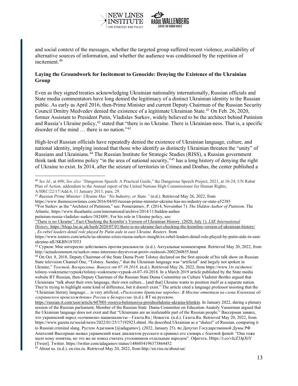

and social context of the messages, whether the targeted group suffered recent violence, availability of alternative sources of information, and whether the audience was conditioned by the repetition of incitement.[40](#page-13-0) 

# **Laying the Groundwork for Incitement to Genocide: Denying the Existence of the Ukrainian Group**

Even as they signed treaties acknowledging Ukrainian nationality internationally, Russian officials and State media commentators have long denied the legitimacy of a distinct Ukrainian identity to the Russian public. As early as April 2016, then-Prime Minister and current Deputy Chairman of the Russian Security Council Dmitry Medvedev denied the existence of a legitimate Ukrainian State.<sup>41</sup> On Feb. 26, 2020, former Assistant to President Putin, Vladislav Surkov, widely believed to be the architect behind Putinism and Russia's Ukraine policy,<sup>[42](#page-13-2)</sup> stated that "there is no Ukraine. There is Ukrainian-ness. That is, a specific disorder of the mind … there is no nation."[43](#page-13-3)

High-level Russian officials have repeatedly denied the existence of Ukrainian language, culture, and national identity, implying instead that those who identify as distinctly Ukrainian threaten the "unity" of Russians and Ukrainians.[44](#page-13-4) The Russian Institute for Strategic Studies (RISS), a Russian government think tank that informs policy "in the area of national security,"[45](#page-13-5) has a long history of denying the right of Ukraine to exist. In 2014, after the seizure of territories in Crimea and Donbas, the center published a

<span id="page-13-2"></span>https://www.themoscowtimes.com/2016/04/05/russian-prime-minister-ukraine-has-no-industry-or-state-a52385 42For Surkov as the "Architect of Putinism," see: Pomerantsev, P. (2014, November 7). *The Hidden Author of Putinism*. The Atlantic. https://www.theatlantic.com/international/archive/2014/11/hidden-author putinism-russia-vladislav-surkov/382489/, For his role in Ukraine policy, see:

мало кому понятна, но это же не повод считать уголовников отдельным народом". Офигеть. Https://t.co/vIcZ3JpXtY [Tweet]. Twitter. https://twitter.com/adagamov/status/1486054196373864452

<span id="page-13-0"></span><sup>40</sup> *See Id.*, at 498; *See also "*Dangerous Speech: A Practical Guide," the Dangerous Speech Project, 2021, at 10-24; UN Rabat Plan of Action, addendum to the Annual report of the United Nations High Commissioner for Human Rights, A/HRC/22/17/Add.4, 11 January 2013, para. 29.

<span id="page-13-1"></span><sup>41</sup> *Russian Prime Minister: Ukraine Has "No Industry, or State."* (n.d.). Retrieved May 26, 2022, from

[<sup>&</sup>quot;There is no Ukraine": Fact-Checking the Kremlin's Version of Ukrainian History. \(2020, July 1\).](about:blank) *[LSE International](about:blank)* 

*[History](about:blank)*[. https://blogs.lse.ac.uk/lseih/2020/07/01/there-is-no-ukraine-fact-checking-the-kremlins-version-of-ukrainian-history/](about:blank) , *Ex-rebel leaders detail role played by Putin aide in east Ukraine. Reuters*. from

https://www.reuters.com/article/us-ukraine-crisis-russia-surkov-insight/ex-rebel-leaders-detail-role-played-by-putin-aide-in-eastukraine-idUSKBN1870TJ

<span id="page-13-3"></span><sup>&</sup>lt;sup>43</sup> Сурков: Мне интересно действовать против реальности. (n.d.). Актуальные комментарии. Retrieved May 20, 2022, from

<span id="page-13-4"></span>http://actualcomment.ru/surkov-mne-interesno-deystvovat-protiv-realnosti-2002260855.html 44 On Oct. 8, 2018, Deputy Chairman of the State Duma Pyotr Tolstoy declared on the first episode of his talk show on Russian State television Channel One, "Tolstoy. Sunday," that the Ukrainian language was "artificial" and largely not spoken in Ukraine," *Толстой. Воскресенье. Выпуск от 07.10.2018*. (n.d.). Retrieved May 26, 2022, from https://www.1tv.ru/shows/ tolstoy-voskresene/vypuski/tolstoy-voskresene-vypusk-ot-07-10-2018. In a March 2019 article published by the State media website RT Russian, then-Deputy Chairman of the Russian State Duma Committee on Culture Vladimir Bortko argued that Ukrainians "talk about their own language, their own culture... [and that] Ukraine wants to position itself as a separate nation. They're trying to highlight some kind of difference, but it doesn't exist." The article cited a language professor insisting that the "Ukrainian literary language… is very artificial, *«Расколоть братские народы»: В Москве ответили на слова Климкина об «украинском происхождении» России и Белоруссии*. (n.d.). RT на русском.

<https://russian.rt.com/ussr/article/607001-rossiya-belorussiya-proishozhdenie-ukraina-klimkin>*.* In January 2022, during a plenary session of the Russian parliament, Member of the Russian State Duma Committee on Education Anatoly Vasserman argued that the Ukrainian language does not exist and that "Ukrainians are an inalienable part of the Russian people." Вассерман заявил, что украинский народ «сочинили» националисты—Газета.Ru | Новости. (n.d.). Газета.Ru. Retrieved May 20, 2022, from https://www.gazeta.ru/social/news/2022/01/25/17192923.shtml. He described Ukrainian as a "dialect" of Russian, comparing it to Russian criminal slang. Рустем Адагамов [@adagamov]. (2022, January 25). RU Депутат Государственной Думы РФ Анатолий Вассерман назвал украинский язык диалектом русского и сравнил его словарь с блатной феней: "Она тоже

<span id="page-13-5"></span><sup>45</sup> About us. (n.d.). en.riss.ru. Retrieved May 20, 2022, from http://en.riss.ru/about-us/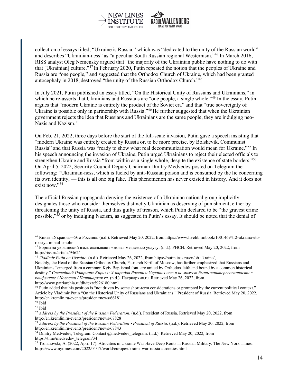

collection of essays titled, "Ukraine is Russia," which was "dedicated to the unity of the Russian world" and describes "Ukrainian-ness" as "a peculiar South Russian regional Westernism."[46](#page-14-0) In March 2016, RISS analyst Oleg Nemensky argued that "the majority of the Ukrainian public have nothing to do with that [Ukrainian] culture."[47](#page-14-1) In February 2020, Putin repeated the notion that the peoples of Ukraine and Russia are "one people," and suggested that the Orthodox Church of Ukraine, which had been granted autocephaly in 2018, destroyed "the unity of the Russian Orthodox Church."[48](#page-14-2)

In July 2021, Putin published an essay titled, "On the Historical Unity of Russians and Ukrainians," in which he re-asserts that Ukrainians and Russians are "one people, a single whole."<sup>[49](#page-14-3)</sup> In the essay, Putin argues that "modern Ukraine is entirely the product of the Soviet era" and that "true sovereignty of Ukraine is possible only in partnership with Russia."[50](#page-14-4) He further suggested that when the Ukrainian government rejects the idea that Russians and Ukrainians are the same people, they are indulging neo-Nazis and Nazism.<sup>[51](#page-14-5)</sup>

On Feb. 21, 2022, three days before the start of the full-scale invasion, Putin gave a speech insisting that "modern Ukraine was entirely created by Russia or, to be more precise, by Bolshevik, Communist Russia" and that Russia was "ready to show what real decommunization would mean for Ukraine."[52](#page-14-6) In his speech announcing the invasion of Ukraine, Putin urged Ukrainians to reject their elected officials to strengthen Ukraine and Russia "from within as a single whole, despite the existence of state borders."<sup>[53](#page-14-7)</sup> On April 5, 2022, Security Council Deputy Chairman Dmitry Medvedev posted on Telegram the following: "Ukrainian-ness, which is fueled by anti-Russian poison and is consumed by the lie concerning its own identity, — this is all one big fake. This phenomenon has never existed in history. And it does not exist now."<sup>[54](#page-14-8)</sup>

The official Russian propaganda denying the existence of a Ukrainian national group implicitly designates those who consider themselves distinctly Ukrainian as deserving of punishment, either by threatening the unity of Russia, and thus guilty of treason, which Putin declared to be "the gravest crime possible,"[55](#page-14-9) or by indulging Nazism, as suggested in Putin's essay. It should be noted that the denial of

<span id="page-14-0"></span><sup>46</sup> Книга «Украина—Это Россия». (n.d.). Retrieved May 20, 2022, from https://www.livelib.ru/book/1001469412-ukraina-etorossiya-mihail-smolin

<span id="page-14-1"></span><sup>47</sup> Борцы за украинский язык оказывают «мове» медвежью услугу. (n.d.). РИСИ. Retrieved May 20, 2022, from http://riss.ru/article/9462/

<span id="page-14-2"></span><sup>48</sup> *Vladimir Putin on Ukraine*. (n.d.). Retrieved May 26, 2022, from https://putin.tass.ru/en/ob-ukraine/,

Notably, the Head of the Russian Orthodox Church, Patriarch Kirill of Moscow, has further emphasized that Russians and Ukrainians "emerged from a common Kyiv Baptismal font, are united by Orthodox faith and bound by a common historical destiny." *Святейший Патриарх Кирилл: У народов России и Украины нет и не может быть заинтересованности в конфликте / Новости / Патриархия.ru*. (n.d.). Патриархия.ru. Retrieved May 26, 2022, from http://www.patriarchia.ru/db/text/5926180.html

<span id="page-14-3"></span><sup>49</sup> Putin added that his position is "not driven by some short-term considerations or prompted by the current political context." Article by Vladimir Putin "On the Historical Unity of Russians and Ukrainians." President of Russia. Retrieved May 20, 2022, http://en.kremlin.ru/events/president/news/66181

 $50$  Ibid

<span id="page-14-5"></span><span id="page-14-4"></span><sup>51</sup> Ibid

<span id="page-14-6"></span><sup>52</sup> *Address by the President of the Russian Federation*. (n.d.). President of Russia. Retrieved May 20, 2022, from http://en.kremlin.ru/events/president/news/67828

<span id="page-14-7"></span><sup>53</sup> *Address by the President of the Russian Federation • President of Russia*. (n.d.). Retrieved May 20, 2022, from http://en.kremlin.ru/events/president/news/67843

<span id="page-14-8"></span><sup>&</sup>lt;sup>54</sup> Dmitry Medvedev, Telegram: Contact @medvedev\_telegram. (n.d.). Retrieved May 20, 2022, from https://t.me/medvedev\_telegram/34

<span id="page-14-9"></span><sup>55</sup> Troianovski, A. (2022, April 17). Atrocities in Ukraine War Have Deep Roots in Russian Military. The New York Times. https://www.nytimes.com/2022/04/17/world/europe/ukraine-war-russia-atrocities.html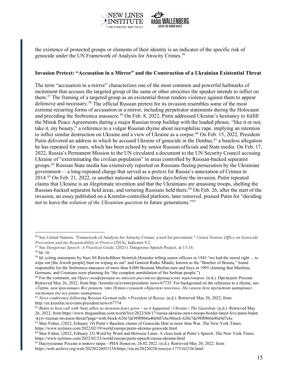

the existence of protected groups or elements of their identity is an indicator of the specific risk of genocide under the UN Framework of Analysis for Atrocity Crimes.<sup>[56](#page-15-1)</sup>

#### <span id="page-15-0"></span>**Invasion Pretext: "Accusation in a Mirror" and the Construction of a Ukrainian Existential Threat**

The term "accusation in a mirror" characterizes one of the most common and powerful hallmarks of incitement that accuses the targeted group of the same or other atrocities the speaker intends to inflict on them.[57](#page-15-2) The framing of a targeted group as an existential threat renders violence against them to appear defensive and necessary.[58](#page-15-3) The official Russian pretext for its invasion resembles some of the most extreme recurring forms of accusation in a mirror, including perpetrator statements during the Holocaust and preceding the Srebrenica massacre.<sup>[59](#page-15-4)</sup> On Feb. 8, 2022, Putin addressed Ukraine's hesitancy to fulfill the Minsk Peace Agreements during a major Russian troop buildup with the loaded phrase, "like it or not, take it, my beauty," a reference to a vulgar Russian rhyme about necrophiliac rape, implying an intention to inflict similar destruction on Ukraine and a view of Ukraine as a corpse.<sup>[60](#page-15-5)</sup> On Feb. 15, 2022, President Putin delivered an address in which he accused Ukraine of genocide in the Donbas,<sup>[61](#page-15-6)</sup> a baseless allegation he has repeated for years, which has been echoed by senior Russian officials and State media. On Feb. 17, 2022, Russia's Permanent Mission to the UN circulated a document to the UN Security Council accusing Ukraine of "exterminating the civilian population" in areas controlled by Russian-backed separatist groups.<sup>[62](#page-15-7)</sup> Russian State media has extensively reported on Russians fleeing persecution by the Ukrainian government— a long-repeated charge that served as a pretext for Russia's annexation of Crimea in 2014.[63](#page-15-8) On Feb. 21, 2022, in another national address three days before the invasion, Putin repeated claims that Ukraine is an illegitimate invention and that the Ukrainians are amassing troops, shelling the Russian-backed separatist held areas, and torturing Russians held there.<sup>[64](#page-15-9)</sup> On Feb. 26, after the start of the invasion, an essay published on a Kremlin-controlled platform, later removed, praised Putin for "deciding not to leave the *solution of the Ukrainian question* to future generations."[65](#page-15-10)

<span id="page-15-1"></span><sup>56</sup> See United Nations. "Framework of Analysis for Atrocity Crimes: a tool for prevention." *United Nations Office on Genocide Prevention and the Responsibility to Protect* (2014), Indicator 9.2.

<span id="page-15-2"></span><sup>57</sup> See *Dangerous Speech: A Practical Guide*. (2021). Dangerous Speech Project, at 15-16.

<span id="page-15-3"></span><sup>58</sup> Id. 16.

<span id="page-15-4"></span><sup>59</sup> Id. (citing statements by Nazi SS Reichsführer Heinrich Himmler telling senior officers in 1943 "we had the moral right ... to wipe out [the Jewish people] bent on wiping us out" and General Ratko Mladić, known as the "Butcher of Bosnia," found responsible for the Srebrenica massacre of more than 8,000 Bosnian Muslim men and boys in 1995 claiming that Muslims, Germans, and Croatians were planning for "the complete annihilation of the Serbian people.")

<span id="page-15-5"></span><sup>60</sup> For the comment, see *Пресс-конференция по итогам российско-французских переговоров*. (n.d.). Президент России. Retrieved May 26, 2022, from http://kremlin.ru/events/president/ news/67735 For background on the reference to a rhyme, see: *«Терпи, моя красавица» Все решили, что Путин слушает «Красную плесень». На самом деле президент цитировал частушки (но все равно матерные)*. 61 *News conference following Russian-German talks • President of Russia*. (n.d.). Retrieved May 26, 2022, from

<span id="page-15-6"></span>http://en.kremlin.ru/events/president/news/67774

<span id="page-15-7"></span> $62$  Biden to host call with Nato allies as invasion fears grow – as it happened | Ukraine | The Guardian. (n.d.). Retrieved May 26, 2022, from https://www.theguardian.com/world/live/2022/feb/17/russia-ukraine-news-troops-border-latest-live-putin-biden -kyiv-russian-invasion-threat?page=with:block-620e7dc98f0866a40a9d7c6c#block-620e7dc98f0866a40a9d7c6c

<span id="page-15-8"></span><sup>&</sup>lt;sup>63</sup> Max Fisher, (2022, Febuary 19) Putin's Baseless claims of Genocide Hint at more than War. The New York Times. https://www.nytimes.com/2022/02/19/world/europe/putin-ukraine-genocide.html

<span id="page-15-9"></span><sup>64</sup> Max Fisher, (2022, Febuary 23) Word by Word and Between Lines: A close look at Putin's Speech. The New York Times. https://www.nytimes.com/2022/02/23/world/europe/putin-speech-russia-ukraine.html

<span id="page-15-10"></span><sup>&</sup>lt;sup>65</sup> Наступление России и нового мира—РИА Новости, 26.02.2022. (n.d.). Retrieved May 20, 2022, from

https://web.archive.org/web/20220226051154/https://ria.ru/20220226/rossiya-1775162336.html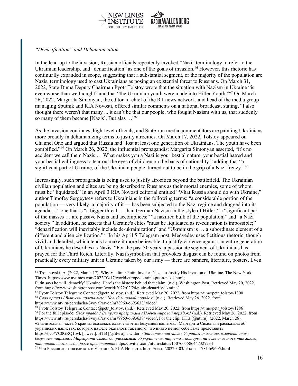

# <span id="page-16-0"></span>*"Denazification" and Dehumanization*

In the lead-up to the invasion, Russian officials repeatedly invoked "Nazi" terminology to refer to the Ukrainian leadership, and "denazification" as one of the goals of invasion.<sup>[66](#page-16-1)</sup> However, this rhetoric has continually expanded in scope, suggesting that a substantial segment, or the majority of the population are Nazis, terminology used to cast Ukrainians as posing an existential threat to Russians. On March 31, 2022, State Duma Deputy Chairman Pyotr Tolstoy wrote that the situation with Nazism in Ukraine "is even worse than we thought" and that "the Ukrainian youth were made into Hitler Youth."[67](#page-16-2) On March 26, 2022, Margarita Simonyan, the editor-in-chief of the RT news network, and head of the media group managing Sputnik and RIA Novosti, offered similar comments on a national broadcast, stating, "I also thought there weren't that many ... it can't be that our people, who fought Nazism with us, that suddenly so many of them became [Nazis]. But alas …"[68](#page-16-3)

As the invasion continues, high-level officials, and State-run media commentators are painting Ukrainians more broadly in dehumanizing terms to justify atrocities. On March 17, 2022, Tolstoy appeared on Channel One and argued that Russia had "lost at least one generation of Ukrainians. The youth have been zombified."[69](#page-16-4) On March 26, 2022, the influential propagandist Margarita Simonyan asserted, "it's no accident we call them Nazis … What makes you a Nazi is your bestial nature, your bestial hatred and your bestial willingness to tear out the eyes of children on the basis of nationality," adding that "a significant part of Ukraine, of the Ukrainian people, turned out to be in the grip of a Nazi frenzy."<sup>[70](#page-16-5)</sup>

Increasingly, such propaganda is being used to justify atrocities beyond the battlefield. The Ukrainian civilian population and elites are being described to Russians as their mortal enemies, some of whom must be "liquidated." In an April 3 RIA Novosti editorial entitled "What Russia should do with Ukraine," author Timofey Sergeytsev refers to Ukrainians in the following terms: "a considerable portion of the population — very likely, a majority of it — has been subjected to the Nazi regime and dragged into its agenda …" one that is "a bigger threat … than German Nazism in the style of Hitler;" a "significant part of the masses … are passive Nazis and accomplices;" "a nazified bulk of the population;" and "a Nazi society." In addition, he asserts that Ukraine's elites "must be liquidated as re-education is impossible;" "denazification will inevitably include de-ukrainization;" and "Ukrainism is … a subordinate element of a different and alien civilization."<sup>[71](#page-16-6)</sup> In his April 5 Telegram post, Medvedev uses fictitious rhetoric, though vivid and detailed, which tends to make it more believable, to justify violence against an entire generation of Ukrainians he describes as Nazis: "For the past 30 years, a passionate segment of Ukrainians has prayed for the Third Reich. Literally. Nazi symbolism that provokes disgust can be found on photos from practically every military unit in Ukraine taken by our army — there are banners, literature, posters. Even

<span id="page-16-3"></span>https://www.ntv.ru/peredacha/SvoyaPravda/m78960/o693638/ video/

<span id="page-16-5"></span><sup>70</sup> For the full episode: *Своя правда / Выпуски программы / Новый мировой порядок?* (n.d.). Retrieved May 26, 2022, from https://www.ntv.ru/peredacha/SvoyaPravda/m78960/o693638/ video/, For the clip: НТВ [@ntvru]. (2022, March 26). «Значительная часть Украины оказалась охвачена этим безумием нацизма». Маргарита Симоньян рассказала об украинских нацистах, которых на деле оказалось так много, что никто не мог себе даже представить https://t.co/VC0GRQ1lwk [Tweet]. НТВ [@ntvru], Twitter. *«Значительная часть Украины оказалась охвачена этим* 

*безумием нацизма». Маргарита Симоньян рассказала об украинских нацистах, которых на деле оказалось так много, что никто не мог себе даже представить* https://twitter.com/ntvru/status/1507605586447327234 71 Что Россия должна сделать с Украиной. РИА Новости. https://ria.ru/20220403/ukraina-1781469605.html

<span id="page-16-1"></span><sup>66</sup> Troianovski, A. (2022, March 17). Why Vladimir Putin Invokes Nazis to Justify His Invasion of Ukraine. The New York Times. https://www.nytimes.com/2022/03/17/world/europe/ukraine-putin-nazis.html;

Putin says he will 'denazify' Ukraine. Here's the history behind that claim. (n.d.). Washington Post. Retrieved May 20, 2022, from https://www.washingtonpost.com/world/2022/02/24/putin-denazify-ukraine/

<span id="page-16-2"></span><sup>67</sup> Pyotr Tolstoy Telegram: Contact @petr\_tolstoy. (n.d.). Retrieved May 20, 2022, from https://t.me/petr\_tolstoy/1300 <sup>68</sup> *Своя правда / Выпуски программы / Новый мировой порядок?* (n.d.). Retrieved May 26, 2022, from

<span id="page-16-4"></span><sup>&</sup>lt;sup>69</sup> Pyotr Tolstoy Telegram: Contact @petr\_tolstoy. (n.d.). Retrieved May 20, 2022, from https://t.me/petr\_tolstoy/1286

<span id="page-16-6"></span>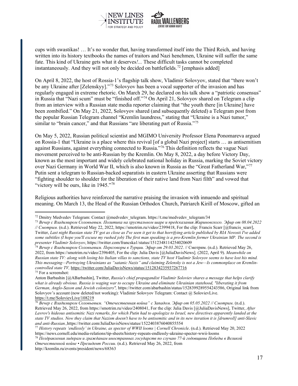

cups with swastikas! … It's no wonder that, having transformed itself into the Third Reich, and having written into its history textbooks the names of traitors and Nazi henchmen, Ukraine will suffer the same fate. This kind of Ukraine gets what it deserves*!...* These difficult tasks cannot be completed instantaneously. And they will not only be decided on battlefields.<sup>[72](#page-17-0)</sup> [emphasis added]

On April 8, 2022, the host of Rossia-1's flagship talk show, Vladimir Solovyov, stated that "there won't be any Ukraine after [Zelenskyy]."[73](#page-17-1) Solovyov has been a vocal supporter of the invasion and has regularly engaged in extreme rhetoric. On March 29, he declared on his talk show a "patriotic consensus" in Russia that "Nazi scum" must be "finished off."[74](#page-17-2) On April 21, Solovyov shared on Telegram a clip from an interview with a Russian state media reporter claiming that "the youth there [in Ukraine] have been zombified." On May 21, 2022, Solovyov shared (and subsequently deleted) a Telegram post from the popular Russian Telegram channel "Kremlin laundress," stating that "Ukraine is a Nazi tumor," similar to "brain cancer," and that Russians "are liberating part of Russia."<sup>[75](#page-17-3)</sup>

On May 5, 2022, Russian political scientist and MGIMO University Professor Elena Ponomareva argued on Rossia-1 that "Ukraine is a place where this revival [of a global Nazi project] starts … as antisemitism against Russians, against everything connected to Russia."[76](#page-17-4) This definition reflects the vague Nazi movement perceived to be anti-Russian by the Kremlin. On May 8, 2022, a day before Victory Day, known as the most important and widely celebrated national holiday in Russia, marking the Soviet victory over Nazi Germany in World War II, which is also known in Russia as the "Great Fatherland War,"[77](#page-17-5) Putin sent a telegram to Russian-backed separatists in eastern Ukraine asserting that Russians were "fighting shoulder to shoulder for the liberation of their native land from Nazi filth" and vowed that "victory will be ours, like in 1945."<sup>[78](#page-17-6)</sup>

Religious authorities have reinforced the narrative praising the invasion with innuendo and spiritual meaning. On March 13, the Head of the Russian Orthodox Church, Patriarch Kirill of Moscow, gifted an

<span id="page-17-0"></span><sup>72</sup> Dmitry Medvedev Telegram: Contact @medvedev\_telegram. https://t.me/medvedev\_telegram/34

<span id="page-17-1"></span><sup>73</sup> *Вечер с Владимиром Соловьевым. Политика на хрустальном шаре и предсказания Жириновского. Эфир от 08.04.2022*  // Смотрим. (n.d.). Retrieved May 22, 2022, https://smotrim.ru/video/2399418, For the clip: Francis Scarr [@francis\_scarr], Twitter, *Last night Russian state TV got as close as I've seen it get to that horrifying article published by RIA Novosti I've added some subtitles (I hope you'll excuse my rushed job) The first man speaking is a pro-Kremlin former Ukrainian MP. The second is presenter Vladimir Solovyov*, https://twitter.com/francska1/status/1512348114254020609

<span id="page-17-2"></span><sup>74</sup> *Вечер с Владимиром Соловьевым. Переговоры в Турции. Эфир от 29.03.2022*. // Смотрим. (n.d.). Retrieved May 26, 2022, from https://smotrim.ru/video/2396405, For the clip: Julia Davis [@JuliaDavisNews]. (2022, April 9). *Meanwhile on Russian state TV: along with losing his Italian villas to sanctions, state TV host Vladimir Solovyov seems to have lost his mind. This messaging—Portraying Ukrainians as "satanic Nazis" and claiming Zelensky is not a Jew—Is commonplace on Kremlincontrolled state TV,* <https://twitter.com/JuliaDavisNews/status/1512834235937267716> <sup>75</sup> For a screenshot:

<span id="page-17-3"></span>Anton Barbashin [@ABarbashin], Twitter, *Russia's chief propagandist Vladimir Soloviev shares a message that helps clarify what is already obvious. Russia is waging war to occupy Ukraine and eliminate Ukrainian statehood, "liberating it from German, Anglo-Saxon and Jewish colonizers",* https://twitter.com/abarbashin/status/1528399289554243586, Original link from Solovyov's account (now deleted/not working): Vladimir Solovyov Telegram: Contact @ SolovievLive. https://t.me/SolovievLive/108219

<span id="page-17-4"></span><sup>76</sup> *Вечер с Владимиром Соловьевым. "Отечественная война" с Западом. Эфир от 05.05.2022 // Смотрим*. (n.d.). Retrieved May 26, 2022, from https://smotrim.ru/video/2408041, For the clip: Julia Davis [@JuliaDavisNews], Twitter, *After Lavrov's hideous antisemitic Nazi remarks, for which Putin had to apologize to Israel, new directives apparently landed at the state TV studios. Now they claim that Nazism doesn't have to be antisemitic and in its new iteration it is [drumroll] anti-Slavic and anti-Russian.,*https://twitter.com/JuliaDavisNews/status/1522403876040855554

<span id="page-17-5"></span><sup>77</sup> *History repeats 'endlessly' in Ukraine, as specter of WWII looms | Cornell Chronicle*. (n.d.). Retrieved May 20, 2022

<span id="page-17-6"></span><sup>&</sup>lt;sup>78</sup> Поздравления лидерам и гражданам иностранных государств по случаю 77-й годовщины Победы в Великой *Отечественной войне • Президент России*. (n.d.). Retrieved May 26, 2022, from http://kremlin.ru/events/president/news/68363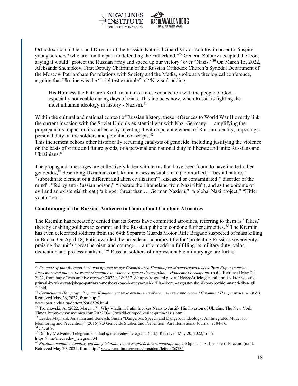

Orthodox icon to Gen. and Director of the Russian National Guard Viktor Zolotov in order to "inspire young soldiers" who are "on the path to defending the Fatherland."<sup>79</sup> General Zolotov accepted the icon, saying it would "protect the Russian army and speed up our victory" over "Nazis."<sup>80</sup> On March 15, 2022, Aleksandr Shchipkov, First Deputy Chairman of the Russian Orthodox Church's Synodal Department of the Moscow Patriarchate for relations with Society and the Media, spoke at a theological conference, arguing that Ukraine was the "brightest example" of "Nazism" adding:

His Holiness the Patriarch Kirill maintains a close connection with the people of God… especially noticeable during days of trials. This includes now, when Russia is fighting the most inhuman ideology in history - Nazism.[81](#page-18-3)

Within the cultural and national context of Russian history, these references to World War II overtly link the current invasion with the Soviet Union's existential war with Nazi Germany — amplifying the propaganda's impact on its audience by injecting it with a potent element of Russian identity, imposing a personal duty on the soldiers and potential conscripts.[82](#page-18-4)

This incitement echoes other historically recurring catalysts of genocide, including justifying the violence on the basis of virtue and future goods, or a personal and national duty to liberate and unite Russians and Ukrainians[.83](#page-18-5)

The propaganda messages are collectively laden with terms that have been found to have incited other genocides,<sup>[84](#page-18-6)</sup> describing Ukrainians or Ukrainian-ness as subhuman ("zombified," "bestial nature," "subordinate element of a different and alien civilization"), diseased or contaminated ("disorder of the mind", "fed by anti-Russian poison," "liberate their homeland from Nazi filth"), and as the epitome of evil and an existential threat ("a bigger threat than … German Nazism," "a global Nazi project," "Hitler youth," etc.).

#### <span id="page-18-0"></span>**Conditioning of the Russian Audience to Commit and Condone Atrocities**

The Kremlin has repeatedly denied that its forces have committed atrocities, referring to them as "fakes," thereby enabling soldiers to commit and the Russian public to condone further atrocities.<sup>[85](#page-18-7)</sup> The Kremlin has even celebrated soldiers from the 64th Separate Guards Motor Rifle Brigade suspected of mass killing in Bucha. On April 18, Putin awarded the brigade an honorary title for "protecting Russia's sovereignty," praising the unit's "great heroism and courage … a role model in fulfilling its military duty, valor, dedication and professionalism."[86](#page-18-8) Russian soldiers of impressionable military age are further

<span id="page-18-1"></span><sup>79</sup> *Генерал армии Виктор Золотов принял из рук Святейшего Патриарха Московского и всея Руси Кирилла икону Августовской иконы Божией Матери для главного храма Росгвардии – Новости Росгвардии*. (n.d.). Retrieved May 20, 2022, from https://web.archive.org/web/20220418063718/https://rosguard.gov.ru/ News/Article/general-armii-viktor-zolotovprinyal-iz-ruk-svyatejshego-patriarxa-moskovskogo-i--vseya-rusi-kirilla--ikonu--avgustovskoj-ikony-bozhiej-materi-dlya- gll  $80$  Ibid.

<span id="page-18-3"></span><span id="page-18-2"></span><sup>81</sup> *Святейший Патриарх Кирилл. Концептуальное влияние на общественные процессы / Статьи / Патриархия.ru*. (n.d.). Retrieved May 26, 2022, from http://

www.patriarchia.ru/db/text/5908596.html

<span id="page-18-4"></span><sup>82</sup> Troianovski, A. (2022, March 17). Why Vladimir Putin Invokes Nazis to Justify His Invasion of Ukraine. The New York Times. https://www.nytimes.com/2022/03/17/world/europe/ukraine-putin-nazis.html

<span id="page-18-5"></span><sup>83</sup> Leader Maynard, Jonathan and Benesch, Susan "Dangerous Speech and Dangerous Ideology: An Integrated Model for Monitoring and Prevention," (2016) 9:3 Genocide Studies and Prevention: An International Journal, at 84-86. <sup>84</sup> *Id*., at 80

<span id="page-18-7"></span><span id="page-18-6"></span><sup>85</sup> Dmitry Medvedev Telegram: Contact @medvedev\_telegram. (n.d.). Retrieved May 20, 2022, from https://t.me/medvedev\_telegram/34

<span id="page-18-8"></span><sup>86</sup> *Командованию и личному составу 64 отдельной гвардейской мотострелковой* бригады • Президент России. (n.d.). Retrieved May 20, 2022, from http:/[/ www.kremlin.ru/events/president/letters/68234](http://www.kremlin.ru/events/president/letters/68234)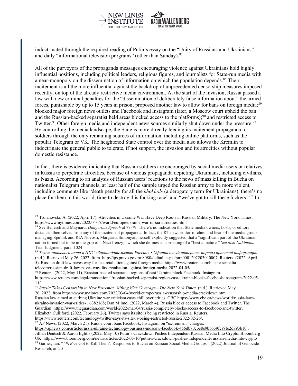

indoctrinated through the required reading of Putin's essay on the "Unity of Russians and Ukrainians" and daily "informational television programs" (other than Sunday).<sup>[87](#page-19-0)</sup>

All of the purveyors of the propaganda messages encouraging violence against Ukrainians hold highly influential positions, including political leaders, religious figures, and journalists for State-run media with a near-monopoly on the dissemination of information on which the population depends.<sup>[88](#page-19-1)</sup> Their incitement is all the more influential against the backdrop of unprecedented censorship measures imposed recently, on top of the already restrictive media environment. At the start of the invasion, Russia passed a law with new criminal penalties for the "dissemination of deliberately false information about" the armed forces, punishable by up to 15 years in prison; proposed another law to allow for bans on foreign media;<sup>[89](#page-19-2)</sup> blocked major foreign news outlets and Facebook and Instagram (later, a Moscow court upheld the ban and the Russian-backed separatist held areas blocked access to the platforms);<sup>[90](#page-19-3)</sup> and restricted access to Twitter.<sup>91</sup> Other foreign media and independent news sources similarly shut down under the pressure.<sup>[92](#page-19-5)</sup> By controlling the media landscape, the State is more directly feeding its incitement propaganda to soldiers through the only remaining sources of information, including online platforms, such as the popular Telegram or VK. The heightened State control over the media also allows the Kremlin to indoctrinate the general public to tolerate, if not support, the invasion and its atrocities without popular domestic resistance.

In fact, there is evidence indicating that Russian soldiers are encouraged by social media users or relatives in Russia to perpetrate atrocities, because of vicious propaganda depicting Ukrainians, including civilians, as Nazis. According to an analysis of Russian users' reactions to the news of mass killing in Bucha on nationalist Telegram channels, at least half of the sample urged the Russian army to be more violent, including comments like "death penalty for all the *khokhols* (a derogatory term for Ukrainians), there's no place for them in this world, time to destroy this fucking race" and "we've got to kill these fuckers."[93](#page-19-6) In

telecom/russian-draft-law-paves-way-fast-retaliation-against-foreign-media-2022-04-05/

Elizabeth Culliford. (2022, February 26). Twitter says its site is being restricted in Russia. Reuters.

https://www.reuters.com/technology/twitter-says-its-site-is-being-restricted-russia-2022-02-26/.

<span id="page-19-5"></span><sup>92</sup> AP News. (2022, March 21). Russia court bans Facebook, Instagram on "extremism" charges.

[https://apnews.com/article/russia-ukraine-technology-business-moscow-facebook-456db70cbe8e9bb639fca9fe2d793b10 ;](https://apnews.com/article/russia-ukraine-technology-business-moscow-facebook-456db70cbe8e9bb639fca9fe2d793b10)

<span id="page-19-0"></span><sup>87</sup> Troianovski, A. (2022, April 17). Atrocities in Ukraine War Have Deep Roots in Russian Military. The New York Times. https://www.nytimes.com/2022/04/17/world/europe/ukraine-war-russia-atrocities.html

<span id="page-19-1"></span><sup>88</sup> See Benesch and Maynard, *Dangerous Speech* at 77-79. There's no indication that State media owners, hosts, or editors distanced themselves from any of the incitement propaganda. In fact, the RT news editor-in-chief and head of the media group managing Sputnik and RIA Novosti, Margarita Simonyan, herself explicitly suggested that a "significant part of the Ukrainian nation turned out to be in the grip of a Nazi frenzy," which she defines as consisting of a "bestial nature." *See also Nahimana* Trial Judgment*,* para. 1024.

<span id="page-19-2"></span><sup>89</sup> *Текст правового акта в ИПС «Законодательство России» • Официальный интернет-портал правовой информации*. (n.d.). Retrieved May 26, 2022, from http://ips.pravo.gov.ru:8080/default.aspx?pn=0001202203040007, Reuters. (2022, April 5). Russian draft law paves way for fast retaliation against foreign media. https://www.reuters.com/business/media-

<span id="page-19-3"></span><sup>90</sup> Reuters. (2022, May 11). Russian-backed separatist regions of east Ukraine block Facebook, Instagram. https://www.reuters.com/legal/transactional/russian-backed-separatist-region-east-ukraine-blocks-facebook-instagram-2022-05- 11/

<span id="page-19-4"></span><sup>91</sup> *Russia Takes Censorship to New Extremes, Stifling War Coverage—The New York Times*. (n.d.). Retrieved May 26, 2022, from https://www.nytimes.com/2022/03/04/world/europe/russia-censorship-media-crackdown.html Russian law aimed at curbing Ukraine war criticism casts chill over critics. CB[C.https://www.cbc.ca/news/world/russia-laws](https://www.cbc.ca/news/world/russia-laws-ukraine-invasion-war-critics-1.6382168)[ukraine-invasion-war-critics-1.6382168;](https://www.cbc.ca/news/world/russia-laws-ukraine-invasion-war-critics-1.6382168) Dan Milmo, (2022, March 4). Russia blocks access to Facebook and Twitter. The Guardian. [https://www.theguardian.com/world/2022/mar/04/russia-completely-blocks-access-to-facebook-and-twitter;](https://www.theguardian.com/world/2022/mar/04/russia-completely-blocks-access-to-facebook-and-twitter)

<span id="page-19-6"></span>Jillian Deutsch & Aaron Eglitis (2022, May 10) Putin's Crackdown Pushes Independent Russian Media Into Crypto. Bloomberg UK. https://www.bloomberg.com/news/articles/2022-05-10/putin-s-crackdown-pushes-independent-russian-media-into-crypto <sup>93</sup> Garner, Ian. " 'We've Got to Kill Them': Responses to Bucha on Russian Social Media Groups." (2022) Journal of Genocide Research, at 2-5.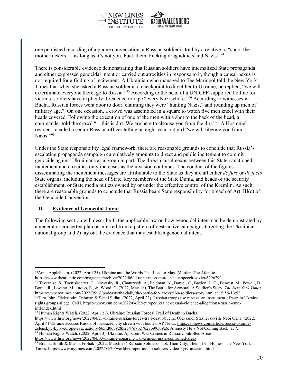

one published recording of a phone conversation, a Russian soldier is told by a relative to "shoot the motherfuckers ... as long as it's not you. Fuck them. Fucking drug addicts and Nazis."<sup>[94](#page-20-1)</sup>

There is considerable evidence demonstrating that Russian soldiers have internalized State propaganda and either expressed genocidal intent or carried out atrocities in response to it, though a causal nexus is not required for a finding of incitement. A Ukrainian who managed to flee Mariupol told the New York Times that when she asked a Russian soldier at a checkpoint to direct her to Ukraine, he replied, "we will exterminate everyone there, go to Russia."[95](#page-20-2) According to the head of a UNICEF-supported hotline for victims, soldiers have explicitly threatened to rape "every Nazi whore.["96](#page-20-3) According to witnesses in Bucha, Russian forces went door to door, claiming they were "hunting Nazis," and rounding up men of military age.<sup>[97](#page-20-4)</sup> On one occasion, a crowd was assembled in a square to watch five men kneel with their heads covered. Following the execution of one of the men with a shot to the back of the head, a commander told the crowd "…this is dirt. We are here to cleanse you from the dirt."[98](#page-20-5) A Hostomel resident recalled a senior Russian officer telling an eight-year-old girl "we will liberate you from Nazis."[99](#page-20-6)

Under the State responsibility legal framework, there are reasonable grounds to conclude that Russia's escalating propaganda campaign cumulatively amounts to direct and public incitement to commit genocide against Ukrainians as a group in part. The direct causal nexus between this State-sanctioned incitement and atrocities only increases as the invasion continues. The conduct of the figures disseminating the incitement messages are attributable to the State as they are all either *de jure* or *de facto*  State organs, including the head of State, key members of the State Duma, and heads of the security establishment, or State media outlets owned by or under the effective control of the Kremlin. As such, there are reasonable grounds to conclude that Russia bears State responsibility for breach of Art. III(c) of the Genocide Convention.

# <span id="page-20-0"></span>**II. Evidence of Genocidal Intent**

The following section will describe 1) the applicable law on how genocidal intent can be demonstrated by a general or concerted plan or inferred from a pattern of destructive campaigns targeting the Ukrainian national group and 2) lay out the evidence that may establish genocidal intent.

<span id="page-20-5"></span><sup>98</sup> Human Rights Watch. (2022, April 3). Ukraine: Apparent War Crimes in Russia-Controlled Areas.

<span id="page-20-1"></span><sup>94</sup>Anne Applebaum. (2022, April 25). Ukraine and the Words That Lead to Mass Murder. The Atlantic.

<span id="page-20-2"></span>https://www.theatlantic.com/magazine/archive/2022/06/ukraine-mass-murder-hate-speech-soviet/629629/<br><sup>95</sup> Tavernise, S., Toeniskoetter, C., Novetsky, R., Chaturvedi, A., Feldman, N., Daniel, C., Baylen, L. O., Benoist, M., Bonja, R., Lozano, M., Ittoop, E., & Wood, C. (2022, May 18). The Battle for Azovstal: A Soldier's Story. *The New York Times*. https://www.nytimes.com/2022/05/18/podcasts/the-daily/the-battle-for- azovstal-a-soldiers-story.html at 15:56-16:52. 96Tara John, Oleksandra Ochman & Sandi Sidhu. (2022, April 22). Russian troops use rape as 'an instrument of war' in Ukraine, rights groups allege. CNN. [https://www.cnn.com/2022/04/22/europe/ukraine-sexual-violence-allegations-russia-cmd](https://www.cnn.com/2022/04/22/europe/ukraine-sexual-violence-allegations-russia-cmd-intl/index.html)[intl/index.html](https://www.cnn.com/2022/04/22/europe/ukraine-sexual-violence-allegations-russia-cmd-intl/index.html)

<span id="page-20-4"></span><span id="page-20-3"></span><sup>97</sup> Human Rights Watch. (2022, April 21). Ukraine: Russian Forces' Trail of Death in Bucha. [https://www.hrw.org/news/2022/04/21/ukraine-russian-forces-trail-death-bucha;](https://www.hrw.org/news/2022/04/21/ukraine-russian-forces-trail-death-bucha) Oleksandr Stashevskyi & Nebi Qena. (2022, April 4) Ukraine accuses Russia of massacre, city strewn with bodies. AP News[. https://apnews.com/article/russia-ukraine](https://apnews.com/article/russia-ukraine-zelenskyy-kyiv-europe-evacuations-665fd06b92852547d7b27627b99509a6)[zelenskyy-kyiv-europe-evacuations-665fd06b92852547d7b27627b99509a6;](https://apnews.com/article/russia-ukraine-zelenskyy-kyiv-europe-evacuations-665fd06b92852547d7b27627b99509a6) Amnesty He's Not Coming Back, at 7.

<span id="page-20-6"></span>https://www.hrw.org/news/2022/04/03/ukraine-apparent-war-crimes-russia-controlled-areas;<br><sup>99</sup> Brenna Smith & Masha Froliak. (2022, March 23) Russian Soldiers Took Their City, Then Their Homes. The New York Times. https://www.nytimes.com/2022/03/20/world/europe/russian-soldiers-video-kyiv-invasion.html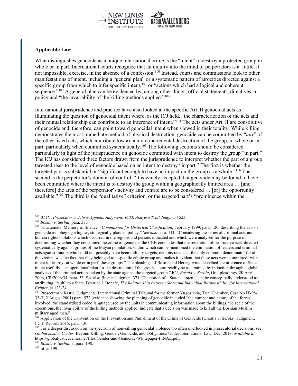

# 'NTRF FNR HIIMAN RIGHTS

# <span id="page-21-0"></span>**Applicable Law**

What distinguishes genocide as a unique international crime is the "intent" to destroy a protected group in whole or in part. International courts recognize that an inquiry into the mind of perpetrators is a futile, if not impossible, exercise, in the absence of a confession. [100](#page-21-1) Instead, courts and commissions look to other manifestations of intent, including a "general plan" or a systematic pattern of atrocities directed against a specific group from which to infer specific intent,<sup>101</sup> or "actions which had a logical and coherent sequence."<sup>102</sup> A general plan can be evidenced by, among other things, official statements, directives, a policy and "the invariability of the killing methods applied."[103](#page-21-4)

International jurisprudence and practice have also looked at the specific Art. II genocidal acts as illuminating the question of genocidal intent where, as the ICJ held, "the characterization of the acts and their mutual relationship can contribute to an inference of intent."[104](#page-21-5) The acts under Art. II are constitutive of genocide and, therefore, can point toward genocidal intent when viewed in their totality. While killing demonstrates the most immediate method of physical destruction, genocide can be committed by "*any*" of the other listed acts, which contribute toward a more incremental destruction of the group, in whole or in part, particularly when committed systematically.<sup>[105](#page-21-6)</sup> The following sections should be considered particularly in light of the jurisprudence on genocide committed with intent to destroy the group "in part." The ICJ has considered three factors drawn from the jurisprudence to interpret whether the part of a group targeted rises to the level of genocide based on an intent to destroy "in part." The first is whether the targeted part is substantial or "significant enough to have an impact on the group as a whole."[106](#page-21-7) The second is the perpetrator's domain of control: "it is widely accepted that genocide may be found to have been committed where the intent is to destroy the group within a geographically limited area … [and therefore] the area of the perpetrator's activity and control are to be considered … [or] the opportunity available."<sup>[107](#page-21-8)</sup> The third is the "qualitative" criterion, or the targeted part's "prominence within the

<span id="page-21-1"></span><sup>100</sup> ICTY, *Prosecutor v. Jelisić Appeals Judgment; ICTR Akayesu Trial Judgment* 523.

<sup>101</sup> *Bosnia v. Serbia*, para. 373

<span id="page-21-3"></span><span id="page-21-2"></span><sup>102</sup> "Guatemala: Memory of Silence," *Commission for Historical Clarification*, February 1999, para. 120, describing the acts of genocide as "obeying a higher, strategically planned policy." *See also* para. 111, "Considering the series of criminal acts and human rights violations which occurred in the regions and periods indicated and which were analysed for the purpose of determining whether they constituted the crime of genocide, the CEH concludes that the reiteration of destructive acts, directed systematically against groups of the Mayan population, within which can be mentioned the elimination of leaders and criminal acts against minors who could not possibly have been military targets, demonstrates that the only common denominator for all the victims was the fact that they belonged to a specific ethnic group and makes it evident that these acts were committed 'with intent to destroy, in whole or in part' these groups." The pleadings of Bosnia and Herzegovina described the inference of State intent usefully: "an operational plan for the destruction of the group… can readily be ascertained by induction through a global analysis of the criminal actions taken by the state against the targeted group." ICJ, *Bosnia v. Serbia*, Oral pleadings, 20 April 2006, CR/2006/34, para. 33. See also Bosnia Judgment 371. The notion of a State's "intent" can be conceptually understood as attributing "fault" to a State. Beatrice I. Bonafè, *The Relationship Between State and Individual Responsibility for International Crimes*, at 123-24.

<span id="page-21-4"></span><sup>103</sup> Prosecutor v Krstic (Judgment) (International Criminal Tribunal for the former Yugoslavia, Trial Chamber, Case No IT-98- 33-T, 2 August 2001) para. 572 (evidence showing the planning of genocide included "the number and nature of the forces involved, the standardised coded language used by the units in communicating information about the killings, the scale of the executions, the invariability of the killing methods applied, indicate that a decision was made to kill all the Bosnian Muslim military aged men."

<span id="page-21-5"></span><sup>104</sup> Application of the Convention on the Prevention and Punishment of the Crime of Genocide (Croatia v. Serbia), Judgment, I.C.J. Reports 2015, para. 130.

<span id="page-21-6"></span><sup>&</sup>lt;sup>105</sup> For a deeper discussion on the spectrum of non-killing genocidal violence too often overlooked in prosecutorial decisions, see *Global Justice Center*, Beyond Killing: Gender, Genocide, and Obligations Under International Law, Dec. 2018, *available at* https://globaljusticecenter.net/files/Gender-and-Genocide-Whitepaper-FINAL.pdf.

<sup>106</sup> *Bosnia v. Serbia,* at para. 198.

<span id="page-21-8"></span><span id="page-21-7"></span><sup>107</sup> Id. at 199.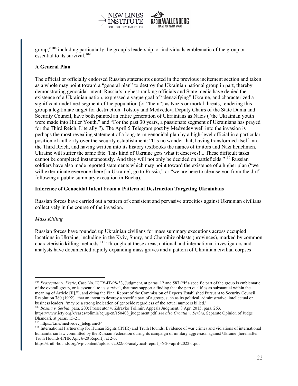

group,"<sup>[108](#page-22-3)</sup> including particularly the group's leadership, or individuals emblematic of the group or essential to its survival.<sup>[109](#page-22-4)</sup>

# <span id="page-22-0"></span>**A General Plan**

The official or officially endorsed Russian statements quoted in the previous incitement section and taken as a whole may point toward a "general plan" to destroy the Ukrainian national group in part, thereby demonstrating genocidal intent. Russia's highest-ranking officials and State media have denied the existence of a Ukrainian nation, expressed a vague goal of "denazifying" Ukraine, and characterized a significant undefined segment of the population (or "them") as Nazis or mortal threats, rendering this group a legitimate target for destruction. Tolstoy and Medvedev, Deputy Chairs of the State Duma and Security Council, have both painted an entire generation of Ukrainians as Nazis ("the Ukrainian youth were made into Hitler Youth," and "For the past 30 years, a passionate segment of Ukrainians has prayed for the Third Reich. Literally."). The April 5 Telegram post by Medvedev well into the invasion is perhaps the most revealing statement of a long-term genocidal plan by a high-level official in a particular position of authority over the security establishment: "It's no wonder that, having transformed itself into the Third Reich, and having written into its history textbooks the names of traitors and Nazi henchmen, Ukraine will suffer the same fate. This kind of Ukraine gets what it deserves!... These difficult tasks cannot be completed instantaneously. And they will not only be decided on battlefields."[110](#page-22-5) Russian soldiers have also made reported statements which may point toward the existence of a higher plan ("we will exterminate everyone there [in Ukraine], go to Russia," or "we are here to cleanse you from the dirt" following a public summary execution in Bucha).

#### <span id="page-22-1"></span>**Inference of Genocidal Intent From a Pattern of Destruction Targeting Ukrainians**

Russian forces have carried out a pattern of consistent and pervasive atrocities against Ukrainian civilians collectively in the course of the invasion.

# <span id="page-22-2"></span>*Mass Killing*

Russian forces have rounded up Ukrainian civilians for mass summary executions across occupied locations in Ukraine, including in the Kyiv, Sumy, and Chernihiv oblasts (provinces), marked by common characteristic killing methods.[111](#page-22-6) Throughout these areas, national and international investigators and analysts have documented rapidly expanding mass graves and a pattern of Ukrainian civilian corpses

<sup>109</sup> *Bosnia v. Serbia*, para. 200; Prosecutor v. Zdravko Tolimir, Appeals Judgment, 8 Apr. 2015, para. 263,

<span id="page-22-3"></span><sup>108</sup> *Prosecutor v. Krstic*, Case No. ICTY-IT-98-33, Judgment, at paras. 12 and 587 ("If a specific part of the group is emblematic of the overall group, or is essential to its survival, that may support a finding that the part qualifies as substantial within the meaning of Article [II]."), and citing the Final Report of the Commission of Experts Established Pursuant to Security Council Resolution 780 (1992) "that an intent to destroy a specific part of a group, such as its political, administrative, intellectual or business leaders, 'may be a strong indication of genocide regardless of the actual numbers killed.'"

<span id="page-22-4"></span>https://www.icty.org/x/cases/tolimir/acjug/en/150408\_judgement.pdf; *see also Croatia v. Serbia*, Separate Opinion of Judge Bhandari, at paras. 15-21.

 $110$  [https://t.me/medvedev\\_telegram/34](https://t.me/medvedev_telegram/34)

<span id="page-22-6"></span><span id="page-22-5"></span><sup>111</sup> International Partnership for Human Rights (IPHR) and Truth Hounds, Evidence of war crimes and violations of international humanitarian law committed by the Russian Federation during its campaign of military aggression against Ukraine [hereinafter Truth Hounds-IPHR Apr. 6-20 Report], at 2-3.

https://truth-hounds.org/wp-content/uploads/2022/05/analytical-report\_-6-20-april-2022-1.pdf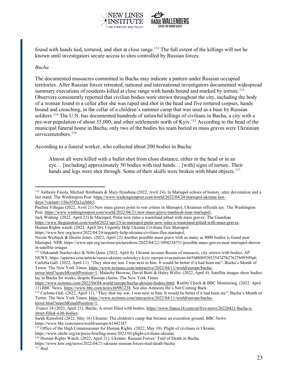

found with hands tied, tortured, and shot at close range.<sup>[112](#page-23-1)</sup> The full extent of the killings will not be known until investigators secure access to sites controlled by Russian forces.

#### <span id="page-23-0"></span>*Bucha*

The documented massacres committed in Bucha may indicate a pattern under Russian occupied territories. After Russian forces retreated, national and international investigators documented widespread summary executions of residents killed at close range with hands bound and marked by torture.<sup>[113](#page-23-2)</sup> Observers consistently reported that civilian bodies were strewn throughout the city, including the body of a woman found in a cellar after she was raped and shot in the head and five tortured corpses, hands bound and crouching, in the cellar of a children's summer camp that was used as a base by Russian soldiers.<sup>114</sup> The U.N. has documented hundreds of unlawful killings of civilians in Bucha, a city with a pre-war population of about 35,000, and other settlements north of Kyiv.<sup>[115](#page-23-4)</sup> According to the head of the municipal funeral home in Bucha, only two of the bodies his team buried in mass graves were Ukrainian servicemembers.<sup>[116](#page-23-5)</sup>

According to a funeral worker, who collected about 200 bodies in Bucha:

Almost all were killed with a bullet shot from close distance, either in the head or in an eye… [including] approximately 50 bodies with tied hands… [with] signs of torture. Their hands and legs were shot through. Some of their skulls were broken with blunt objects.<sup>117</sup>

https://www.hrw.org/news/2022/04/26/urgently-help-ukraine-civilians-flee-mariupol;

<span id="page-23-2"></span><sup>113</sup> Oleksandr Stashevskyi & Nebi Qena. (2022, April 4). Ukraine accuses Russia of massacre, city strewn with bodies. AP NEWS. https://apnews.com/article/russia-ukraine-zelenskyy-kyiv-europe-evacuations-665fd06b92852547d7b27627b99509a6; Carlotta Gall. (2022, April 11). "They shot my son. I was next to him. It would be better if it had been me": Bucha's Month of Terror. The New York Times[. https://www.nytimes.com/interactive/2022/04/11/world/europe/bucha-](https://www.nytimes.com/interactive/2022/04/11/world/europe/bucha-terror.html?searchResultPosition=1)

<span id="page-23-1"></span><sup>112</sup> Anthony Faiola, Michael Birnbaum & Mary Ilyushina (2022, Avril 24). In Mariupol echoes of history, utter devestation and a last stand. The Washington Post. [https://www.washingtonpost.com/world/2022/04/24/mariupol-ukraine-last](https://www.washingtonpost.com/world/2022/04/24/mariupol-ukraine-last-days/?variant=15bc93f5a1ccbb65)[days/?variant=15bc93f5a1ccbb65;](https://www.washingtonpost.com/world/2022/04/24/mariupol-ukraine-last-days/?variant=15bc93f5a1ccbb65)

Paulina Villegas (2022, Avril 21) New mass graves point to war crimes in Mariupol, Ukrainian officials say. The Washington Post. [https://www.washingtonpost.com/world/2022/04/21/new-mass-grave-manhush-near-mariupol/;](https://www.washingtonpost.com/world/2022/04/21/new-mass-grave-manhush-near-mariupol/) 

Jack Watling. (2022, April 23) In Mariupol, Putin now rules a wasteland pitted with mass graves. The Guardian

[https://www.theguardian.com/world/2022/apr/23/in-mariupol-putin-now-rules-a-wasteland-pitted-with-mass-graves;](https://www.theguardian.com/world/2022/apr/23/in-mariupol-putin-now-rules-a-wasteland-pitted-with-mass-graves) Human Rights watch. (2022, April 26). Urgently Help Ukraine Civilians Flee Mariupol.

Nicole Werbeck & Dustin Jones. (2022, April 22) Another possible mass grave with as many as 9000 bodies is found near Mariupol. NPR. https://www.npr.org/sections/pictureshow/2022/04/22/1094234731/possible-mass-graves-near-mariupol-shownin-satellite-images

[terror.html?searchResultPosition=1;](https://www.nytimes.com/interactive/2022/04/11/world/europe/bucha-terror.html?searchResultPosition=1) Malachy Browne, David Botti & Haley Willis. (2022, April 4). Satellite images show bodies lay in Bucha for weeks, despite Russian claims. The New York Times.

[https://www.nytimes.com/2022/04/04/world/europe/bucha-ukraine-bodies.html;](https://www.nytimes.com/2022/04/04/world/europe/bucha-ukraine-bodies.html) Reality Check & BBC Monitoring. (2022. April 11) BBC News[. https://www.bbc.com/news/60981238.](https://www.bbc.com/news/60981238) See also Amnesty He's Not Coming Back.<br><sup>114</sup> Carlotta Gall. (2022, April 11). "They shot my son. I was next to him. It would be better if it had been me": Bucha's Month of

<span id="page-23-3"></span>Terror. The New York Times[. https://www.nytimes.com/interactive/2022/04/11/world/europe/bucha](https://www.nytimes.com/interactive/2022/04/11/world/europe/bucha-terror.html?searchResultPosition=1)[terror.html?searchResultPosition=1;](https://www.nytimes.com/interactive/2022/04/11/world/europe/bucha-terror.html?searchResultPosition=1)

France 24 (2022, April 21). Bucha: A street filled with bodies[. https://www.france24.com/en/live-news/20220421-bucha-a](https://www.france24.com/en/live-news/20220421-bucha-a-street-filled-with-bodies)[street-filled-with-bodies;](https://www.france24.com/en/live-news/20220421-bucha-a-street-filled-with-bodies)

Sarah Rainsford (2022, May 16) Ukraine: The children's camp that became an execution ground. BBC News. https://www.bbc.com/news/world-europe-61442387

<span id="page-23-4"></span><sup>115</sup> Office of the High Commissioner for Human Rights. (2022, May 10). Plight of civilians in Ukraine.

<span id="page-23-5"></span>https://www.ohchr.org/en/press-briefing-notes/2022/05/plight-civilians-ukraine

<sup>116</sup> Human Rights Watch. (2022, April 21). Ukraine: Russian Forces' Trail of Death in Bucha.

<span id="page-23-6"></span>https://www.hrw.org/news/2022/04/21/ukraine-russian-forces-trail-death-bucha  $117$  Ibid.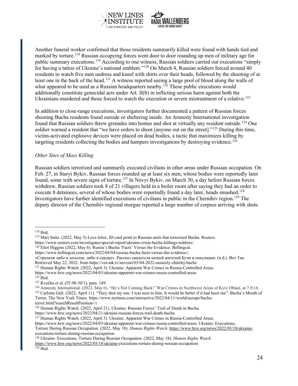

Another funeral worker confirmed that those residents summarily killed were found with hands tied and marked by torture.<sup>[118](#page-24-1)</sup> Russian occupying forces went door to door rounding up men of military age for public summary executions.<sup>119</sup> According to one witness, Russian soldiers carried out executions "simply" for having a tattoo of Ukraine's national emblem."[120](#page-24-3) On March 4, Russian soldiers forced around 40 residents to watch five men undress and kneel with shirts over their heads, followed by the shooting of at least one in the back of the head.[121](#page-24-4) A witness reported seeing a large pool of blood along the walls of what appeared to be used as a Russian headquarters nearby.<sup>122</sup> These public executions would additionally constitute genocidal acts under Art. II(b) in inflicting serious harm against both the Ukrainians murdered and those forced to watch the execution or severe mistreatment of a relative.<sup>[123](#page-24-6)</sup>

In addition to close-range executions, investigators further documented a pattern of Russian forces shooting Bucha residents found outside or sheltering inside. An Amnesty International investigation found that Russian soldiers threw grenades into homes and shot at virtually any resident outside.<sup>[124](#page-24-7)</sup> One soldier warned a resident that "we have orders to shoot [anyone out on the street]."[125](#page-24-8) During this time, victim-activated explosive devices were placed on dead bodies, a tactic that maximizes killing by targeting residents collecting the bodies and hampers investigations by destroying evidence.<sup>[126](#page-24-9)</sup>

# <span id="page-24-0"></span>*Other Sites of Mass Killing*

Russian soldiers terrorized and summarily executed civilians in other areas under Russian occupation. On Feb. 27, in Staryi Bykiv, Russian forces rounded up at least six men, whose bodies were reportedly later found, some with severe signs of torture.[127](#page-24-10) In Novyi Bykiv, on March 30, a day before Russian forces withdrew, Russian soldiers took 8 of 21 villagers held in a boiler room after saying they had an order to execute 8 detainees, several of whose bodies were reportedly found a day later, heads smashed.<sup>[128](#page-24-11)</sup> Investigators have further identified executions of civilians in public in the Chernihiv region[.129](#page-24-12) The deputy director of the Chernihiv regional morgue reported a large number of corpses arriving with shots

<span id="page-24-4"></span><sup>121</sup> Human Rights Watch. (2022, April 3). Ukraine: Apparent War Crimes in Russia-Controlled Areas.

<span id="page-24-5"></span>https://www.hrw.org/news/2022/04/03/ukraine-apparent-war-crimes-russia-controlled-areas <sup>122</sup> Ibid.

<span id="page-24-1"></span><sup>118</sup> [Ibid.](https://www.hrw.org/news/2022/04/21/ukraine-russian-forces-trail-death-bucha)

<sup>119</sup> Mari Saito. (2022, May 5) Love letter, ID card point to Russian units that terrorised Bucha. Reuters.

<span id="page-24-2"></span>https://www.reuters.com/investigates/special-report/ukraine-crisis-bucha-killings-soldiers/

<span id="page-24-3"></span><sup>120</sup> Eliot Higgins (2022, May 6). Russia's Bucha 'Facts' Versus the Evidence. Bellingcat.

https://www.bellingcat.com/news/2022/04/04/russias-bucha-facts-versus-the-evidence/;

<sup>«</sup>Стреляли либо в затылок, либо в сердце». Рассказ свидетеля казней жителей Бучи в оккупации. (n.d.). Вот Так.

Retrieved May 22, 2022, from https://vot-tak.tv/novosti/03-04-2022-rasstrely-zhitelej-buchi/

<sup>123</sup> Kvočka et al. (IT-98-30/1), para. 149.

<span id="page-24-8"></span><span id="page-24-7"></span><span id="page-24-6"></span><sup>124</sup> Amnesty International. (2022, May 6). "He's Not Coming Back:" War Crimes in Northwest Areas of Kyiv Oblast, at 7-9,16. <sup>125</sup> Carlotta Gall. (2022, April 11). "They shot my son. I was next to him. It would be better if it had been me": Bucha's Month of Terror. The New York Times. https://www.nytimes.com/interactive/2022/04/11/world/europe/buchaterror.html?searchResultPosition=1

<sup>126</sup> Human Rights Watch. (2022, April 21). Ukraine: Russian Forces' Trail of Death in Bucha.

<span id="page-24-10"></span><span id="page-24-9"></span>https://www.hrw.org/news/2022/04/21/ukraine-russian-forces-trail-death-bucha

<sup>127</sup> Human Rights Watch. (2022, April 3). Ukraine: Apparent War Crimes in Russia-Controlled Areas.

https://www.hrw.org/news/2022/04/03/ukraine-apparent-war-crimes-russia-controlled-areas; Ukraine: Executions,

Torture During Russian Occupation. (2022, May 18). *Human Rights Watch*. [https://www.hrw.org/news/2022/05/18/ukraine](https://www.hrw.org/news/2022/05/18/ukraine-)executions-torture-during-russian-occupation

<span id="page-24-11"></span><sup>128</sup> Ukraine: Executions, Torture During Russian Occupation. (2022, May 18). *Human Rights Watch*.

<span id="page-24-12"></span>[https://www.hrw.org/news/2022/05/18/ukraine-e](https://www.hrw.org/news/2022/05/18/ukraine-)xecutions-torture-during-russian-occupation <sup>129</sup> Ibid.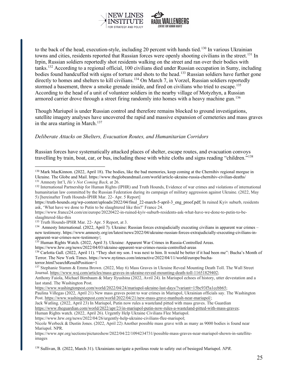

to the back of the head, execution-style, including 20 percent with hands tied.<sup>[130](#page-25-1)</sup> In various Ukrainian towns and cities, residents reported that Russian forces were openly shooting civilians in the street.<sup>[131](#page-25-2)</sup> In Irpin, Russian soldiers reportedly shot residents walking on the street and ran over their bodies with tanks.[132](#page-25-3) According to a regional official, 100 civilians died under Russian occupation in Sumy, including bodies found handcuffed with signs of torture and shots to the head.<sup>[133](#page-25-4)</sup> Russian soldiers have further gone directly to homes and shelters to kill civilians.<sup>134</sup> On March 7, in Vorzel, Russian soldiers reportedly stormed a basement, threw a smoke grenade inside, and fired on civilians who tried to escape.<sup>[135](#page-25-6)</sup> According to the head of a unit of volunteer soldiers in the nearby village of Motyzhyn, a Russian armored carrier drove through a street firing randomly into homes with a heavy machine gun.<sup>[136](#page-25-7)</sup>

Though Mariupol is under Russian control and therefore remains blocked to ground investigations, satellite imagery analyses have uncovered the rapid and massive expansion of cemeteries and mass graves in the area starting in March.<sup>[137](#page-25-8)</sup>

# <span id="page-25-0"></span>*Deliberate Attacks on Shelters, Evacuation Routes, and Humanitarian Corridors*

Russian forces have systematically attacked places of shelter, escape routes, and evacuation convoys travelling by train, boat, car, or bus, including those with white cloths and signs reading "children."[138](#page-25-9)

https://truth-hounds.org/wp-content/uploads/2022/04/final\_22-march-5-april-3\_eng\_proof.pdf; In ruined Kyiv suburb, residents ask, 'What have we done to Putin to be slaughtered like this?' France 24.

apparent-war-crimes-new-testimony/;<br><sup>135</sup> Human Rights Watch. (2022, April 3). Ukraine: Apparent War Crimes in Russia-Controlled Areas.

<span id="page-25-6"></span>https://www.hrw.org/news/2022/04/03/ukraine-apparent-war-crimes-russia-controlled-areas

<span id="page-25-7"></span><sup>136</sup> Carlotta Gall. (2022, April 11). "They shot my son. I was next to him. It would be better if it had been me": Bucha's Month of Terror. The New York Times. https://www.nytimes.com/interactive/2022/04/11/world/europe/buchaterror.html?searchResultPosition=1

Jack Watling. (2022, April 23) In Mariupol, Putin now rules a wasteland pitted with mass graves. The Guardian

[https://www.theguardian.com/world/2022/apr/23/in-mariupol-putin-now-rules-a-wasteland-pitted-with-mass-graves;](https://www.theguardian.com/world/2022/apr/23/in-mariupol-putin-now-rules-a-wasteland-pitted-with-mass-graves)

Human Rights watch. (2022, April 26). Urgently Help Ukraine Civilians Flee Mariupol.

https://www.hrw.org/news/2022/04/26/urgently-help-ukraine-civilians-flee-mariupol;

<span id="page-25-1"></span><sup>&</sup>lt;sup>130</sup> Mark MacKinnon. (2022, April 18). The bodies, like the bad memories, keep coming at the Chernihiv regional morgue in Ukraine. The Globe and Mail. https://www.theglobeandmail.com/world/article-ukraine-russia-chernihiv-civilian-deaths/ <sup>131</sup> Amnesty Int'l, *He's Not Coming Back,* at 26.

<span id="page-25-3"></span><span id="page-25-2"></span><sup>132</sup> International Partnership for Human Rights (IPHR) and Truth Hounds, Evidence of war crimes and violations of international humanitarian law committed by the Russian Federation during its campaign of military aggression against Ukraine. (2022, May 5) [hereinafter Truth Hounds-IPHR Mar. 22- Apr. 5 Report]

https://www.france24.com/en/europe/20220422-in-ruined-kyiv-suburb-residents-ask-what-have-we-done-to-putin-to-beslaughtered-like-this

<sup>133</sup> Truth Hounds-IPHR Mar. 22- Apr. 5 Report, at 3.

<span id="page-25-5"></span><span id="page-25-4"></span><sup>134</sup> [Amnesty International. \(2022, April 7\). Ukraine: Russian forces extrajudicially executing civilians in apparent war crimes –](https://www.amnesty.org/en/latest/news/2022/04/ukraine-russian-forces-extrajudicially-executing-civilians-in-apparent-war-crimes-new-testimony/)  [new testimony. https://www.amnesty.org/en/latest/news/2022/04/ukraine-russian-forces-extrajudicially-executing-civilians-in-](https://www.amnesty.org/en/latest/news/2022/04/ukraine-russian-forces-extrajudicially-executing-civilians-in-apparent-war-crimes-new-testimony/)

<span id="page-25-8"></span><sup>137</sup> Stephanie Stamm & Emma Brown. (2022, May 6) Mass Graves in Ukraine Reveal Mounting Death Toll. The Wall Street Journal. [https://www.wsj.com/articles/mass-graves-in-ukraine-reveal-mounting-death-toll-11651829402;](https://www.wsj.com/articles/mass-graves-in-ukraine-reveal-mounting-death-toll-11651829402)

Anthony Faiola, Michael Birnbaum & Mary Ilyushina (2022, Avril 24). In Mariupol echoes of history, utter devestation and a last stand. The Washington Post.

[https://www.washingtonpost.com/world/2022/04/24/mariupol-ukraine-last-days/?variant=15bc93f5a1ccbb65;](https://www.washingtonpost.com/world/2022/04/24/mariupol-ukraine-last-days/?variant=15bc93f5a1ccbb65)

Paulina Villegas (2022, April 21) New mass graves point to war crimes in Mariupol, Ukrainian officials say. The Washington Post. [https://www.washingtonpost.com/world/2022/04/21/new-mass-grave-manhush-near-mariupol/;](https://www.washingtonpost.com/world/2022/04/21/new-mass-grave-manhush-near-mariupol/)

Nicole Werbeck & Dustin Jones. (2022, April 22) Another possible mass grave with as many as 9000 bodies is found near Mariupol. NPR.

https://www.npr.org/sections/pictureshow/2022/04/22/1094234731/possible-mass-graves-near-mariupol-shown-in-satelliteimages

<span id="page-25-9"></span><sup>138</sup> Sullivan, B. (2022, March 31). Ukrainians navigate a perilous route to safety out of besieged Mariupol. *NPR*.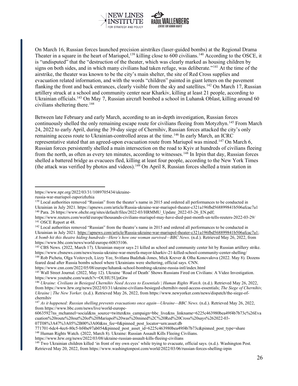

On March 16, Russian forces launched precision airstrikes (laser-guided bombs) at the Regional Drama Theater in a square in the heart of Mariupol,<sup>139</sup> killing close to 600 civilians.<sup>140</sup> According to the OSCE, it is "undisputed" that the "destruction of the theater, which was clearly marked as housing children by signs on both sides, and in which many civilians had taken refuge, was deliberate."<sup>[141](#page-26-2)</sup> At the time of the airstrike, the theater was known to be the city's main shelter, the site of Red Cross supplies and evacuation related information, and with the words "children" painted in giant letters on the pavement flanking the front and back entrances, clearly visible from the sky and satellites.<sup>142</sup> On March 17, Russian artillery struck at a school and community center near Kharkiv, killing at least 21 people, according to Ukrainian officials.<sup>[143](#page-26-4)</sup> On May 7, Russian aircraft bombed a school in Luhansk Oblast, killing around 60 civilians sheltering there[.144](#page-26-5)

Between late February and early March, according to an in-depth investigation, Russian forces continuously shelled the only remaining escape route for civilians fleeing from Motyzhyn.<sup>[145](#page-26-6)</sup> From March 24, 2022 to early April, during the 39-day siege of Chernihiv, Russian forces attacked the city's only remaining access route to Ukrainian-controlled areas at the time.<sup>[146](#page-26-7)</sup> In early March, an ICRC representative stated that an agreed-upon evacuation route from Mariupol was mined.<sup>147</sup> On March 6, Russian forces persistently shelled a main intersection on the road to Kyiv at hundreds of civilians fleeing from the north, as often as every ten minutes, according to witnesses.<sup>[148](#page-26-9)</sup> In Irpin that day, Russian forces shelled a battered bridge as evacuees fled, killing at least four people, according to the New York Times (the attack was verified by photos and videos).<sup>[149](#page-26-10)</sup> On April 8, Russian forces shelled a train station in

russia-war-mariupol-zaporizhzhia

<span id="page-26-0"></span><sup>139</sup> Local authorities removed "Russian" from the theater's name in 2015 and ordered all performances to be conducted in Ukrainian in July 2021. https://apnews.com/article/Russia-ukraine-war-mariupol-theater-c321a196fbd568899841b506afcac7a1 <sup>140</sup> Para. 26 [https://www.ohchr.org/sites/default/files/2022-03/HRMMU\\_Update\\_2022-03-26\\_EN.pdf;](https://www.ohchr.org/sites/default/files/2022-03/HRMMU_Update_2022-03-26_EN.pdf)

<span id="page-26-4"></span>https://www.cbsnews.com/news/russia-ukraine-war-merefa-mayor-kharkiv-21-killed-school-community-center-shelling/ <sup>144</sup> Rob Picheta, Olga Voitovych, Lizzy Yee, Svitlana Budzhak-Jones, Mick Krever & Olha Konovalova (2022. May 8). Dozens feared dead after Russia bombs school where Ukrainians were sheltering, official says. CNN.

<span id="page-26-5"></span>https://www.cnn.com/2022/05/08/europe/luhansk-school-bombing-ukraine-russia-intl/index.html

07T08%3A47%3A05%2B00%3A00&ns\_fee=0&pinned\_post\_locator=urn:asset:db

https://www.npr.org/2022/03/31/1089705434/ukraine-

<span id="page-26-1"></span>https://www.reuters.com/world/europe/thousands-civilians-mariupol-may-have-died-past-month-un-tells-reuters-2022-03-29/ <sup>141</sup> OSCE Report at 48.

<span id="page-26-3"></span><span id="page-26-2"></span><sup>&</sup>lt;sup>142</sup> Local authorities removed "Russian" from the theatre's name in 2015 and ordered all performances to be conducted in Ukrainian in July 2021. https://apnews.com/article/Russia-ukraine-war-mariupol-theater-c321a196fbd568899841b506afcac7a1; *A bomb hit this theatre hiding hundreds—Here's how one woman survived—BBC News*. (n.d.). Retrieved May 26, 2022, from https://www.bbc.com/news/world-europe-60835106.<br><sup>143</sup> CBS News. (2022, March 17). Ukrainian mayor says 21 killed as school and community center hit by Russian artillery strike.

<span id="page-26-6"></span><sup>145</sup> Wall Street Journal. (2022, May 12). Ukraine 'Road of Death' Shows Russians Fired on Civilians: A Video Investigation. https://www.youtube.com/watch?v=OUHU5UjnGtw

<span id="page-26-7"></span><sup>146</sup> *Ukraine: Civilians in Besieged Chernihiv Need Access to Essentials | Human Rights Watch*. (n.d.). Retrieved May 26, 2022, from https://www.hrw.org/news/2022/03/31/ukraine-civilians-besieged-chernihiv-need-access-essentials; *The Siege of Chernihiv, Ukraine | The New Yorker*. (n.d.). Retrieved May 26, 2022, from https://www.newyorker.com/news/dispatch/the-siege-ofchernihiv

<span id="page-26-8"></span><sup>147</sup> *As it happened: Russian shelling prevents evacuations once again—Ukraine—BBC News*. (n.d.). Retrieved May 26, 2022, from https://www.bbc.com/news/live/world-europe-

<sup>60635927</sup>ns\_mchannel=social&ns\_source=twitter&ns\_campaign=bbc\_live&ns\_linkname=6225c463980bea49f4b7b73c%26Eva cuation%20route%20out%20of%20Mariupol%20was%20mined%2C%20Red%20Cross%20says%262022-03-

<sup>771701-6</sup>dc4-4ec6-80c5-bf4be97ab054&pinned\_post\_asset\_id=6225c463980bea49f4b7b73c&pinned\_post\_type=share <sup>148</sup> Human Rights Watch. (2022, March 8). Ukraine: Russian Assault Kills Fleeing Civilians.

<span id="page-26-9"></span>https://www.hrw.org/news/2022/03/08/ukraine-russian-assault-kills-fleeing-civilians

<span id="page-26-10"></span><sup>149</sup> Two Ukrainian children killed 'in front of my own eyes' while trying to evacuate, official says. (n.d.). Washington Post. Retrieved May 20, 2022, from https://www.washingtonpost.com/world/2022/03/06/russian-forces-shelling-irpin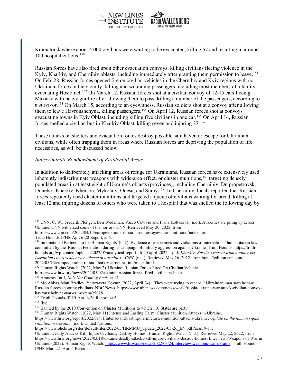

Kramatorsk where about 4,000 civilians were waiting to be evacuated, killing 57 and resulting in around 100 hospitalizations.[150](#page-27-1)

Russian forces have also fired upon other evacuation convoys, killing civilians fleeing violence in the Kyiv, Kharkiv, and Chernihiv oblasts, including immediately after granting them permission to leave.<sup>151</sup> On Feb. 28, Russian forces opened fire on civilian vehicles in the Chernihiv and Kyiv regions with no Ukrainian forces in the vicinity, killing and wounding passengers, including most members of a family evacuating Hostomel.<sup>152</sup> On March 12, Russian forces shot at a civilian convoy of 12-15 cars fleeing Makariv with heavy gunfire after allowing them to pass, killing a number of the passengers, according to a survivor.[153](#page-27-4) On March 15, according to an eyewitness, Russian soldiers shot at a convoy after allowing them to leave Havronshchyna, killing passengers.<sup>[154](#page-27-5)</sup> On April 12, Russian forces shot at convoys evacuating towns in Kyiv Oblast, including killing five civilians in one car.<sup>[155](#page-27-6)</sup> On April 14, Russian forces shelled a civilian bus in Kharkiv Oblast, killing seven and injuring 27.[156](#page-27-7)

These attacks on shelters and evacuation routes destroy possible safe haven or escape for Ukrainian civilians, while often trapping them in areas where Russian forces are depriving the population of life necessities, as will be discussed below.

#### <span id="page-27-0"></span>*Indiscriminate Bombardment of Residential Areas*

In addition to deliberately attacking areas of refuge for Ukrainians, Russian forces have extensively used inherently indiscriminate weapons with wide-area effect, or cluster munitions,<sup>157</sup> targeting densely populated areas in at least eight of Ukraine's oblasts (provinces), including Chernihiv, Dnipropetrovsk, Donetsk, Kharkiv, Kherson, Mykolaiv, Odesa, and Sumy.<sup>158</sup> In Chernihiv, locals reported that Russian forces repeatedly used cluster munitions and targeted a queue of civilians waiting for bread, killing at least 12 and injuring dozens of others who were taken to a hospital that was shelled the following day by

<span id="page-27-4"></span><sup>153</sup> Amnesty Int'l, *He's Not Coming Back*, at 17.

<span id="page-27-5"></span><sup>154</sup> Mo Abbas, Matt Bradley, Yelyzaveta Kovtun (2022, April 24). "They were trying to escape": Ukrainian man says he saw Russian forces shooting civilians. NBC News. https://www.nbcnews.com/news/world/russia-ukraine-war-attack-civilian-convoyhavronschchyna-war-crime-rcna25628

<sup>158</sup> Human Rights Watch. (2022, May 11) Intense and Lasting Harm: Cluster Munition Attacks in Ukraine.

<span id="page-27-1"></span><sup>150</sup> CNN, C. W., Frederik Pleitgen, Ben Wedeman, Vasco Cotovio and Ivana Kottasová. (n.d.). Atrocities are piling up across Ukraine. CNN witnessed some of the horrors. CNN. Retrieved May 20, 2022, from

https://www.cnn.com/2022/04/14/europe/ukraine-russia-atrocities-eyewitness-intl-cmd/index.html; Truth Hounds-IPHR Apr. 6-20 Report, at 6.

<span id="page-27-2"></span><sup>151</sup> International Partnership for Human Rights. (n.d.). Evidence of war crimes and violations of international humanitarian law committed by the Russian Federation during its campaign of military aggression against Ukraine. Truth Hounds. [https://truth](about:blank)hounds.org/wp-content/uploads/2022/05/analytical-report\_-6-20-april-2022-1.pdf; *Kharkiv: Russia's retreat from another key Ukrainian city reveals new evidence of atrocities—CNN*. (n.d.). Retrieved May 26, 2022, from https://edition.cnn.com/ 2022/05/13/europe/ukraine-russia-kharkiv-atrocities-intl/index.html.

<span id="page-27-3"></span><sup>&</sup>lt;sup>152</sup> Human Rights Watch. (2022, May 2). Ukraine: Russian Forces Fired On Civilian Vehicles.

https://www.hrw.org/news/2022/05/02/ukraine-russian-forces-fired-civilian-vehicles

<span id="page-27-6"></span><sup>155</sup> Truth Hounds-IPHR Apr. 6-20 Report, at 5.

<span id="page-27-7"></span><sup>156</sup> [Ibid.](https://truth-hounds.org/wp-content/uploads/2022/05/analytical-report_-6-20-april-2022-1.pdf)

<span id="page-27-8"></span><sup>&</sup>lt;sup>157</sup> Banned by the 2010 Convention on Cluster Munitions to which 110 States are party.

<span id="page-27-9"></span>[https://www.hrw.org/report/2022/05/11/intense-and-lasting-harm/cluster-munition-attacks-ukraine;](https://www.hrw.org/report/2022/05/11/intense-and-lasting-harm/cluster-munition-attacks-ukraine) *Update on the human rights situation in Ukraine*. (n.d.). United Nations.

https://www.ohchr.org/sites/default/files/2022-03/HRMMU\_Update\_2022-03-26\_EN.pdfParas. 9-11;

Ukraine: Deadly Attacks Kill, Injure Civilians, Destroy Homes | Human Rights Watch. (n.d.). Retrieved May 22, 2022, from https://www.hrw.org/news/2022/03/18/ukraine-deadly-attacks-kill-injure-civilians-destroy-homes; Interview: Weapons of War in Ukraine. (2022). Human Rights Watch[. https://www.hrw.org/news/2022/03/24/interview-weapons-war-ukraine;](https://www.hrw.org/news/2022/03/24/interview-weapons-war-ukraine) Truth Hounds-IPHR Mar. 22- Apr. 5 Report.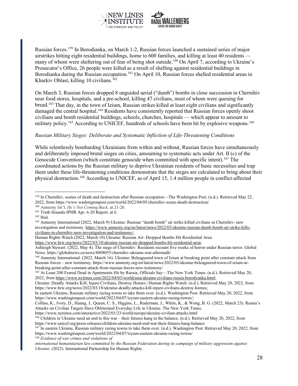

Russian forces.[159](#page-28-1) In Borodianka, on March 1-2, Russian forces launched a sustained series of major airstrikes hitting eight residential buildings, home to 600 families, and killing at least 40 residents many of whom were sheltering out of fear of being shot outside.<sup>160</sup> On April 7, according to Ukraine's Prosecutor's Office, 26 people were killed as a result of shelling against residential buildings in Borodianka during the Russian occupation.<sup>[161](#page-28-3)</sup> On April 10, Russian forces shelled residential areas in Kharkiv Oblast, killing 10 civilians.<sup>[162](#page-28-4)</sup>

On March 3, Russian forces dropped 8 unguided aerial ("dumb") bombs in close succession in Chernihiv near food stores, hospitals, and a pre-school, killing 47 civilians, most of whom were queuing for bread.[163](#page-28-5) That day, in the town of Izium, Russian strikes killed at least eight civilians and significantly damaged the central hospital.<sup>164</sup> Residents have consistently reported that Russian forces openly shoot civilians and bomb residential buildings, schools, churches, hospitals — which appear to amount to military policy.<sup>165</sup> According to UNICEF, hundreds of schools have been hit by explosive weapons.<sup>[166](#page-28-8)</sup>

# <span id="page-28-0"></span>*Russian Military Sieges: Deliberate and Systematic Infliction of Life-Threatening Conditions*

While relentlessly bombarding Ukrainians from within and without, Russian forces have simultaneously and deliberately imposed brutal sieges on cities, amounting to systematic acts under Art. II (c) of the Genocide Convention (which constitute genocide when committed with specific intent).<sup>[167](#page-28-9)</sup> The coordinated actions by the Russian military to deprive Ukrainian residents of basic necessities and trap them under these life-threatening conditions demonstrate that the sieges are calculated to bring about their physical destruction.[168](#page-28-10) According to UNICEF, as of April 15, 1.4 million people in conflict-affected

[https://www.hrw.org/news/2022/03/10/ukraine-russian-air-dropped-bombs-hit-residential-area;](https://www.hrw.org/news/2022/03/10/ukraine-russian-air-dropped-bombs-hit-residential-area) 

<span id="page-28-10"></span><sup>168</sup> *Evidence of war crimes and violations of* 

<span id="page-28-1"></span><sup>159</sup> In Chernihiv, scenes of death and destruction after Russian occupation—The Washington Post. (n.d.). Retrieved May 22, 2022, from https://www.washingtonpost.com/world/2022/04/05/chernihiv-scene-death-destruction/

<span id="page-28-2"></span><sup>160</sup> Amnesty Int'l, *He's Not Coming Back,* at 21-26.

<span id="page-28-3"></span><sup>161</sup> Truth Hounds-IPHR Apr. 6-20 Report, at 6.

<sup>162</sup> [Ibid.](https://truth-hounds.org/wp-content/uploads/2022/05/analytical-report_-6-20-april-2022-1.pdf)

<span id="page-28-5"></span><span id="page-28-4"></span><sup>163</sup> Amnesty International (2022, March 9) Ukraine: Russian "dumb bomb" air strike killed civilians in Chernihiv- new investigation and testimony. [https://www.amnesty.org/en/latest/news/2022/03/ukraine-russian-dumb-bomb-air-strike-kills](https://www.amnesty.org/en/latest/news/2022/03/ukraine-russian-dumb-bomb-air-strike-kills-civilians-in-chernihiv-new-investigation-and-testimony/)[civilians-in-chernihiv-new-investigation-and-testimony/;](https://www.amnesty.org/en/latest/news/2022/03/ukraine-russian-dumb-bomb-air-strike-kills-civilians-in-chernihiv-new-investigation-and-testimony/)

Human Rights Watch (2022, March 10) Ukraine: Russian Air- Dropped Bombs Hit Residential Area.

Ashleigh Stewart. (2022, May 4). The siege of Chernihiv: Residents recount five weeks of horror under Russian terror. Global News. https://globalnews.ca/news/8808055/chernihiv-ukraine-war-aftermath/

<span id="page-28-6"></span><sup>164</sup> Amnesty International. (2022, March 16). Ukraine: Beleaguered town of Izium at breaking point after constant attack from Russian forces – new testimony. https://www.amnesty.org/en/latest/news/2022/03/ukraine-beleaguered-town-of-izium-atbreaking-point-after-constant-attack-from-russian-forces-new-testimony/

<span id="page-28-7"></span><sup>165</sup> At Least 200 Feared Dead in Apartments Hit by Russia, Officials Say—The New York Times. (n.d.). Retrieved May 20, 2022, fro[m https://www.nytimes.com/2022/04/05/world/asia/ukraine-civilians-russia-borodyanka.html;](https://www.nytimes.com/2022/04/05/world/asia/ukraine-civilians-russia-borodyanka.html)

Ukraine: Deadly Attacks Kill, Injure Civilians, Destroy Homes | Human Rights Watch. (n.d.). Retrieved May 20, 2022, from https://www.hrw.org/news/2022/03/18/ukraine-deadly-attacks-kill-injure-civilians-destroy-homes;

In eastern Ukraine, Russian military razing towns to take them over. (n.d.). Washington Post. Retrieved May 20, 2022, from https://www.washingtonpost.com/world/2022/04/07/izyum-eastern-ukraine-razing-towns/;

Collins, K., Ivory, D., Huang, J., Queen, C. S., Higgins, L., Ruderman, J., White, K., & Wong, B. G. (2022, March 23). Russia's Attacks on Civilian Targets Have Obliterated Everyday Life in Ukraine. The New York Times.

https://www.nytimes.com/interactive/2022/03/23/world/europe/ukraine-civilian-attacks.html

<span id="page-28-8"></span><sup>166</sup> Children in Ukraine need an end to this war – their futures hang in the balance. (n.d.). Retrieved May 20, 2022, from https://www.unicef.org/press-releases/children-ukraine-need-end-war-their-futures-hang-balance

<span id="page-28-9"></span><sup>&</sup>lt;sup>167</sup> In eastern Ukraine, Russian military razing towns to take them over. (n.d.). Washington Post. Retrieved May 20, 2022, from https://www.washingtonpost.com/world/2022/04/07/izyum-eastern-ukraine-razing-towns/

*international humanitarian law committed by the Russian Federation during its campaign of military aggression against Ukraine*. (2022). International Partnership for Human Rights.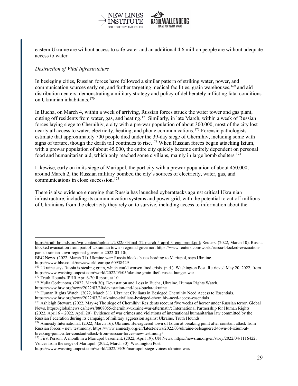

eastern Ukraine are without access to safe water and an additional 4.6 million people are without adequate access to water.

### <span id="page-29-0"></span>*Destruction of Vital Infrastructure*

In besieging cities, Russian forces have followed a similar pattern of striking water, power, and communication sources early on, and further targeting medical facilities, grain warehouses,  $169$  and aid distribution centers, demonstrating a military strategy and policy of deliberately inflicting fatal conditions on Ukrainian inhabitants.[170](#page-29-2) 

In Bucha, on March 4, within a week of arriving, Russian forces struck the water tower and gas plant, cutting off residents from water, gas, and heating.<sup>[171](#page-29-3)</sup> Similarly, in late March, within a week of Russian forces laying siege to Chernihiv, a city with a pre-war population of about 300,000, most of the city lost nearly all access to water, electricity, heating, and phone communications.[172](#page-29-4) Forensic pathologists estimate that approximately 700 people died under the 39-day siege of Chernihiv, including some with signs of torture, though the death toll continues to rise.<sup>[173](#page-29-5)</sup> When Russian forces began attacking Izium, with a prewar population of about 45,000, the entire city quickly became entirely dependent on personal food and humanitarian aid, which only reached some civilians, mainly in large bomb shelters.[174](#page-29-6)

Likewise, early on in its siege of Mariupol, the port city with a prewar population of about 450,000, around March 2, the Russian military bombed the city's sources of electricity, water, gas, and communications in close succession[.175](#page-29-7) 

There is also evidence emerging that Russia has launched cyberattacks against critical Ukrainian infrastructure, including its communication systems and power grid, with the potential to cut off millions of Ukrainians from the electricity they rely on to survive, including access to information about the

[https://truth-hounds.org/wp-content/uploads/2022/04/final\\_22-march-5-april-3\\_eng\\_proof.pdf;](https://truth-hounds.org/wp-content/uploads/2022/04/final_22-march-5-april-3_eng_proof.pdf) Reuters. (2022, March 10). Russia blocked evacuation from part of Ukrainian town - regional governor. https://www.reuters.com/world/russia-blocked-evacuationpart-ukrainian-town-regional-governor-2022-03-10/;

BBC News. (2022, March 31). Ukraine war: Russia blocks buses heading to Mariupol, says Ukraine.

https://www.bbc.co.uk/news/world-europe-60938429

<span id="page-29-1"></span><sup>&</sup>lt;sup>169</sup> Ukraine says Russia is stealing grain, which could worsen food crisis. (n.d.). Washington Post. Retrieved May 20, 2022, from https://www.washingtonpost.com/world/2022/05/05/ukraine-grain-theft-russia-hunger-war

<span id="page-29-2"></span><sup>170</sup> Truth Hounds-IPHR Apr. 6-20 Report, at 10.

<span id="page-29-3"></span><sup>171</sup> Yulia Gorbunova. (2022, March 30). Devastation and Loss in Bucha, Ukraine. Human Rights Watch.

<span id="page-29-4"></span>https://www.hrw.org/news/2022/03/30/devastation-and-loss-bucha-ukraine

<sup>172</sup> Human Rights Watch. (2022, March 31). Ukraine: Civilians in Besieged Chernihiv Need Access to Essentials.

https://www.hrw.org/news/2022/03/31/ukraine-civilians-besieged-chernihiv-need-access-essentials

<span id="page-29-5"></span><sup>&</sup>lt;sup>173</sup> Ashleigh Stewart. (2022, May 4) The siege of Chernihiv: Residents recount five weeks of horror under Russian terror. Global News. [https://globalnews.ca/news/8808055/chernihiv-ukraine-war-aftermath/;](https://globalnews.ca/news/8808055/chernihiv-ukraine-war-aftermath/) International Partnership for Human Rights. (2022, April 6 – 2022, April 20). Evidence of war crimes and violations of international humanitarian law committed by the Russian Federation during its campaign of military aggression against Ukraine. Truth Hounds.

<span id="page-29-6"></span><sup>174</sup> Amnesty International. (2022, March 16). Ukraine: Beleaguered town of Izium at breaking point after constant attack from Russian forces – new testimony. https://www.amnesty.org/en/latest/news/2022/03/ukraine-beleaguered-town-of-izium-atbreaking-point-after-constant-attack-from-russian-forces-new-testimony/

<span id="page-29-7"></span><sup>175</sup> First Person: A month in a Mariupol basement. (2022, April 19). UN News. https://news.un.org/en/story/2022/04/1116422; Voices from the siege of Mariupol. (2022, March 30). Washington Post.

https://www.washingtonpost.com/world/2022/03/30/mariupol-siege-voices-ukraine-war/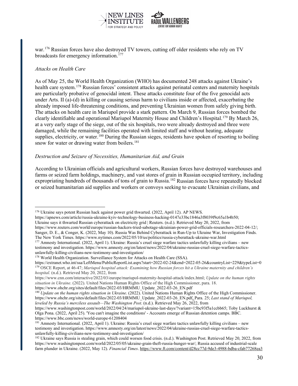

war.<sup>[176](#page-30-2)</sup> Russian forces have also destroyed TV towers, cutting off older residents who rely on TV broadcasts for emergency information.[177](#page-30-3)

#### <span id="page-30-0"></span>*Attacks on Health Care*

As of May 25, the World Health Organization (WHO) has documented 248 attacks against Ukraine's health care system.<sup>178</sup> Russian forces' consistent attacks against perinatal centers and maternity hospitals are particularly probative of genocidal intent. These attacks constitute four of the five genocidal acts under Arts. II (a)-(d) in killing or causing serious harm to civilians inside or affected, exacerbating the already imposed life-threatening conditions, and preventing Ukrainian women from safely giving birth. The attacks on health care in Mariupol provide a stark pattern. On March 9, Russian forces bombed the clearly identifiable and operational Mariupol Maternity House and Children's Hospital.<sup>179</sup> By March 26, at a very early stage of the siege, out of the six hospitals, two were already destroyed and three were damaged, while the remaining facilities operated with limited staff and without heating, adequate supplies, electricity, or water.<sup>[180](#page-30-6)</sup> During the Russian sieges, residents have spoken of resorting to boiling snow for water or drawing water from boilers.<sup>[181](#page-30-7)</sup>

#### <span id="page-30-1"></span>*Destruction and Seizure of Necessities, Humanitarian Aid, and Grain*

According to Ukrainian officials and agricultural workers, Russian forces have destroyed warehouses and farms or seized farm holdings, machinery, and vast stores of grain in Russian occupied territory, including expropriating hundreds of thousands of tons of grain to Russia.[182](#page-30-8) Russian forces have repeatedly blocked or seized humanitarian aid supplies and workers or convoys seeking to evacuate Ukrainian civilians, and

https://apnews.com/article/russia-ukraine-kyiv-technology-business-hacking-0147e33bc1846a3f8039f9c65a1b4b50; Ukraine says it thwarted Russian cyberattack on electricity grid | Reuters. (n.d.). Retrieved May 20, 2022, from https://www.reuters.com/world/europe/russian-hackers-tried-sabotage-ukrainian-power-grid-officials-researchers-2022-04-12/; Sanger, D. E., & Conger, K. (2022, May 10). Russia Was Behind Cyberattack in Run-Up to Ukraine War, Investigation Finds.

<span id="page-30-4"></span><sup>178</sup> World Health Organization. Surveillance System for Attacks on Health Care (SSA).

https://www.ohchr.org/sites/default/files/2022-03/HRMMU\_Update\_2022-03-26\_EN.pdf

<span id="page-30-2"></span><sup>176</sup> Ukraine says potent Russian hack against power grid thwarted. (2022, April 12). AP NEWS.

<span id="page-30-3"></span>The New York Times. https://www.nytimes.com/2022/05/10/us/politics/russia-cyberattack-ukraine-war.html <sup>177</sup> Amnesty International. (2022, April 1). Ukraine: Russia's cruel siege warfare tactics unlawfully killing civilians – new testimony and investigation. https://www.amnesty.org/en/latest/news/2022/04/ukraine-russias-cruel-siege-warfare-tacticsunlawfully-killing-civilians-new-testimony-and-investigation/

<span id="page-30-5"></span>https://extranet.who.int/ssa/LeftMenu/PublicReportList.aspx?start=2022-02-24&end=2022-05-26&countryList=229&typeList=0 <sup>179</sup> OSCE Report, at 46-47; *Mariupol hospital attack: Examining how Russian forces hit a Ukraine maternity and children's hospital*. (n.d.). Retrieved May 20, 2022, from

https://www.cnn.com/interactive/2022/03/europe/mariupol-maternity-hospital-attack/index.html; *Update on the human rights situation in Ukraine*. (2022). United Nations Human Rights Office of the High Commissioner, para. 18.

<span id="page-30-6"></span><sup>180</sup> *Update on the human rights situation in Ukraine*. (2022). United Nations Human Rights Office of the High Commissioner. https://www.ohchr.org/sites/default/files/2022-03/HRMMU\_Update\_2022-03-26\_EN.pdf, Para. 25; *Last stand of Mariupol, leveled by Russia's merciless assault—The Washington Post*. (n.d.). Retrieved May 26, 2022, from

https://www.washingtonpost.com/world/2022/04/24/mariupol-ukraine-last-days/?variant=15bc93f5a1ccbb65; Toby Luckhurst & Olga Pona. (2022, April 25). 'You can't imagine the conditions' - Accounts emerge of Russian detention camps. BBC. https://www.bbc.com/news/world-europe-61208404

<span id="page-30-7"></span><sup>181</sup> Amnesty International. (2022, April 1). Ukraine: Russia's cruel siege warfare tactics unlawfully killing civilians – new testimony and investigation. https://www.amnesty.org/en/latest/news/2022/04/ukraine-russias-cruel-siege-warfare-tacticsunlawfully-killing-civilians-new-testimony-and-investigation/

<span id="page-30-8"></span><sup>&</sup>lt;sup>182</sup> Ukraine says Russia is stealing grain, which could worsen food crisis. (n.d.). Washington Post. Retrieved May 20, 2022, from https://www.washingtonpost.com/world/2022/05/05/ukraine-grain-theft-russia-hunger-war/; Russia accused of industrial-scale farm plunder in Ukraine. (2022, May 12). *Financial Times*[. https://www.ft.com/content/d28cc77d-9de3-4988-bdba-cfab77268ea3](https://www.ft.com/content/d28cc77d-9de3-4988-bdba-cfab77268ea3)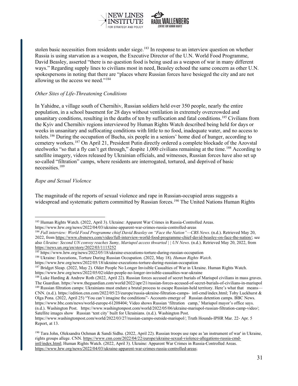

stolen basic necessities from residents under siege.<sup>[183](#page-31-2)</sup> In response to an interview question on whether Russia is using starvation as a weapon, the Executive Director of the U.N. World Food Programme, David Beasley, asserted "there is no question food is being used as a weapon of war in many different ways." Regarding supply lines to civilians most in need, Beasley echoed the same concern as other U.N. spokespersons in noting that there are "places where Russian forces have besieged the city and are not allowing us the access we need."[184](#page-31-3)

# <span id="page-31-0"></span>*Other Sites of Life-Threatening Conditions*

In Yahidne, a village south of Chernihiv, Russian soldiers held over 350 people, nearly the entire population, in a school basement for 28 days without ventilation in extremely overcrowded and unsanitary conditions, resulting in the deaths of ten by suffocation and fatal conditions.<sup>[185](#page-31-4)</sup> Civilians from the Kyiv and Chernihiv regions interviewed by Human Rights Watch described being held for days or weeks in unsanitary and suffocating conditions with little to no food, inadequate water, and no access to toilets. [186](#page-31-5) During the occupation of Bucha, six people in a seniors' home died of hunger, according to cemetery workers.[187](#page-31-6) On April 21, President Putin directly ordered a complete blockade of the Azovstal steelworks "so that a fly can't get through," despite 1,000 civilians remaining at the time.<sup>188</sup> According to satellite imagery, videos released by Ukrainian officials, and witnesses, Russian forces have also set up so-called "filtration" camps, where residents are interrogated, tortured, and deprived of basic necessities.[189](#page-31-8) 

# <span id="page-31-1"></span>*Rape and Sexual Violence*

The magnitude of the reports of sexual violence and rape in Russian-occupied areas suggests a widespread and systematic pattern committed by Russian forces.<sup>190</sup> The United Nations Human Rights

<sup>183</sup> Human Rights Watch. (2022, April 3). Ukraine: Apparent War Crimes in Russia-Controlled Areas.

<span id="page-31-2"></span>https://www.hrw.org/news/2022/04/03/ukraine-apparent-war-crimes-russia-controlled-areas

<span id="page-31-3"></span><sup>184</sup> *Full interview: World Food Programme chief David Beasley on "Face the Nation"—CBS News*. (n.d.). Retrieved May 20, 2022, fro[m https://www.cbsnews.com/video/full-interview-world-food-programme-chief-david-beasley-on-face-the-nation/;](https://www.cbsnews.com/video/full-interview-world-food-programme-chief-david-beasley-on-face-the-nation/) see also *Ukraine: Second UN convoy reaches Sumy, Mariupol access thwarted | | UN News*. (n.d.). Retrieved May 20, 2022, from <https://news.un.org/en/story/2022/03/1115252>

<span id="page-31-4"></span><sup>185</sup> https://www.hrw.org/news/2022/05/18/ukraine-executions-torture-during-russian-occupation

<sup>186</sup> Ukraine: Executions, Torture During Russian Occupation. (2022, May 18). *Human Rights Watch*.

<span id="page-31-5"></span>https://www.hrw.org/news/2022/05/18/ukraine-executions-torture-during-russian-occupation

<span id="page-31-6"></span><sup>187</sup> Bridget Sleap. (2022, May 2). Older People No Longer Invisible Casualties of War in Ukraine. Human Rights Watch.

https://www.hrw.org/news/2022/05/02/older-people-no-longer-invisible-casualties-war-ukraine

<span id="page-31-8"></span><span id="page-31-7"></span><sup>188</sup> Luke Harding & Andrew Roth (2022, April 22). Russian forces accused of secret burials of Mariupol civilians in mass graves. The Guardian. https://www.theguardian.com/world/2022/apr/21/russian-forces-accused-of-secret-burials-of-civilians-in-mariupol <sup>189</sup> Russian filtration camps: Ukrainians must endure a brutal process to escape Russian-held territory. Here's what that means-CNN. (n.d.). https://edition.cnn.com/2022/05/23/europe/russia-ukraine-filtration-camps- intl-cmd/index.html; Toby Luckhurst & Olga Pona. (2022, April 25) "You can't imagine the conditions"- Accounts emerge of Russian detention camps. BBC News. https://www.bbc.com/news/world-europe-61208404; Video shows Russian 'filtration camp,' Mariupol mayor's office says. (n.d.). Washington Post. https://www.washingtonpost.com/world/2022/05/06/ukraine-mariupol-russian-filtration-camp-video/; Satellite images show Russian 'tent city' built for Ukrainians. (n.d.). Washington Post.

https://www.washingtonpost.com/world/2022/03/27/russian-camps-outside-mariupol/; Truth Hounds-IPHR Mar. 22- Apr. 5 Report, at 13.

<span id="page-31-9"></span><sup>190</sup> Tara John, Oleksandra Ochman & Sandi Sidhu. (2022, April 22). Russian troops use rape as 'an instrument of war' in Ukraine, rights groups allege. CNN. [https://www.cnn.com/2022/04/22/europe/ukraine-sexual-violence-allegations-russia-cmd](https://www.cnn.com/2022/04/22/europe/ukraine-sexual-violence-allegations-russia-cmd-intl/index.html)[intl/index.html;](https://www.cnn.com/2022/04/22/europe/ukraine-sexual-violence-allegations-russia-cmd-intl/index.html) Human Rights Watch. (2022, April 3). Ukraine: Apparent War Crimes in Russia-Controlled Areas. [https://www.hrw.org/news/2022/04/03/ukraine-apparent-war-crimes-russia-controlled-areas;](https://www.hrw.org/news/2022/04/03/ukraine-apparent-war-crimes-russia-controlled-areas)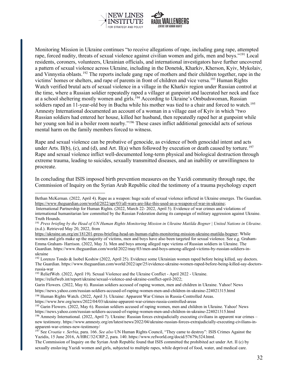

Monitoring Mission in Ukraine continues "to receive allegations of rape, including gang rape, attempted rape, forced nudity, threats of sexual violence against civilian women and girls, men and boys.["191](#page-32-0) Local residents, coroners, volunteers, Ukrainian officials, and international investigators have further uncovered a pattern of sexual violence across Ukraine, including in the Donetsk, Kharkiv, Kherson, Kyiv, Mykolaiv, and Vinnystia oblasts.[192](#page-32-1) The reports include gang rape of mothers and their children together, rape in the victims' homes or shelters, and rape of parents in front of children and vice versa.<sup>193</sup> Human Rights Watch verified brutal acts of sexual violence in a village in the Kharkiv region under Russian control at the time, where a Russian soldier repeatedly raped a villager at gunpoint and lacerated her neck and face at a school sheltering mostly women and girls.<sup>[194](#page-32-3)</sup> According to Ukraine's Ombudswoman, Russian soldiers raped an 11-year-old boy in Bucha while his mother was tied to a chair and forced to watch.<sup>[195](#page-32-4)</sup> Amnesty International documented an account of a woman in a village east of Kyiv in which "two Russian soldiers had entered her house, killed her husband, then repeatedly raped her at gunpoint while her young son hid in a boiler room nearby."<sup>[196](#page-32-5)</sup> These cases inflict additional genocidal acts of serious mental harm on the family members forced to witness.

Rape and sexual violence can be probative of genocide, as evidence of both genocidal intent and acts under Arts. II(b), (c), and (d), and Art. II(a) when followed by execution or death caused by torture.<sup>[197](#page-32-6)</sup> Rape and sexual violence inflict well-documented long-term physical and biological destruction through extreme trauma, leading to suicides, sexually transmitted diseases, and an inability or unwillingness to procreate.

In concluding that ISIS imposed birth prevention measures on the Yazidi community through rape, the Commission of Inquiry on the Syrian Arab Republic cited the testimony of a trauma psychology expert

<span id="page-32-1"></span><sup>192</sup> Lorenzo Tondo & Isobel Koshiw (2022, April 25). Evidence some Ukrainian women raped before being killed, say doctors. The Guardian. https://www.theguardian.com/world/2022/apr/25/evidence-ukraine-women-raped-before-being-killed-say-doctorsrussia-war

[https://reliefweb.int/report/ukraine/sexual-violence-and-ukraine-conflict-april-2022;](https://reliefweb.int/report/ukraine/sexual-violence-and-ukraine-conflict-april-2022)

<https://news.yahoo.com/russian-soldiers-accused-of-raping-women-men-and-children-in-ukraine-224021315.html>

<span id="page-32-3"></span><sup>194</sup> Human Rights Watch. (2022, April 3). Ukraine: Apparent War Crimes in Russia-Controlled Areas.

https://www.hrw.org/news/2022/04/03/ukraine-apparent-war-crimes-russia-controlled-areas

Bethan McKernan. (2022, April 4). Rape as a weapon: huge scale of sexual violence inflicted in Ukraine emerges. The Guardian. [https://www.theguardian.com/world/2022/apr/03/all-wars-are-like-this-used-as-a-weapon-of-war-in-ukraine;](https://www.theguardian.com/world/2022/apr/03/all-wars-are-like-this-used-as-a-weapon-of-war-in-ukraine) 

International Partnership for Human Rights. (2022, March 22- 2022, April 5). Evidence of war crimes and violations of international humanitarian law committed by the Russian Federation during its campaign of military aggression against Ukraine. Truth Hounds.

<span id="page-32-0"></span><sup>191</sup> *Press briefing by the Head of UN Human Rights Monitoring Mission in Ukraine Matilda Bogner | United Nations in Ukraine*. (n.d.). Retrieved May 20, 2022, from

[https://ukraine.un.org/en/181201-press-briefing-head-un-human-rights-monitoring-mission-ukraine-matilda-bogner;](https://ukraine.un.org/en/181201-press-briefing-head-un-human-rights-monitoring-mission-ukraine-matilda-bogner) While women and girls make up the majority of victims, men and boys have also been targeted for sexual violence. See e.g. Graham-Emma Graham- Harrison. (2022, May 3). Men and boys among alleged rape victims of Russian soldiers in Ukraine. The Guardian. https://www.theguardian.com/world/2022/may/03/men-and-boys-among-alleged-victims-by-russian-soldiers-inukraine

<span id="page-32-2"></span><sup>193</sup> ReliefWeb. (2022, April 19). Sexual Violence and the Ukraine Conflict - April 2022 - Ukraine.

Garin Flowers. (2022, May 6). Russian soldiers accused of raping women, men and children in Ukraine. Yahoo! News

<span id="page-32-4"></span><sup>195</sup> Garin Flowers. (2022, May 6). Russian soldiers accused of raping women, men and children in Ukraine. Yahoo! News https://news.yahoo.com/russian-soldiers-accused-of-raping-women-men-and-children-in-ukraine-224021315.html

<span id="page-32-5"></span><sup>196</sup> Amnesty International. (2022, April 7). Ukraine: Russian forces extrajudicially executing civilians in apparent war crimes – new testimony. https://www.amnesty.org/en/latest/news/2022/04/ukraine-russian-forces-extrajudicially-executing-civilians-inapparent-war-crimes-new-testimony/

<span id="page-32-6"></span><sup>197</sup> See *Croatia v. Serbia*, para. 166. *See also* UN Human Rights Council, "They came to destroy": ISIS Crimes Against the Yazidis, 15 June 2016, A/HRC/32/CRP.2, para. 140[. https://www.refworld.org/docid/57679c324.html.](https://www.refworld.org/docid/57679c324.html)

The Commission of Inquiry on the Syrian Arab Republic found that ISIS committed the prohibited act under Art. II (c) by sexually enslaving Yazidi women and girls, subjected to multiple rapes, while deprived of food, water, and medical care.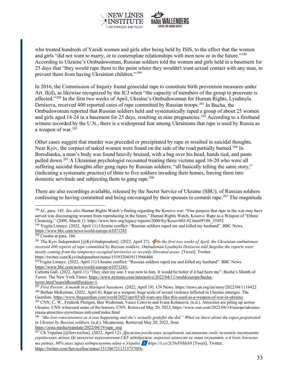

who treated hundreds of Yazidi women and girls after being held by ISIS, to the effect that the women and girls "did not want to marry, or to contemplate relationships with men now or in the future."<sup>[198](#page-33-0)</sup> According to Ukraine's Ombudswoman, Russian soldiers told the women and girls held in a basement for 25 days that "they would rape them to the point where they wouldn't want sexual contact with any man, to prevent them from having Ukrainian children."[199](#page-33-1)

In 2016, the Commission of Inquiry found genocidal rape to constitute birth prevention measures under Art. II(d), as likewise recognized by the ICJ when "the capacity of members of the group to procreate is affected."[200](#page-33-2) In the first two weeks of April, Ukraine's Ombudswoman for Human Rights, Lyudmyla Denisova, received 400 reported cases of rape committed by Russian troops.<sup>201</sup> In Bucha, the Ombudswoman reported that Russian soldiers held and systematically raped a group of about 25 women and girls aged 14-24 in a basement for 25 days, resulting in nine pregnancies.<sup>[202](#page-33-4)</sup> According to a firsthand witness recorded by the U.N., there is a widespread fear among Ukrainians that rape is used by Russia as a weapon of war.<sup>[203](#page-33-5)</sup>

Other cases suggest that murder was preceded or precipitated by rape or resulted in suicidal thoughts. Near Kyiv, the corpses of naked women were found on the side of the road partially burned.<sup>[204](#page-33-6)</sup> In Borodianka, a man's body was found heavily bruised, with a bag over his head, hands tied, and pants pulled down.[205](#page-33-7) A Ukrainian psychologist recounted treating three victims aged 16-20 who were all suffering suicidal thoughts after gang rapes by Russian soldiers, "all basically telling the same story," (indicating a systematic practice) of three to five soldiers invading their homes, forcing them into domestic servitude and subjecting them to gang rape.<sup>206</sup>

There are also recordings available, released by the Secret Service of Ukraine (SBU), of Russian soldiers confessing to having committed and being encouraged by their spouses to commit rape.<sup>207</sup> The magnitude

<span id="page-33-0"></span><sup>198</sup> *Id.,* para. 145. *See also* Human Rights Watch's finding regarding the Kosovo war: "One purpose that rape in the war may have served was discouraging women from reproducing in the future." Human Rights Watch, Kosovo: Rape as a Weapon of "Ethnic Cleansing." (2000, March 1). https://www.hrw.org/legacy/reports/2000/fry/Kosov003-02.htm#P186\_35892

<span id="page-33-1"></span><sup>199</sup> Yogita Limaye. (2022, April 11) Ukraine conflict: "Russian soldiers raped me and killed my husband". BBC News. <https://www.bbc.com/news/world-europe-61071243>

<sup>&</sup>lt;sup>200</sup> Croatia at para. 166.

<span id="page-33-3"></span><span id="page-33-2"></span><sup>&</sup>lt;sup>201</sup> The Kyiv Independent [@KyivIndependent]. (2022, April 27).  $\blacktriangleleft$ *In the first two weeks of April, the Ukrainian ombudsman received 400 reports of rape committed by Russian soldiers. Ombudsman Lyudmyla Denisova told Suspilne the reports were mostly coming from the temporary occupied territories or recently liberated areas.* [Tweet]. Twitter. https://twitter.com/KyivIndependent/status/1519320459115966466

<span id="page-33-4"></span><sup>&</sup>lt;sup>202</sup>Yogita Limaye. (2022, April 11) Ukraine conflict: "Russian soldiers raped me and killed my husband". BBC News. [https://www.bbc.com/news/world-europe-61071243;](https://www.bbc.com/news/world-europe-61071243)

Carlotta Gall. (2022, April 11) "They shot my son. I was next to him. It would be better if it had been me": Bucha's Month of Terror. The New York Times. https://www.nytimes.com/interactive/2022/04/11/world/europe/bucha-<br>terror.html?searchResultPosition=1.

<span id="page-33-6"></span><span id="page-33-5"></span><sup>&</sup>lt;sup>203</sup> First Person: A month in a Mariupol basement. (2022, April 19). UN News. https://news.un.org/en/story/2022/04/1116422 <sup>204</sup> Bethan McKernan. (2022, April 4). Rape as a weapon: huge scale of sexual violence inflicted in Ukraine emerges. The Guardian.<https://www.theguardian.com/world/2022/apr/03/all-wars-are-like-this-used-as-a-weapon-of-war-in-ukraine> <sup>205</sup> CNN, C. W., Frederik Pleitgen, Ben Wedeman, Vasco Cotovio and Ivana Kottasová. (n.d.). Atrocities are piling up across

<span id="page-33-7"></span>Ukraine. CNN witnessed some of the horrors. CNN. Retrieved May 20, 2022, https://www.cnn.com/2022/04/14/europe/ukrainerussia-atrocities-eyewitness-intl-cmd/index.html

<span id="page-33-8"></span><sup>&</sup>lt;sup>206</sup> "She lost consciousness as it was happening and she's actually grateful she did." What we know about the rapes perpetrated *in Ukraine by Russian soldiers.* (n.d.). Медиазона. Retrieved May 20, 2022, from [https://zona.media/translate/2022/04/19/rape\\_eng](https://zona.media/translate/2022/04/19/rape_eng)

<span id="page-33-9"></span><sup>207</sup> СБ України [@ServiceSsu]. (2022, April 12). *Дружини російських загарбників закликають своїх чоловіків ґвалтувати українських жінок Це шокуюче перехоплення СБУ відображає моральні цінності не лише окупантів, а й їхніх близьких та рідних, 80% яких зараз підтримують війну в Україні*  $\mu$  *https://t.co/2C0v<i>F0Msb8* [Tweet]. Twitter. [https://twitter.com/ServiceSsu/status/1513867211315757056;](https://twitter.com/ServiceSsu/status/1513867211315757056)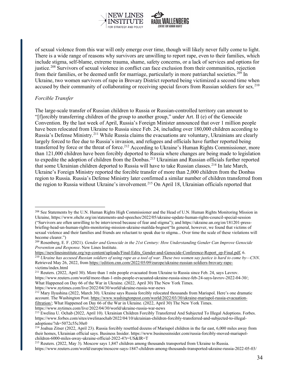

of sexual violence from this war will only emerge over time, though will likely never fully come to light. There is a wide range of reasons why survivors are unwilling to report rape, even to their families, which include stigma, self-blame, extreme trauma, shame, safety concerns, or a lack of services and options for justice.<sup>[208](#page-34-1)</sup> Survivors of sexual violence in conflict can face exclusion from their communities, rejection from their families, or be deemed unfit for marriage, particularly in more patriarchal societies.[209](#page-34-2) In Ukraine, two women survivors of rape in Brovary District reported being victimized a second time when accused by their community of collaborating or receiving special favors from Russian soldiers for sex.<sup>[210](#page-34-3)</sup>

# <span id="page-34-0"></span>*Forcible Transfer*

The large-scale transfer of Russian children to Russia or Russian-controlled territory can amount to "[f]orcibly transferring children of the group to another group," under Art. II (e) of the Genocide Convention. By the last week of April, Russia's Foreign Minister announced that over 1 million people have been relocated from Ukraine to Russia since Feb. 24, including over 180,000 children according to Russia's Defense Ministry.[211](#page-34-4) While Russia claims the evacuations are voluntary, Ukrainians are clearly largely forced to flee due to Russia's invasion, and refugees and officials have further reported being transferred by force or the threat of force.<sup>[212](#page-34-5)</sup> According to Ukraine's Human Rights Commissioner, more than 121,000 children have been forcibly deported to Russia where changes are being made to legislation to expedite the adoption of children from the Donbas.<sup>[213](#page-34-6)</sup> Ukrainian and Russian officials further reported that some Ukrainian children deported to Russia will have to take Russian classes.<sup>214</sup> In late March, Ukraine's Foreign Ministry reported the forcible transfer of more than 2,000 children from the Donbas region to Russia. Russia's Defense Ministry later confirmed a similar number of children transferred from the region to Russia without Ukraine's involvement.<sup>215</sup> On April 18, Ukrainian officials reported that

<span id="page-34-1"></span><sup>&</sup>lt;sup>208</sup> See Statements by the U.N. Human Rights High Commissioner and the Head of U.N. Human Rights Monitoring Mission in Ukraine[, https://www.ohchr.org/en/statements-and-speeches/2022/05/ukraine-update-human-rights-council-special-session](https://www.ohchr.org/en/statements-and-speeches/2022/05/ukraine-update-human-rights-council-special-session) ("Survivors are often unwilling to be interviewed because of fear and stigma"); an[d https://ukraine.un.org/en/181201-press](https://ukraine.un.org/en/181201-press-briefing-head-un-human-rights-monitoring-mission-ukraine-matilda-bogner)[briefing-head-un-human-rights-monitoring-mission-ukraine-matilda-bogner\(](https://ukraine.un.org/en/181201-press-briefing-head-un-human-rights-monitoring-mission-ukraine-matilda-bogner)"In general, however, we found that victims of sexual violence and their families and friends are reluctant to speak due to stigma... Over time the scale of these violations will become clearer.")

<span id="page-34-2"></span><sup>209</sup> Rosenberg, E. F. (2021). *Gender and Genocide in the 21st Century: How Understanding Gender Can Improve Genocide Prevention and Response*. New Lines Institute.

<span id="page-34-3"></span>[https://newlinesinstitute.org/wp-content/uploads/Final-Edits\\_Gender-and-Genocide-Conference-Report\\_ep-Final.pdf,](https://newlinesinstitute.org/wp-content/uploads/Final-Edits_Gender-and-Genocide-Conference-Report_ep-Final.pdf) 6. <sup>210</sup> *Ukraine has accused Russian soldiers of using rape as a tool of war. These two women say justice is hard to come by—CNN*. Retrieved May 26, 2022, fro[m https://edition.cnn.com/2022/05/09/europe/ukraine-russian-soldiers-brovary-rape](https://edition.cnn.com/2022/05/09/europe/ukraine-russian-soldiers-brovary-rape-)victims/index.html

<span id="page-34-4"></span><sup>211</sup> Reuters. (2022, April 30). More than 1 mln people evacuated from Ukraine to Russia since Feb. 24, says Lavrov. https://www.reuters.com/world/more-than-1-mln-people-evacuated-ukraine-russia-since-feb-24-says-lavrov-2022-04-30/; What Happened on Day 66 of the War in Ukraine. (2022, April 30) The New York Times.

https://www.nytimes.com/live/2022/04/30/world/ukraine-russia-war-news <sup>212</sup> Mary Ilyushina (2022, March 30). Ukraine says Russia forcibly relocated thousands from Mariupol. Here's one dramatic

<span id="page-34-5"></span>account. The Washington Post[. https://www.washingtonpost.com/world/2022/03/30/ukraine-mariupol-russia-evacuation](https://www.washingtonpost.com/world/2022/03/30/ukraine-mariupol-russia-evacuation-filtration/)[filtration/;](https://www.washingtonpost.com/world/2022/03/30/ukraine-mariupol-russia-evacuation-filtration/) What Happened on Day 66 of the War in Ukraine. (2022, April 30) The New York Times. https://www.nytimes.com/live/2022/04/30/world/ukraine-russia-war-news

<span id="page-34-6"></span><sup>&</sup>lt;sup>213</sup> Ewelina U. Ochab (2022, April 10). Ukrainian Children Forcibly Transferred And Subjected To Illegal Adoptions. Forbes. https://www.forbes.com/sites/ewelinaochab/2022/04/10/ukrainian-children-forcibly-transferred-and-subjected-to-illegaladoptions/?sh=5072c55c30e0

<span id="page-34-7"></span><sup>214</sup> Joahua Zitser (2022, April 23). Russia forcibly resettled dozens of Mariupol children in the far east, 6,000 miles away from their homes, Ukrainian official says. Business Insider. https://www.businessinsider.com/russia-forcibly-moved-mariupolchildren-6000-miles-away-ukraine-official-2022-4?r=US&IR=T

<span id="page-34-8"></span><sup>215</sup> Reuters. (2022, May 3). Moscow says 1,847 children among thousands transported from Ukraine to Russia.

https://www.reuters.com/world/europe/moscow-says-1847-children-among-thousands-transported-ukraine-russia-2022-05-03/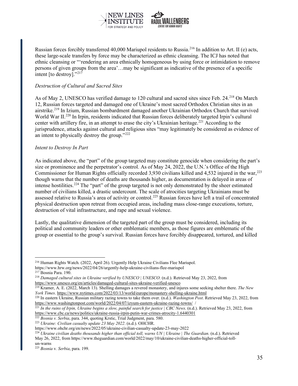

Russian forces forcibly transferred 40,000 Mariupol residents to Russia.<sup>[216](#page-35-2)</sup> In addition to Art. II (e) acts, these large-scale transfers by force may be characterized as ethnic cleansing. The ICJ has noted that ethnic cleansing or "'rendering an area ethnically homogeneous by using force or intimidation to remove persons of given groups from the area'…may be significant as indicative of the presence of a specific intent [to destroy]."[217](#page-35-3)

# <span id="page-35-0"></span>*Destruction of Cultural and Sacred Sites*

As of May 2, UNESCO has verified damage to 120 cultural and sacred sites since Feb. 24.<sup>[218](#page-35-4)</sup> On March 12, Russian forces targeted and damaged one of Ukraine's most sacred Orthodox Christian sites in an airstrike.[219](#page-35-5) In Izium, Russian bombardment damaged another Ukrainian Orthodox Church that survived World War II.<sup>220</sup> In Irpin, residents indicated that Russian forces deliberately targeted Irpin's cultural center with artillery fire, in an attempt to erase the city's Ukrainian heritage.<sup>[221](#page-35-7)</sup> According to the jurisprudence, attacks against cultural and religious sites "may legitimately be considered as evidence of an intent to physically destroy the group."[222](#page-35-8)

# <span id="page-35-1"></span>*Intent to Destroy In Part*

As indicated above, the "part" of the group targeted may constitute genocide when considering the part's size or prominence and the perpetrator's control. As of May 24, 2022, the U.N.'s Office of the High Commissioner for Human Rights officially recorded 3,930 civilians killed and 4,532 injured in the war,<sup>[223](#page-35-9)</sup> though warns that the number of deaths are thousands higher, as documentation is delayed in areas of intense hostilities.[224](#page-35-10) The "part" of the group targeted is not only demonstrated by the sheer estimated number of civilians killed, a drastic undercount. The scale of atrocities targeting Ukrainians must be assessed relative to Russia's area of activity or control.<sup>[225](#page-35-11)</sup> Russian forces have left a trail of concentrated physical destruction upon retreat from occupied areas, including mass close-range executions, torture, destruction of vital infrastructure, and rape and sexual violence.

Lastly, the qualitative dimension of the targeted part of the group must be considered, including its political and community leaders or other emblematic members, as those figures are emblematic of the group or essential to the group's survival. Russian forces have forcibly disappeared, tortured, and killed

https://www.hrw.org/news/2022/04/26/urgently-help-ukraine-civilians-flee-mariupol <sup>217</sup> Bosnia Para. 190.

<span id="page-35-2"></span><sup>216</sup> Human Rights Watch. (2022, April 26). Urgently Help Ukraine Civilians Flee Mariupol.

<span id="page-35-4"></span><span id="page-35-3"></span><sup>218</sup> *Damaged cultural sites in Ukraine verified by UNESCO | UNESCO*. (n.d.). Retrieved May 23, 2022, from <https://www.unesco.org/en/articles/damaged-cultural-sites-ukraine-verified-unesco>

<span id="page-35-5"></span><sup>219</sup> Kramer, A. E. (2022, March 13). Shelling damages a revered monastery, and injures some seeking shelter there. *The New York Times*[. https://www.nytimes.com/2022/03/13/world/europe/monastery-shelling-ukraine.html](https://www.nytimes.com/2022/03/13/world/europe/monastery-shelling-ukraine.html)

<span id="page-35-6"></span><sup>&</sup>lt;sup>220</sup> In eastern Ukraine, Russian military razing towns to take them over. (n.d.). *Washington Post*. Retrieved May 23, 2022, from https://www.washingtonpost.com/world/2022/04/07/izyum-eastern-ukraine-razing-towns/ /

<span id="page-35-7"></span> $\frac{1}{221}$  In the ruins of Irpin, Ukraine begins a slow, painful search for justice  $|$  CBC News. (n.d.). Retrieved May 23, 2022, from <https://www.cbc.ca/news/politics/ukraine-russia-irpin-putin-war-crimes-atrocity-1.6440301>

<span id="page-35-8"></span><sup>222</sup> *Bosnia v. Serbia*, para. 344, quoting Krstic, Trial Judgment, para. 580.

<span id="page-35-9"></span><sup>223</sup> *Ukraine: Civilian casualty update 23 May 2022*. (n.d.). OHCHR.

https://www.ohchr.org/en/news/2022/05/ukraine-civilian-casualty-update-23-may-2022

<span id="page-35-10"></span><sup>224</sup> *Ukraine civilian deaths thousands higher than official toll, warns UN | Ukraine | The Guardian*. (n.d.). Retrieved May 26, 2022, from https://www.theguardian.com/world/2022/may/10/ukraine-civilian-deaths-higher-official-toll-

un-warns

<span id="page-35-11"></span><sup>225</sup> *Bosnia* v*. Serbia*, para. 199.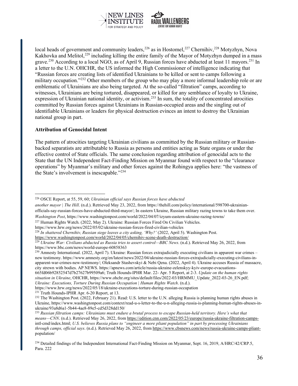

local heads of government and community leaders,<sup>[226](#page-36-1)</sup> as in Hostomel,<sup>[227](#page-36-2)</sup> Chernihiv,<sup>[228](#page-36-3)</sup> Motyzhyn, Nova Kakhovka and Melitol,<sup>229</sup> including killing the entire family of the Mayor of Motyzhyn dumped in a mass grave.[230](#page-36-5) According to a local NGO, as of April 9, Russian forces have abducted at least 11 mayors[.231](#page-36-6) In a letter to the U.N. OHCHR, the US informed the High Commissioner of intelligence indicating that "Russian forces are creating lists of identified Ukrainians to be killed or sent to camps following a military occupation."<sup>[232](#page-36-7)</sup> Other members of the group who may play a more informal leadership role or are emblematic of Ukrainians are also being targeted. At the so-called "filtration" camps, according to witnesses, Ukrainians are being tortured, disappeared, or killed for any semblance of loyalty to Ukraine, expression of Ukrainian national identity, or activism.<sup>[233](#page-36-8)</sup> In sum, the totality of concentrated atrocities committed by Russian forces against Ukrainians in Russian-occupied areas and the singling out of identifiable Ukrainians or leaders for physical destruction evinces an intent to destroy the Ukrainian national group in part.

# <span id="page-36-0"></span>**Attribution of Genocidal Intent**

The pattern of atrocities targeting Ukrainian civilians as committed by the Russian military or Russianbacked separatists are attributable to Russia as persons and entities acting as State organs or under the effective control of State officials. The same conclusion regarding attribution of genocidal acts to the State that the UN Independent Fact-Finding Mission on Myanmar found with respect to the "clearance operations" by Myanmar's military and other forces against the Rohingya applies here: "the vastness of the State's involvement is inescapable."[234](#page-36-9)

*another mayor | The Hill*. (n.d.). Retrieved May 23, 2022, fro[m https://thehill.com/policy/international/598700-ukrainian](https://thehill.com/policy/international/598700-ukrainian-)officials-say-russian-forces-have-abducted-third-mayor/; In eastern Ukraine, Russian military razing towns to take them over. *Washington Post*,<https://www.washingtonpost.com/world/2022/04/07/izyum-eastern-ukraine-razing-towns/>

<span id="page-36-2"></span><sup>227</sup> Human Rights Watch. (2022, May 2). Ukraine: Russian Forces Fired On Civilian Vehicles.

https://www.hrw.org/news/2022/05/02/ukraine-russian-forces-fired-civilian-vehicles

<https://www.washingtonpost.com/world/2022/04/05/chernihiv-scene-death-destruction/>

<span id="page-36-5"></span> $^{230}$  Amnesty International. (2022, April 7). Ukraine: Russian forces extrajudicially executing civilians in apparent war crimes – new testimony[. https://www.amnesty.org/en/latest/news/2022/04/ukraine-russian-forces-extrajudicially-executing-civilians-in](https://www.amnesty.org/en/latest/news/2022/04/ukraine-russian-forces-extrajudicially-executing-civilians-in-apparent-war-crimes-new-testimony/)[apparent-war-crimes-new-testimony/;](https://www.amnesty.org/en/latest/news/2022/04/ukraine-russian-forces-extrajudicially-executing-civilians-in-apparent-war-crimes-new-testimony/) Oleksandr Stashevskyi & Nebi Qena. (2022, April 4). Ukraine accuses Russia of massacre, city strewn with bodies. AP NEWS. https://apnews.com/article/russia-ukraine-zelenskyy-kyiv-europe-evacuations-665fd06b92852547d7b27627b99509a6; Truth Hounds-IPHR Mar. 22- Apr. 5 Report, at 2-3. *Update on the human rights situation in Ukraine*, OHCHR, [https://www.ohchr.org/sites/default/files/2022-03/HRMMU\\_Update\\_2022-03-26\\_EN.pdf;](https://www.ohchr.org/sites/default/files/2022-03/HRMMU_Update_2022-03-26_EN.pdf) *Ukraine: Executions, Torture During Russian Occupation | Human Rights Watch*. (n.d.).

https://www.hrw.org/news/2022/05/18/ukraine-executions-torture-during-russian-occupation

<span id="page-36-6"></span><sup>231</sup> Truth Hounds-IPHR Apr. 6-20 Report, at 13.

<span id="page-36-1"></span><sup>226</sup> OSCE Report, at 55, 59, 60; *Ukrainian official says Russian forces have abducted* 

<span id="page-36-3"></span><sup>228</sup> *In shattered Chernihiv, Russian siege leaves a city asking, 'Why?'* (2022, April 5). Washington Post.

<span id="page-36-4"></span><sup>229</sup> *Ukraine War: Civilians abducted as Russia tries to assert control—BBC News*. (n.d.). Retrieved May 26, 2022, from https://www.bbc.com/news/world-europe-60858363

<span id="page-36-7"></span><sup>232</sup> The Washington Post. (2022, February 21). Read: U.S. letter to the U.N. alleging Russia is planning human rights abuses in Ukraine, https://www.washingtonpost.com/context/read-u-s-letter-to-the-u-n-alleging-russia-is-planning-human-rights-abuses-inukraine/93a8d6a1-5b44-4ae8-89e5-cd5d328dd150/

<span id="page-36-8"></span><sup>233</sup> *Russian filtration camps: Ukrainians must endure a brutal process to escape Russian-held territory. Here's what that means—CNN*. (n.d.). Retrieved May 26, 2022, fro[m https://edition.cnn.com/2022/05/23/europe/russia-ukraine-filtration-camps](https://edition.cnn.com/2022/05/23/europe/russia-ukraine-filtration-camps-)intl-cmd/index.html; *U.S. believes Russia plans to "engineer a more pliant population" in part by processing Ukrainians through camps, official says*. (n.d.). Retrieved May 26, 2022, fro[m https://www.cbsnews.com/news/russia-ukraine-camps-pliant](https://www.cbsnews.com/news/russia-ukraine-camps-pliant-)population/

<span id="page-36-9"></span><sup>&</sup>lt;sup>234</sup> Detailed findings of the Independent International Fact-Finding Mission on Myanmar, Sept. 16, 2019, A/HRC/42/CRP.5, Para. 222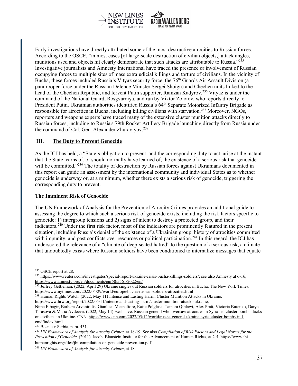

Early investigations have directly attributed some of the most destructive atrocities to Russian forces. According to the OSCE, "in most cases [of large-scale destruction of civilian objects,] attack angles, munitions used and objects hit clearly demonstrate that such attacks are attributable to Russia."[235](#page-37-2) Investigative journalists and Amnesty International have traced the presence or involvement of Russian occupying forces to multiple sites of mass extrajudicial killings and torture of civilians. In the vicinity of Bucha, these forces included Russia's Vityaz security force, the 76<sup>th</sup> Guards Air Assault Division (a paratrooper force under the Russian Defence Minister Sergei Shoigu) and Chechen units linked to the head of the Chechen Republic, and fervent Putin supporter, Ramzan Kadyrov.<sup>[236](#page-37-3)</sup> Vityaz is under the command of the National Guard, Rosgvardiya, and run by Viktor Zolotov, who reports directly to President Putin. Ukrainian authorities identified Russia's 64<sup>th</sup> Separate Motorized Infantry Brigade as responsible for atrocities in Bucha, including killing civilians with starvation.[237](#page-37-4) Moreover, NGOs, reporters and weapons experts have traced many of the extensive cluster munition attacks directly to Russian forces, including to Russia's 79th Rocket Artillery Brigade launching directly from Russia under the command of Col. Gen. Alexander Zhuravlyov.<sup>[238](#page-37-5)</sup>

# <span id="page-37-0"></span>**III. The Duty to Prevent Genocide**

As the ICJ has held, a "State's obligation to prevent, and the corresponding duty to act, arise at the instant that the State learns of, or should normally have learned of, the existence of a serious risk that genocide will be committed."<sup>239</sup> The totality of destruction by Russian forces against Ukrainians documented in this report can guide an assessment by the international community and individual States as to whether genocide is underway or, at a minimum, whether there exists a serious risk of genocide, triggering the corresponding duty to prevent.

# <span id="page-37-1"></span>**The Imminent Risk of Genocide**

The UN Framework of Analysis for the Prevention of Atrocity Crimes provides an additional guide to assessing the degree to which such a serious risk of genocide exists, including the risk factors specific to genocide: 1) intergroup tensions and 2) signs of intent to destroy a protected group, and their indicators.[240](#page-37-7) Under the first risk factor, most of the indicators are prominently featured in the present situation, including Russia's denial of the existence of a Ukrainian group, history of atrocities committed with impunity, and past conflicts over resources or political participation.<sup>241</sup> In this regard, the ICJ has underscored the relevance of a "climate of deep-seated hatred" to the question of a serious risk, a climate that undoubtedly exists where Russian soldiers have been conditioned to internalize messages that equate

<span id="page-37-3"></span><span id="page-37-2"></span><sup>&</sup>lt;sup>235</sup> OSCE report at 28.<br><sup>236</sup> [https://www.reuters.com/investigates/special-report/ukraine-crisis-bucha-killings-soldiers/;](https://www.reuters.com/investigates/special-report/ukraine-crisis-bucha-killings-soldiers/) see also Amnesty at 6-16,

<span id="page-37-4"></span>[https://www.amnesty.org/en/documents/eur50/5561/2022/en/.](https://www.amnesty.org/en/documents/eur50/5561/2022/en/)<br><sup>237</sup> Jeffrey Gettleman. (2022, April 29) Ukraine singles out Russian soldiers for atrocities in Bucha. The New York Times. https://www.nytimes.com/2022/04/29/world/europe/bucha-russian-soliders-atrocities.html

<span id="page-37-5"></span><sup>238</sup> Human Rights Watch. (2022, May 11) Intense and Lasting Harm: Cluster Munition Attacks in Ukraine. [https://www.hrw.org/report/2022/05/11/intense-and-lasting-harm/cluster-munition-attacks-ukraine;](https://www.hrw.org/report/2022/05/11/intense-and-lasting-harm/cluster-munition-attacks-ukraine)

Nima Elbagir, Barbara Arvanitidis, Gianluca Mezzofiore, Katie Polglase, Tamara Qiblawi, Alex Pratt, Victoria Butenko, Darya Tarasova & Maria Avdeeva. (2022, May 14) Exclusive: Russian general who oversaw atrocities in Syria led cluster bomb attacks on civilians in Ukraine. CNN[. https://www.cnn.com/2022/05/12/world/russia-general-ukraine-syria-cluster-bombs-intl](https://www.cnn.com/2022/05/12/world/russia-general-ukraine-syria-cluster-bombs-intl-cmd/index.html)[cmd/index.html](https://www.cnn.com/2022/05/12/world/russia-general-ukraine-syria-cluster-bombs-intl-cmd/index.html)

<span id="page-37-6"></span><sup>239</sup> Bosnia v Serbia, para. 431.

<span id="page-37-7"></span><sup>240</sup> *UN Framework of Analysis for Atrocity Crimes,* at 18-19. See also *Compilation of Risk Factors and Legal Norms for the Prevention of Genocide*. (2011). Jacob Blaustein Institute for the Advancement of Human Rights, at 2-4. https://www.jbihumanrights.org/files/jbi-compilation-on-genocide-prevention.pdf

<span id="page-37-8"></span><sup>241</sup> *UN Framework of Analysis for Atrocity Crimes*, at 18.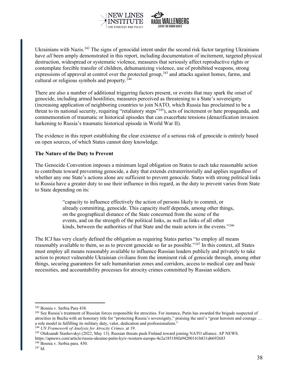

Ukrainians with Nazis.<sup>[242](#page-38-1)</sup> The signs of genocidal intent under the second risk factor targeting Ukrainians have *all* been amply demonstrated in this report, including documentation of incitement, targeted physical destruction, widespread or systematic violence, measures that seriously affect reproductive rights or contemplate forcible transfer of children, dehumanizing violence, use of prohibited weapons, strong expressions of approval at control over the protected group,<sup>[243](#page-38-2)</sup> and attacks against homes, farms, and cultural or religious symbols and property.<sup>244</sup>

There are also a number of additional triggering factors present, or events that may spark the onset of genocide, including armed hostilities, measures perceived as threatening to a State's sovereignty (increasing application of neighboring countries to join NATO, which Russia has proclaimed to be a threat to its national security, requiring "retaliatory steps"<sup>[245](#page-38-4)</sup>), acts of incitement or hate propaganda, and commemoration of traumatic or historical episodes that can exacerbate tensions (denazification invasion harkening to Russia's traumatic historical episode in World War II).

The evidence in this report establishing the clear existence of a serious risk of genocide is entirely based on open sources, of which States cannot deny knowledge.

# <span id="page-38-0"></span>**The Nature of the Duty to Prevent**

The Genocide Convention imposes a minimum legal obligation on States to each take reasonable action to contribute toward preventing genocide, a duty that extends extraterritorially and applies regardless of whether any one State's actions alone are sufficient to prevent genocide. States with strong political links to Russia have a greater duty to use their influence in this regard, as the duty to prevent varies from State to State depending on its:

> "capacity to influence effectively the action of persons likely to commit, or already committing, genocide. This capacity itself depends, among other things, on the geographical distance of the State concerned from the scene of the events, and on the strength of the political links, as well as links of all other kinds, between the authorities of that State and the main actors in the events."[246](#page-38-5)

The ICJ has very clearly defined the obligation as requiring States parties "to employ all means reasonably available to them, so as to prevent genocide so far as possible."[247](#page-38-6) In this context, all States must employ all means reasonably available to influence Russian leaders publicly and privately to take action to protect vulnerable Ukrainian civilians from the imminent risk of genocide through, among other things, securing guarantees for safe humanitarian zones and corridors, access to medical care and basic necessities, and accountability processes for atrocity crimes committed by Russian soldiers.

<span id="page-38-4"></span><span id="page-38-3"></span><sup>245</sup> Oleksandr Stashevskyi (2022, May 13). Russian threats push Finland toward joining NATO alliance. AP NEWS. https://apnews.com/article/russia-ukraine-putin-kyiv-western-europe-4e2a185188fa94200161b831d6692683

<span id="page-38-1"></span><sup>242</sup> Bosnia v. Serbia Para 438.

<span id="page-38-2"></span><sup>&</sup>lt;sup>243</sup> See Russia's treatment of Russian forces responsible for atrocities. For instance, Putin has awarded the brigade suspected of atrocities in Bucha with an honorary title for "protecting Russia's sovereignty," praising the unit's "great heroism and courage ... a role model in fulfilling its military duty, valor, dedication and professionalism." 244 *UN Framework of Analysis for Atrocity Crimes,* at 19.

<span id="page-38-6"></span><span id="page-38-5"></span><sup>246</sup> Bosnia v. Serbia para. 430.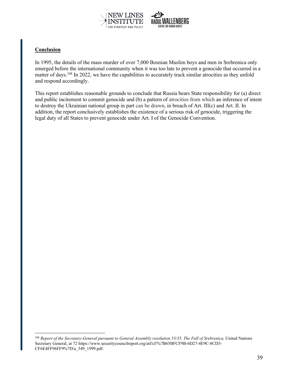

# FNTRF FNR HIIMAN RIGHTS

# <span id="page-39-0"></span>**Conclusion**

In 1995, the details of the mass murder of over 7,000 Bosnian Muslim boys and men in Srebrenica only emerged before the international community when it was too late to prevent a genocide that occurred in a matter of days.<sup>248</sup> In 2022, we have the capabilities to accurately track similar atrocities as they unfold and respond accordingly.

This report establishes reasonable grounds to conclude that Russia bears State responsibility for (a) direct and public incitement to commit genocide and (b) a pattern of atrocities from which an inference of intent to destroy the Ukrainian national group in part can be drawn, in breach of Art. III(c) and Art. II. In addition, the report conclusively establishes the existence of a serious risk of genocide, triggering the legal duty of all States to prevent genocide under Art. I of the Genocide Convention.

<span id="page-39-1"></span><sup>248</sup> *Report of the Secretary-General pursuant to General Assembly resolution 53/35, The Fall of Srebrenica,* United Nations Secretary General, at 72 https://www.securitycouncilreport.org/atf/cf/%7B65BFCF9B-6D27-4E9C-8CD3- CF6E4FF96FF9%7D/a\_549\_1999.pdf.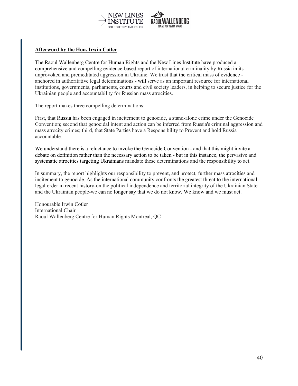



# <span id="page-40-0"></span>**Afterword by the Hon. Irwin Cotler**

The Raoul Wallenberg Centre for Human Rights and the New Lines Institute have produced a comprehensive and compelling evidence-based report of international criminality by Russia in its unprovoked and premeditated aggression in Ukraine. We trust that the critical mass of evidence anchored in authoritative legal determinations - will serve as an important resource for international institutions, governments, parliaments, courts and civil society leaders, in helping to secure justice for the Ukrainian people and accountability for Russian mass atrocities.

The report makes three compelling determinations:

First, that Russia has been engaged in incitement to genocide, a stand-alone crime under the Genocide Convention; second that genocidal intent and action can be inferred from Russia's criminal aggression and mass atrocity crimes; third, that State Parties have a Responsibility to Prevent and hold Russia accountable.

We understand there is a reluctance to invoke the Genocide Convention - and that this might invite a debate on definition rather than the necessary action to be taken - but in this instance, the pervasive and systematic atrocities targeting Ukrainians mandate these determinations and the responsibility to act.

In summary, the report highlights our responsibility to prevent, and protect, further mass atrocities and incitement to genocide. As the international community confronts the greatest threat to the international legal order in recent history-on the political independence and territorial integrity of the Ukrainian State and the Ukrainian people-we can no longer say that we do not know. We know and we must act.

Honourable Irwin Cotler International Chair Raoul Wallenberg Centre for Human Rights Montreal, QC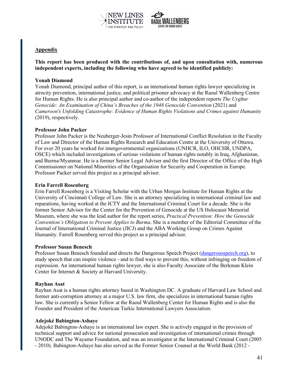



# <span id="page-41-0"></span>**Appendix**

**This report has been produced with the contributions of, and upon consultation with, numerous independent experts, including the following who have agreed to be identified publicly:** 

# **Yonah Diamond**

Yonah Diamond, principal author of this report, is an international human rights lawyer specializing in atrocity prevention, international justice, and political prisoner advocacy at the Raoul Wallenberg Centre for Human Rights. He is also principal author and co-author of the independent reports *The Uyghur Genocide: An Examination of China's Breaches of the 1948 Genocide Convention* (2021) and *Cameroon's Unfolding Catastrophe: Evidence of Human Rights Violations and Crimes against Humanity*  (2019), respectively.

# **Professor John Packer**

Professor John Packer is the Neuberger-Jesin Professor of International Conflict Resolution in the Faculty of Law and Director of the Human Rights Research and Education Centre at the University of Ottawa. For over 20 years he worked for intergovernmental organizations (UNHCR, ILO, OHCHR, UNDPA, OSCE) which included investigations of serious violations of human rights notably in Iraq, Afghanistan, and Burma/Myanmar. He is a former Senior Legal Adviser and the first Director of the Office of the High Commissioner on National Minorities of the Organisation for Security and Cooperation in Europe. Professor Packer served this project as a principal advisor.

# **Erin Farrell Rosenberg**

Erin Farrell Rosenberg is a Visiting Scholar with the Urban Morgan Institute for Human Rights at the University of Cincinnati College of Law. She is an attorney specializing in international criminal law and reparations, having worked at the ICTY and the International Criminal Court for a decade. She is the former Senior Advisor for the Center for the Prevention of Genocide at the US Holocaust Memorial Museum, where she was the lead author for the report series, *Practical Prevention: How the Genocide Convention's Obligation to Prevent Applies to Burma*. She is a member of the Editorial Committee of the Journal of International Criminal Justice (JICJ) and the ABA Working Group on Crimes Against Humanity. Farrell Rosenberg served this project as a principal advisor.

# **Professor Susan Benesch**

Professor Susan Benesch founded and directs the Dangerous Speech Project [\(dangerousspeech.org\)](http://dangerousspeech.org/), to study speech that can inspire violence - and to find ways to prevent this, without infringing on freedom of expression. An international human rights lawyer, she is also Faculty Associate of the Berkman Klein Center for Internet & Society at Harvard University.

# **Rayhan Asat**

Rayhan Asat is a human rights attorney based in Washington DC. A graduate of Harvard Law School and former anti-corruption attorney at a major U.S. law firm, she specializes in international human rights law. She is currently a Senior Fellow at the Raoul Wallenberg Center for Human Rights and is also the Founder and President of the American Turkic International Lawyers Association.

# **Adejoké Babington-Ashaye**

Adejoké Babington-Ashaye is an international law expert. She is actively engaged in the provision of technical support and advice for national prosecution and investigation of international crimes through UNODC and The Wayamo Foundation, and was an investigator at the International Criminal Court (2005 - 2010). Babington-Ashaye has also served as the Former Senior Counsel at the World Bank (2012 -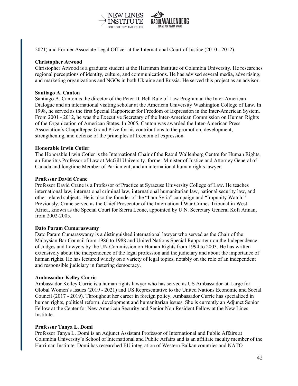

2021) and Former Associate Legal Officer at the International Court of Justice (2010 - 2012).

# **Christopher Atwood**

Christopher Atwood is a graduate student at the Harriman Institute of Columbia University. He researches regional perceptions of identity, culture, and communications. He has advised several media, advertising, and marketing organizations and NGOs in both Ukraine and Russia. He served this project as an advisor.

# **Santiago A. Canton**

Santiago A. Canton is the director of the Peter D. Bell Rule of Law Program at the Inter-American Dialogue and an international visiting scholar at the American University Washington College of Law. In 1998, he served as the first Special Rapporteur for Freedom of Expression in the Inter-American System. From 2001 - 2012, he was the Executive Secretary of the Inter-American Commission on Human Rights of the Organization of American States. In 2005, Canton was awarded the Inter-American Press Association´s Chapultepec Grand Prize for his contributions to the promotion, development, strengthening, and defense of the principles of freedom of expression.

# **Honorable Irwin Cotler**

The Honorable Irwin Cotler is the International Chair of the Raoul Wallenberg Centre for Human Rights, an Emeritus Professor of Law at McGill University, former Minister of Justice and Attorney General of Canada and longtime Member of Parliament, and an international human rights lawyer.

# **Professor David Crane**

Professor David Crane is a Professor of Practice at Syracuse University College of Law. He teaches international law, international criminal law, international humanitarian law, national security law, and other related subjects. He is also the founder of the "I am Syria" campaign and "Impunity Watch." Previously, Crane served as the Chief Prosecutor of the International War Crimes Tribunal in West Africa, known as the Special Court for Sierra Leone, appointed by U.N. Secretary General Kofi Annan, from 2002-2005.

# **Dato Param Cumaraswamy**

Dato Param Cumaraswamy is a distinguished international lawyer who served as the Chair of the Malaysian Bar Council from 1986 to 1988 and United Nations Special Rapporteur on the Independence of Judges and Lawyers by the UN Commission on Human Rights from 1994 to 2003. He has written extensively about the independence of the legal profession and the judiciary and about the importance of human rights. He has lectured widely on a variety of legal topics, notably on the role of an independent and responsible judiciary in fostering democracy.

# **Ambassador Kelley Currie**

Ambassador Kelley Currie is a human rights lawyer who has served as US Ambassador-at-Large for Global Women's Issues (2019 - 2021) and US Representative to the United Nations Economic and Social Council (2017 - 2019). Throughout her career in foreign policy, Ambassador Currie has specialized in human rights, political reform, development and humanitarian issues. She is currently an Adjunct Senior Fellow at the Center for New American Security and Senior Non Resident Fellow at the New Lines Institute.

# **Professor Tanya L. Domi**

Professor Tanya L. Domi is an Adjunct Assistant Professor of International and Public Affairs at Columbia University's School of International and Public Affairs and is an affiliate faculty member of the Harriman Institute. Domi has researched EU integration of Western Balkan countries and NATO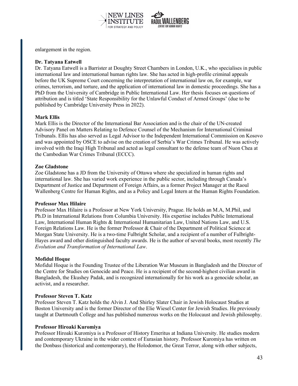

enlargement in the region.

# **Dr. Tatyana Eatwell**

Dr. Tatyana Eatwell is a Barrister at Doughty Street Chambers in London, U.K., who specialises in public international law and international human rights law. She has acted in high-profile criminal appeals before the UK Supreme Court concerning the interpretation of international law on, for example, war crimes, terrorism, and torture, and the application of international law in domestic proceedings. She has a PhD from the University of Cambridge in Public International Law. Her thesis focuses on questions of attribution and is titled 'State Responsibility for the Unlawful Conduct of Armed Groups' (due to be published by Cambridge University Press in 2022).

# **Mark Ellis**

Mark Ellis is the Director of the International Bar Association and is the chair of the UN-created Advisory Panel on Matters Relating to Defence Counsel of the [Mechanism for International Criminal](https://en.wikipedia.org/wiki/Mechanism_for_International_Criminal_Tribunals)  [Tribunals.](https://en.wikipedia.org/wiki/Mechanism_for_International_Criminal_Tribunals) Ellis has also served as Legal Advisor to the Independent International Commission on Kosovo and was appointed by OSCE to advise on the creation of Serbia's War Crimes Tribunal. He was actively involved with the Iraqi High Tribunal and acted as legal consultant to the defense team of Nuon Chea at the Cambodian War Crimes Tribunal (ECCC).

#### **Zoe Gladstone**

Zoe Gladstone has a JD from the University of Ottawa where she specialized in human rights and international law. She has varied work experience in the public sector, including through Canada's Department of Justice and Department of Foreign Affairs, as a former Project Manager at the Raoul Wallenberg Centre for Human Rights, and as a Policy and Legal Intern at the Human Rights Foundation.

#### **Professor Max Hilaire**

Professor Max Hilaire is a Professor at New York University, Prague. He holds an M.A, M.Phil, and Ph.D in International Relations from Columbia University. His expertise includes Public International Law, International Human Rights & International Humanitarian Law, United Nations Law, and U.S. Foreign Relations Law. He is the former Professor & Chair of the Department of Political Science at Morgan State University. He is a two-time Fulbright Scholar, and a recipient of a number of Fulbright-Hayes award and other distinguished faculty awards. He is the author of several books, most recently *The Evolution and Transformation of International Law*.

#### **Mofidul Hoque**

Mofidul Hoque is the Founding Trustee of the Liberation War Museum in Bangladesh and the Director of the Centre for Studies on Genocide and Peace. He is a recipient of the second-highest civilian award in Bangladesh, the Ekushey Padak, and is recognized internationally for his work as a genocide scholar, an activist, and a researcher.

#### **Professor Steven T. Katz**

Professor Steven T. Katz holds the Alvin J. And Shirley Slater Chair in Jewish Holocaust Studies at Boston University and is the former Director of the Elie Wiesel Center for Jewish Studies. He previously taught at Dartmouth College and has published numerous works on the Holocaust and Jewish philosophy.

#### **Professor Hiroaki Kuromiya**

Professor Hiroaki Kuromiya is a Professor of History Emeritus at Indiana University. He studies modern and contemporary Ukraine in the wider context of Eurasian history. Professor Kuromiya has written on the Donbass (historical and contemporary), the Holodomor, the Great Terror, along with other subjects,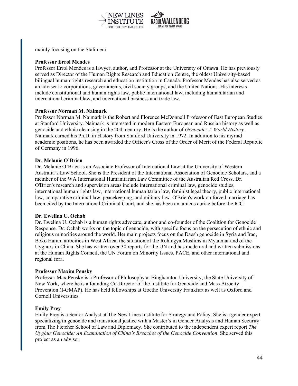

mainly focusing on the Stalin era.

# **Professor Errol Mendes**

Professor Errol Mendes is a lawyer, author, and Professor at the University of Ottawa. He has previously served as Director of the Human Rights Research and Education Centre, the oldest University-based bilingual human rights research and education institution in Canada. Professor Mendes has also served as an adviser to corporations, governments, civil society groups, and the United Nations. His interests include constitutional and human rights law, public international law, including humanitarian and international criminal law, and international business and trade law.

# **Professor Norman M. Naimark**

Professor Norman M. Naimark is the Robert and Florence McDonnell Professor of East European Studies at Stanford University. Naimark is interested in modern Eastern European and Russian history as well as genocide and ethnic cleansing in the 20th century. He is the author of *Genocide: A World History*. Naimark earned his Ph.D. in History from Stanford University in 1972. In addition to his myriad academic positions, he has been awarded the Officer's Cross of the Order of Merit of the Federal Republic of Germany in 1996.

# **Dr. Melanie O'Brien**

Dr. Melanie O'Brien is an Associate Professor of International Law at the University of Western Australia's Law School. She is the President of the International Association of Genocide Scholars, and a member of the WA International Humanitarian Law Committee of the Australian Red Cross. Dr. O'Brien's research and supervision areas include international criminal law, genocide studies, international human rights law, international humanitarian law, feminist legal theory, public international law, comparative criminal law, peacekeeping, and military law. O'Brien's work on forced marriage has been cited by the International Criminal Court, and she has been an amicus curiae before the ICC.

# **Dr. Ewelina U. Ochab**

Dr. Ewelina U. Ochab is a human rights advocate, author and co-founder of the Coalition for Genocide Response. Dr. Ochab works on the topic of genocide, with specific focus on the persecution of ethnic and religious minorities around the world. Her main projects focus on the Daesh genocide in Syria and Iraq, Boko Haram atrocities in West Africa, the situation of the Rohingya Muslims in Myanmar and of the Uyghurs in China. She has written over 30 reports for the UN and has made oral and written submissions at the Human Rights Council, the UN Forum on Minority Issues, PACE, and other international and regional fora.

# **Professor Maxim Pensky**

Professor Max Pensky is a Professor of Philosophy at Binghamton University, the State University of New York, where he is a founding Co-Director of the Institute for Genocide and Mass Atrocity Prevention (I-GMAP). He has held fellowships at Goethe University Frankfurt as well as Oxford and Cornell Universities.

# **Emily Prey**

Emily Prey is a Senior Analyst at The New Lines Institute for Strategy and Policy. She is a gender expert specializing in genocide and transitional justice with a Master's in Gender Analysis and Human Security from The Fletcher School of Law and Diplomacy. She contributed to the independent expert report *The Uyghur Genocide: An Examination of China's Breaches of the Genocide Convention*. She served this project as an advisor.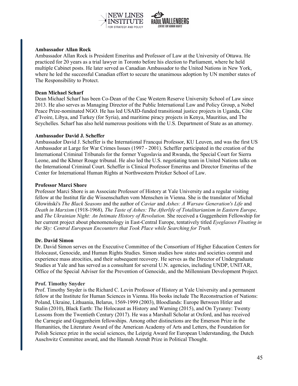

# **Ambassador Allan Rock**

Ambassador Allan Rock is President Emeritus and Professor of Law at the University of Ottawa. He practiced for 20 years as a trial lawyer in Toronto before his election to Parliament, where he held multiple Cabinet posts. He later served as Canadian Ambassador to the United Nations in New York, where he led the successful Canadian effort to secure the unanimous adoption by UN member states of The Responsibility to Protect.

# **Dean Michael Scharf**

Dean Michael Scharf has been Co-Dean of the Case Western Reserve University School of Law since 2013. He also serves as Managing Director of the Public International Law and Policy Group, a Nobel Peace Prize-nominated NGO. He has led USAID-funded transitional justice projects in Uganda, Côte d'Ivoire, Libya, and Turkey (for Syria), and maritime piracy projects in Kenya, Mauritius, and The Seychelles. Scharf has also held numerous positions with the U.S. Department of State as an attorney.

# **Ambassador David J. Scheffer**

Ambassador David J. Scheffer is the International Francqui Professor, KU Leuven, and was the first US Ambassador at Large for War Crimes Issues (1997 - 2001). Scheffer participated in the creation of the International Criminal Tribunals for the former Yugoslavia and Rwanda, the Special Court for Sierra Leone, and the Khmer Rouge tribunal. He also led the U.S. negotiating team in United Nations talks on the International Criminal Court. Scheffer is Clinical Professor Emeritus and Director Emeritus of the Center for International Human Rights at Northwestern Pritzker School of Law.

# **Professor Marci Shore**

Professor Marci Shore is an Associate Professor of History at Yale University and a regular visiting fellow at the Institut für die Wissenschaften vom Menschen in Vienna. She is the translator of Michał Głowiński's *The Black Seasons* and the author of *Caviar* and *Ashes: A Warsaw Generation's Life* and *Death in Marxism* (1918-1968)*, The Taste of Ashes: The Afterlife of Totalitarianism in Eastern Europe,* and *The Ukrainian Night: An Intimate History of Revolution.* She received a Guggenheim Fellowship for her current project about phenomenology in East-Central Europe, tentatively titled *Eyeglasses Floating in the Sky: Central European Encounters that Took Place while Searching for Truth.* 

# **Dr. David Simon**

Dr. David Simon serves on the Executive Committee of the Consortium of Higher Education Centers for Holocaust, Genocide, and Human Rights Studies. Simon studies how states and societies commit and experience mass atrocities, and their subsequent recovery. He serves as the Director of Undergraduate Studies at Yale and has served as a consultant for several U.N. agencies, including UNDP, UNITAR, Office of the Special Adviser for the Prevention of Genocide, and the Millennium Development Project.

# **Prof. Timothy Snyder**

Prof. Timothy Snyder is the Richard C. Levin Professor of History at Yale University and a permanent fellow at the Institute for Human Sciences in Vienna. His books include The Reconstruction of Nations: Poland, Ukraine, Lithuania, Belarus, 1569-1999 (2003), Bloodlands: Europe Between Hitler and Stalin (2010), Black Earth: The Holocaust as History and Warning (2015), and On Tyranny: Twenty Lessons from the Twentieth Century (2017). He was a Marshall Scholar at Oxford, and has received the Carnegie and Guggenheim fellowships. Among other distinctions are the Emerson Prize in the Humanities, the Literature Award of the American Academy of Arts and Letters, the Foundation for Polish Science prize in the social sciences, the Leipzig Award for European Understanding, the Dutch Auschwitz Committee award, and the Hannah Arendt Prize in Political Thought.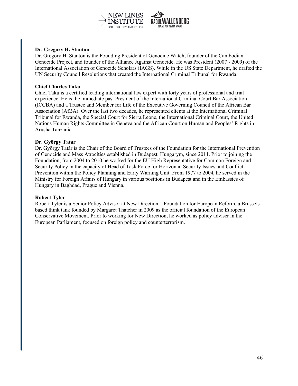

# **Dr. Gregory H. Stanton**

Dr. Gregory H. Stanton is the Founding President of Genocide Watch, founder of the Cambodian Genocide Project, and founder of the Alliance Against Genocide. He was President (2007 - 2009) of the International Association of Genocide Scholars (IAGS). While in the US State Department, he drafted the UN Security Council Resolutions that created the International Criminal Tribunal for Rwanda.

### **Chief Charles Taku**

Chief Taku is a certified leading international law expert with forty years of professional and trial experience. He is the immediate past President of the International Criminal Court Bar Association (ICCBA) and a Trustee and Member for Life of the Executive Governing Council of the African Bar Association (AfBA). Over the last two decades, he represented clients at the International Criminal Tribunal for Rwanda, the Special Court for Sierra Leone, the International Criminal Court, the United Nations Human Rights Committee in Geneva and the African Court on Human and Peoples' Rights in Arusha Tanzania.

#### **Dr. György Tatár**

Dr. György Tatár is the Chair of the Board of Trustees of the Foundation for the International Prevention of Genocide and Mass Atrocities established in Budapest, Hungarym, since 2011. Prior to joining the Foundation, from 2004 to 2010 he worked for the EU High Representative for Common Foreign and Security Policy in the capacity of Head of Task Force for Horizontal Security Issues and Conflict Prevention within the Policy Planning and Early Warning Unit. From 1977 to 2004, he served in the Ministry for Foreign Affairs of Hungary in various positions in Budapest and in the Embassies of Hungary in Baghdad, Prague and Vienna.

#### **Robert Tyler**

Robert Tyler is a Senior Policy Advisor at New Direction – Foundation for European Reform, a Brusselsbased think tank founded by Margaret Thatcher in 2009 as the official foundation of the European Conservative Movement. Prior to working for New Direction, he worked as policy adviser in the European Parliament, focused on foreign policy and counterterrorism.